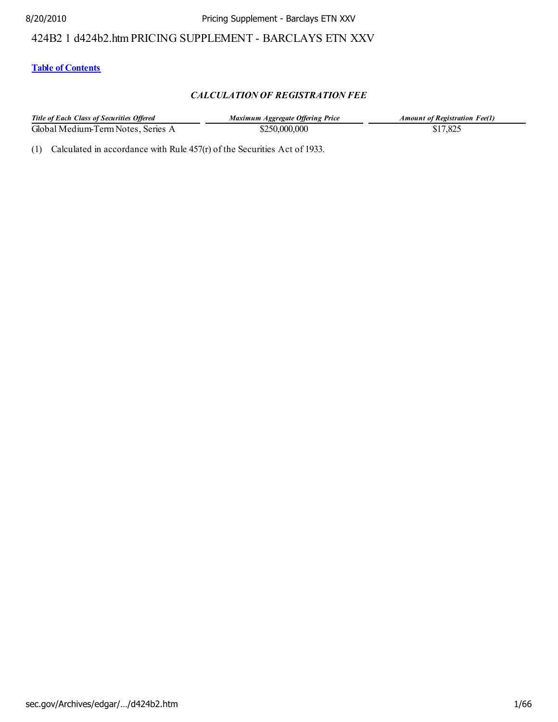# 424B2 1 d424b2.htm PRICING SUPPLEMENT - BARCLAYS ETN XXV

## **Table of Contents**

# *CALCULATION OF REGISTRATION FEE*

*Title of Each Class of Securities Offered Maximum Aggregate Offering Price Amount of Registration Fee(1)* Global Medium-Term Notes, Series A \$250,000,000 \$17,825

(1) Calculated in accordance with Rule 457(r) of the Securities Act of 1933.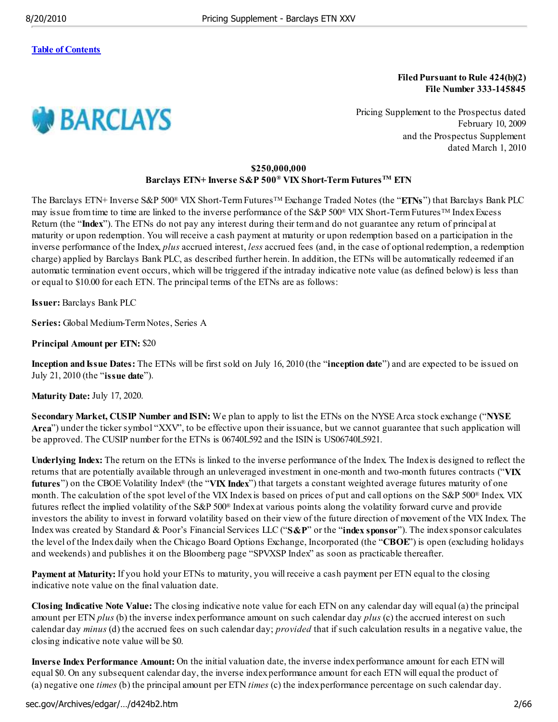## **Filed Pursuant to Rule 424(b)(2) File Number 333-145845**



Pricing Supplement to the Prospectus dated February 10, 2009 and the Prospectus Supplement dated March 1, 2010

# **\$250,000,000**  $\mathbf{B}$ arclays  $\mathbf{ETN}+ \mathbf{Inverse}\ \mathbf{S\&P}\ \mathbf{500}^{\circledast}\ \mathbf{VIX}\ \mathbf{Short-Term}\ \mathbf{Futures}^{\mathbf{TM}}\ \mathbf{ETN}$

The Barclays ETN+ Inverse S&P 500® VIX Short-Term Futures™ Exchange Traded Notes (the "**ETNs**") that Barclays Bank PLC may issue from time to time are linked to the inverse performance of the S&P 500® VIX Short-Term Futures<sup>TM</sup> Index Excess Return (the "**Index**"). The ETNs do not pay any interest during their term and do not guarantee any return of principal at maturity or upon redemption. You will receive a cash payment at maturity or upon redemption based on a participation in the inverse performance of the Index, *plus* accrued interest, *less* accrued fees (and, in the case of optional redemption, a redemption charge) applied by Barclays Bank PLC, as described further herein. In addition, the ETNs will be automatically redeemed if an automatic termination event occurs, which will be triggered if the intraday indicative note value (as defined below) is less than or equal to \$10.00 for each ETN. The principal terms of the ETNs are as follows:

**Issuer:** Barclays Bank PLC

**Series:** Global Medium-Term Notes, Series A

**Principal Amount per ETN:** \$20

**Inception and Issue Dates:** The ETNs will be first sold on July 16, 2010 (the "**inception date**") and are expected to be issued on July 21, 2010 (the "**issue date**").

**Maturity Date:** July 17, 2020.

**Secondary Market, CUSIP Number and ISIN:** We plan to apply to list the ETNs on the NYSE Arca stock exchange ("**NYSE Arca**") under the ticker symbol "XXV", to be effective upon their issuance, but we cannot guarantee that such application will be approved. The CUSIP number for the ETNs is 06740L592 and the ISIN is US06740L5921.

**Underlying Index:** The return on the ETNs is linked to the inverse performance of the Index. The Index is designed to reflect the returns that are potentially available through an unleveraged investment in one-month and two-month futures contracts ("**VIX futures**") on the CBOE Volatility Index® (the "**VIX Index**") that targets a constant weighted average futures maturity of one month. The calculation of the spot level of the VIX Index is based on prices of put and call options on the S&P 500<sup>®</sup> Index. VIX futures reflect the implied volatility of the S&P  $500^\circ$  Index at various points along the volatility forward curve and provide investors the ability to invest in forward volatility based on their view of the future direction of movement of the VIX Index. The Index was created by Standard & Poor's Financial Services LLC ("**S&P**" or the "**index sponsor**"). The index sponsor calculates the level of the Index daily when the Chicago Board Options Exchange, Incorporated (the "**CBOE**") is open (excluding holidays and weekends) and publishes it on the Bloomberg page "SPVXSP Index" as soon as practicable thereafter.

**Payment at Maturity:** If you hold your ETNs to maturity, you will receive a cash payment per ETN equal to the closing indicative note value on the final valuation date.

**Closing Indicative Note Value:** The closing indicative note value for each ETN on any calendar day will equal (a) the principal amount per ETN *plus* (b) the inverse index performance amount on such calendar day *plus* (c) the accrued interest on such calendar day *minus* (d) the accrued fees on such calendar day; *provided* that if such calculation results in a negative value, the closing indicative note value will be \$0.

**Inverse Index Performance Amount:** On the initial valuation date, the inverse index performance amount for each ETN will equal \$0. On any subsequent calendar day, the inverse index performance amount for each ETN will equal the product of (a) negative one *times* (b) the principal amount per ETN *times* (c) the index performance percentage on such calendar day.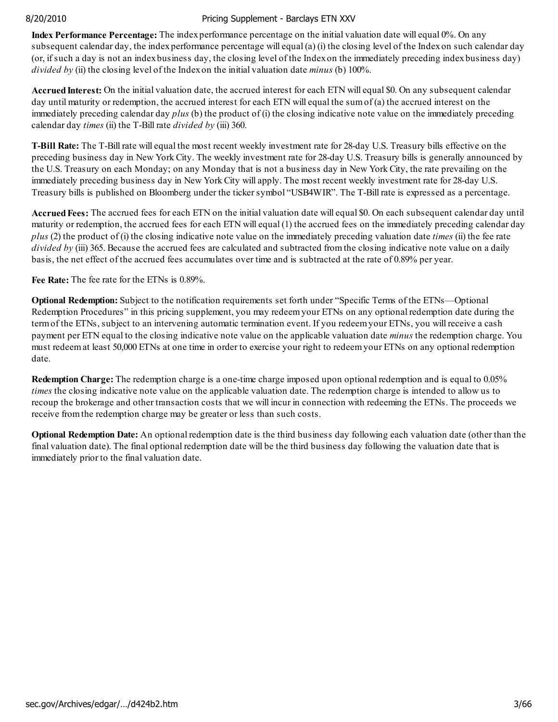## 8/20/2010 Pricing Supplement - Barclays ETN XXV

**Index Performance Percentage:** The index performance percentage on the initial valuation date will equal 0%. On any subsequent calendar day, the index performance percentage will equal (a) (i) the closing level of the Index on such calendar day (or, if such a day is not an index business day, the closing level of the Index on the immediately preceding index business day) *divided by* (ii) the closing level of the Index on the initial valuation date *minus* (b) 100%.

**Accrued Interest:** On the initial valuation date, the accrued interest for each ETN will equal \$0. On any subsequent calendar day until maturity or redemption, the accrued interest for each ETN will equal the sum of (a) the accrued interest on the immediately preceding calendar day *plus* (b) the product of (i) the closing indicative note value on the immediately preceding calendar day *times* (ii) the T-Bill rate *divided by* (iii) 360.

**T-Bill Rate:** The T-Bill rate will equal the most recent weekly investment rate for 28-day U.S. Treasury bills effective on the preceding business day in New York City. The weekly investment rate for 28-day U.S. Treasury bills is generally announced by the U.S. Treasury on each Monday; on any Monday that is not a business day in New York City, the rate prevailing on the immediately preceding business day in New York City will apply. The most recent weekly investment rate for 28-day U.S. Treasury bills is published on Bloomberg under the ticker symbol "USB4WIR". The T-Bill rate is expressed as a percentage.

**Accrued Fees:** The accrued fees for each ETN on the initial valuation date will equal \$0. On each subsequent calendar day until maturity or redemption, the accrued fees for each ETN will equal (1) the accrued fees on the immediately preceding calendar day *plus* (2) the product of (i) the closing indicative note value on the immediately preceding valuation date *times* (ii) the fee rate *divided by* (iii) 365. Because the accrued fees are calculated and subtracted from the closing indicative note value on a daily basis, the net effect of the accrued fees accumulates over time and is subtracted at the rate of 0.89% per year.

**Fee Rate:** The fee rate for the ETNs is 0.89%.

**Optional Redemption:** Subject to the notification requirements set forth under "Specific Terms of the ETNs—Optional Redemption Procedures" in this pricing supplement, you may redeem your ETNs on any optional redemption date during the term of the ETNs, subject to an intervening automatic termination event. If you redeem your ETNs, you will receive a cash payment per ETN equal to the closing indicative note value on the applicable valuation date *minus* the redemption charge. You must redeem at least 50,000 ETNs at one time in order to exercise your right to redeem your ETNs on any optional redemption date.

**Redemption Charge:** The redemption charge is a one-time charge imposed upon optional redemption and is equal to 0.05% *times* the closing indicative note value on the applicable valuation date. The redemption charge is intended to allow us to recoup the brokerage and other transaction costs that we will incur in connection with redeeming the ETNs. The proceeds we receive from the redemption charge may be greater or less than such costs.

**Optional Redemption Date:** An optional redemption date is the third business day following each valuation date (other than the final valuation date). The final optional redemption date will be the third business day following the valuation date that is immediately prior to the final valuation date.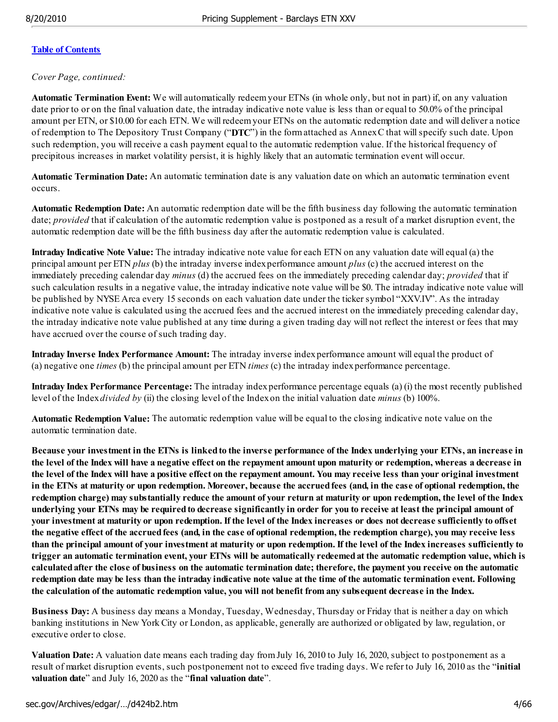## *Cover Page, continued:*

**Automatic Termination Event:** We will automatically redeem your ETNs (in whole only, but not in part) if, on any valuation date prior to or on the final valuation date, the intraday indicative note value is less than or equal to 50.0% of the principal amount per ETN, or \$10.00 for each ETN. We will redeem your ETNs on the automatic redemption date and will deliver a notice of redemption to The Depository Trust Company ("**DTC**") in the form attached as Annex C that will specify such date. Upon such redemption, you will receive a cash payment equal to the automatic redemption value. If the historical frequency of precipitous increases in market volatility persist, it is highly likely that an automatic termination event will occur.

**Automatic Termination Date:** An automatic termination date is any valuation date on which an automatic termination event occurs.

**Automatic Redemption Date:** An automatic redemption date will be the fifth business day following the automatic termination date; *provided* that if calculation of the automatic redemption value is postponed as a result of a market disruption event, the automatic redemption date will be the fifth business day after the automatic redemption value is calculated.

**Intraday Indicative Note Value:** The intraday indicative note value for each ETN on any valuation date will equal (a) the principal amount per ETN *plus* (b) the intraday inverse index performance amount *plus* (c) the accrued interest on the immediately preceding calendar day *minus* (d) the accrued fees on the immediately preceding calendar day; *provided* that if such calculation results in a negative value, the intraday indicative note value will be \$0. The intraday indicative note value will be published by NYSE Arca every 15 seconds on each valuation date under the ticker symbol "XXV.IV". As the intraday indicative note value is calculated using the accrued fees and the accrued interest on the immediately preceding calendar day, the intraday indicative note value published at any time during a given trading day will not reflect the interest or fees that may have accrued over the course of such trading day.

**Intraday Inverse Index Performance Amount:** The intraday inverse index performance amount will equal the product of (a) negative one *times* (b) the principal amount per ETN *times* (c) the intraday index performance percentage.

**Intraday Index Performance Percentage:** The intraday index performance percentage equals (a) (i) the most recently published level of the Index *divided by* (ii) the closing level of the Index on the initial valuation date *minus* (b) 100%.

**Automatic Redemption Value:** The automatic redemption value will be equal to the closing indicative note value on the automatic termination date.

**Because your investment in the ETNs is linked to the inverse performance of the Index underlying your ETNs, an increase in the level of the Index will have a negative effect on the repayment amount upon maturity or redemption, whereas a decrease in the level of the Index will have a positive effect on the repayment amount. You may receive less than your original investment in the ETNs at maturity or upon redemption. Moreover, because the accrued fees (and, in the case of optional redemption, the redemption charge) may substantially reduce the amount of your return at maturity or upon redemption, the level of the Index underlying your ETNs may be required to decrease significantly in order for you to receive at least the principal amount of your investment at maturity or upon redemption. If the level of the Index increases or does not decrease sufficiently to offset the negative effect of the accrued fees (and, in the case of optional redemption, the redemption charge), you may receive less than the principal amount of your investment at maturity or upon redemption. If the level of the Index increases sufficiently to trigger an automatic termination event, your ETNs will be automatically redeemed at the automatic redemption value, which is calculated after the close of business on the automatic termination date; therefore, the payment you receive on the automatic redemption date may be less than the intraday indicative note value at the time of the automatic termination event. Following the calculation of the automatic redemption value, you will not benefit from any subsequent decrease in the Index.**

**Business Day:** A business day means a Monday, Tuesday, Wednesday, Thursday or Friday that is neither a day on which banking institutions in New York City or London, as applicable, generally are authorized or obligated by law, regulation, or executive order to close.

**Valuation Date:** A valuation date means each trading day from July 16, 2010 to July 16, 2020, subject to postponement as a result of market disruption events, such postponement not to exceed five trading days. We refer to July 16, 2010 as the "**initial valuation date**" and July 16, 2020 as the "**final valuation date**".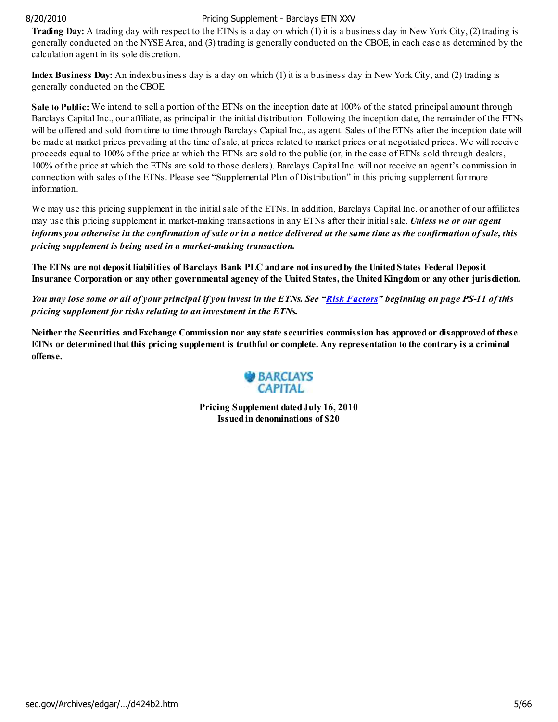## 8/20/2010 Pricing Supplement - Barclays ETN XXV

**Trading Day:** A trading day with respect to the ETNs is a day on which (1) it is a business day in New York City, (2) trading is generally conducted on the NYSE Arca, and (3) trading is generally conducted on the CBOE, in each case as determined by the calculation agent in its sole discretion.

**Index Business Day:** An index business day is a day on which (1) it is a business day in New York City, and (2) trading is generally conducted on the CBOE.

**Sale to Public:** We intend to sell a portion of the ETNs on the inception date at 100% of the stated principal amount through Barclays Capital Inc., our affiliate, as principal in the initial distribution. Following the inception date, the remainder of the ETNs will be offered and sold from time to time through Barclays Capital Inc., as agent. Sales of the ETNs after the inception date will be made at market prices prevailing at the time of sale, at prices related to market prices or at negotiated prices. We will receive proceeds equal to 100% of the price at which the ETNs are sold to the public (or, in the case of ETNs sold through dealers, 100% of the price at which the ETNs are sold to those dealers). Barclays Capital Inc. will not receive an agent's commission in connection with sales of the ETNs. Please see "Supplemental Plan of Distribution" in this pricing supplement for more information.

We may use this pricing supplement in the initial sale of the ETNs. In addition, Barclays Capital Inc. or another of our affiliates may use this pricing supplement in market-making transactions in any ETNs after their initial sale. *Unless we or our agent informs you otherwise in the confirmation of sale or in a notice delivered at the same time as the confirmation of sale, this pricing supplement is being used in a market-making transaction.*

**The ETNs are not deposit liabilities of Barclays Bank PLC and are not insured by the United States Federal Deposit Insurance Corporation or any other governmental agency of the United States, the United Kingdom or any other jurisdiction.**

*You may lose some or all of your principal if you invest in the ETNs. See "Risk Factors" beginning on page PS-11 of this pricing supplement for risks relating to an investment in the ETNs.*

**Neither the Securities and Exchange Commission nor any state securities commission has approved or disapproved of these ETNs or determined that this pricing supplement is truthful or complete. Any representation to the contrary is a criminal offense.**



**Pricing Supplement dated July 16, 2010 Issued in denominations of \$20**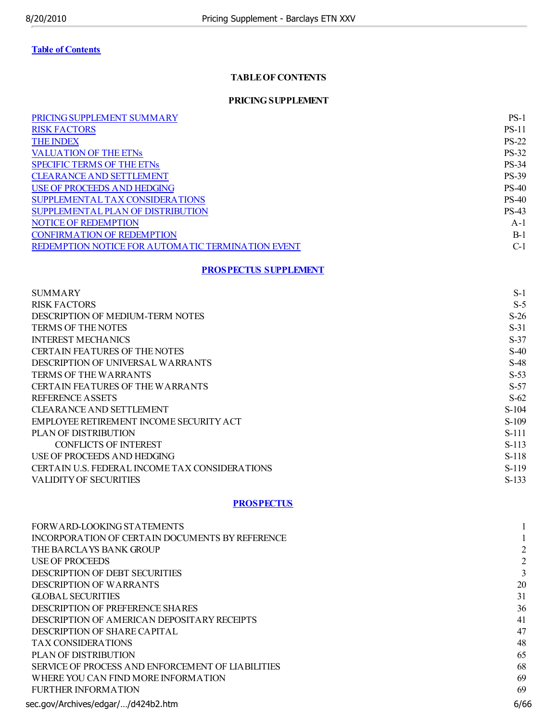# **TABLE OF CONTENTS**

## **PRICING SUPPLEMENT**

| PRICING SUPPLEMENT SUMMARY                        | $PS-1$       |
|---------------------------------------------------|--------------|
| <b>RISK FACTORS</b>                               | <b>PS-11</b> |
| <b>THE INDEX</b>                                  | <b>PS-22</b> |
| <b>VALUATION OF THE ETNS</b>                      | <b>PS-32</b> |
| <b>SPECIFIC TERMS OF THE ETNS</b>                 | <b>PS-34</b> |
| <b>CLEARANCE AND SETTLEMENT</b>                   | <b>PS-39</b> |
| USE OF PROCEEDS AND HEDGING                       | <b>PS-40</b> |
| SUPPLEMENTAL TAX CONSIDERATIONS                   | <b>PS-40</b> |
| SUPPLEMENTAL PLAN OF DISTRIBUTION                 | <b>PS-43</b> |
| <b>NOTICE OF REDEMPTION</b>                       | $A-1$        |
| <b>CONFIRMATION OF REDEMPTION</b>                 | $B-1$        |
| REDEMPTION NOTICE FOR AUTOMATIC TERMINATION EVENT | $C-1$        |

# **PROSPECTUS SUPPLEMENT**

| <b>SUMMARY</b>                                 | $S-1$   |
|------------------------------------------------|---------|
| <b>RISK FACTORS</b>                            | $S-5$   |
| DESCRIPTION OF MEDIUM-TERM NOTES               | $S-26$  |
| <b>TERMS OF THE NOTES</b>                      | $S-31$  |
| <b>INTEREST MECHANICS</b>                      | $S-37$  |
| CERTAIN FEATURES OF THE NOTES                  | $S-40$  |
| DESCRIPTION OF UNIVERSAL WARRANTS              | $S-48$  |
| TERMS OF THE WARRANTS                          | $S-53$  |
| CERTAIN FEATURES OF THE WARRANTS               | $S-57$  |
| REFERENCE ASSETS                               | $S-62$  |
| CLEARANCE AND SETTLEMENT                       | $S-104$ |
| EMPLOYEE RETIREMENT INCOME SECURITY ACT        | $S-109$ |
| PLAN OF DISTRIBUTION                           | S-111   |
| <b>CONFLICTS OF INTEREST</b>                   | $S-113$ |
| USE OF PROCEEDS AND HEDGING                    | S-118   |
| CERTAIN U.S. FEDERAL INCOME TAX CONSIDERATIONS | S-119   |
| VALIDITY OF SECURITIES                         | S-133   |
|                                                |         |

# **PROSPECTUS**

| FORWARD-LOOKING STATEMENTS                        |                             |
|---------------------------------------------------|-----------------------------|
| INCORPORATION OF CERTAIN DOCUMENTS BY REFERENCE   |                             |
| THE BARCLAYS BANK GROUP                           | $\mathcal{D}_{\mathcal{L}}$ |
| <b>USE OF PROCEEDS</b>                            | 2                           |
| DESCRIPTION OF DEBT SECURITIES                    | 3                           |
| DESCRIPTION OF WARRANTS                           | 20                          |
| <b>GLOBAL SECURITIES</b>                          | 31                          |
| DESCRIPTION OF PREFERENCE SHARES                  | 36                          |
| DESCRIPTION OF AMERICAN DEPOSITARY RECEIPTS       | 41                          |
| DESCRIPTION OF SHARE CAPITAL                      | 47                          |
| <b>TAX CONSIDERATIONS</b>                         | 48                          |
| PLAN OF DISTRIBUTION                              | 65                          |
| SERVICE OF PROCESS AND ENFORCEMENT OF LIABILITIES | 68                          |
| WHERE YOU CAN FIND MORE INFORMATION               | 69                          |
| <b>FURTHER INFORMATION</b>                        | 69                          |
| sec.gov/Archives/edgar//d424b2.htm                | 6/66                        |
|                                                   |                             |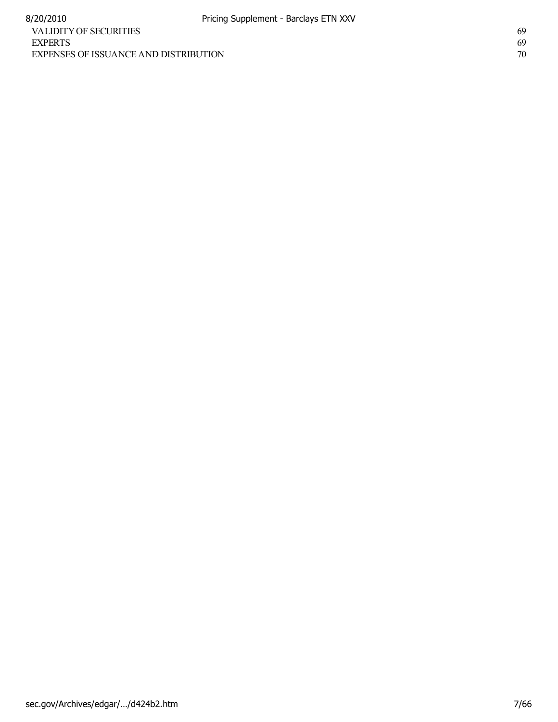VALIDITY OF SECURITIES 69<br>EXPERTS 69 EXPERTS 69 EXPENSES OF ISSUANCE AND DISTRIBUTION 70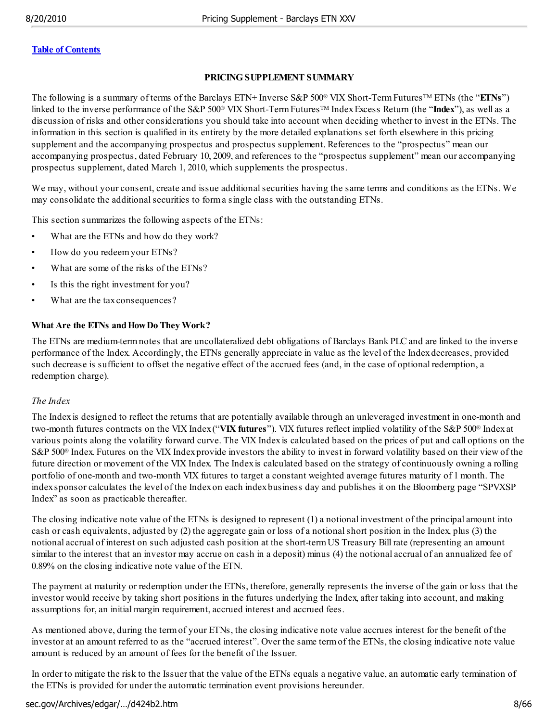## **PRICING SUPPLEMENT SUMMARY**

The following is a summary of terms of the Barclays ETN+ Inverse S&P 500<sup>®</sup> VIX Short-Term Futures<sup>™</sup> ETNs (the "**ETNs**") linked to the inverse performance of the S&P 500® VIX Short-Term Futures™ Index Excess Return (the "**Index**"), as well as a discussion of risks and other considerations you should take into account when deciding whether to invest in the ETNs. The information in this section is qualified in its entirety by the more detailed explanations set forth elsewhere in this pricing supplement and the accompanying prospectus and prospectus supplement. References to the "prospectus" mean our accompanying prospectus, dated February 10, 2009, and references to the "prospectus supplement" mean our accompanying prospectus supplement, dated March 1, 2010, which supplements the prospectus.

We may, without your consent, create and issue additional securities having the same terms and conditions as the ETNs. We may consolidate the additional securities to form a single class with the outstanding ETNs.

This section summarizes the following aspects of the ETNs:

- What are the ETNs and how do they work?
- How do you redeem your ETNs?
- What are some of the risks of the ETNs?
- Is this the right investment for you?
- What are the tax consequences?

## **What Are the ETNs and How Do They Work?**

The ETNs are medium-term notes that are uncollateralized debt obligations of Barclays Bank PLC and are linked to the inverse performance of the Index. Accordingly, the ETNs generally appreciate in value as the level of the Index decreases, provided such decrease is sufficient to offset the negative effect of the accrued fees (and, in the case of optional redemption, a redemption charge).

## *The Index*

The Index is designed to reflect the returns that are potentially available through an unleveraged investment in one-month and two-month futures contracts on the VIX Index("**VIX futures**"). VIX futures reflect implied volatility of the S&P 500® Index at various points along the volatility forward curve. The VIX Index is calculated based on the prices of put and call options on the S&P 500<sup>®</sup> Index. Futures on the VIX Index provide investors the ability to invest in forward volatility based on their view of the future direction or movement of the VIX Index. The Index is calculated based on the strategy of continuously owning a rolling portfolio of one-month and two-month VIX futures to target a constant weighted average futures maturity of 1 month. The index sponsor calculates the level of the Index on each index business day and publishes it on the Bloomberg page "SPVXSP Index" as soon as practicable thereafter.

The closing indicative note value of the ETNs is designed to represent (1) a notional investment of the principal amount into cash or cash equivalents, adjusted by (2) the aggregate gain or loss of a notional short position in the Index, plus (3) the notional accrual of interest on such adjusted cash position at the short-term US Treasury Bill rate (representing an amount similar to the interest that an investor may accrue on cash in a deposit) minus (4) the notional accrual of an annualized fee of 0.89% on the closing indicative note value of the ETN.

The payment at maturity or redemption under the ETNs, therefore, generally represents the inverse of the gain or loss that the investor would receive by taking short positions in the futures underlying the Index, after taking into account, and making assumptions for, an initial margin requirement, accrued interest and accrued fees.

As mentioned above, during the term of your ETNs, the closing indicative note value accrues interest for the benefit of the investor at an amount referred to as the "accrued interest". Over the same term of the ETNs, the closing indicative note value amount is reduced by an amount of fees for the benefit of the Issuer.

In order to mitigate the risk to the Issuer that the value of the ETNs equals a negative value, an automatic early termination of the ETNs is provided for under the automatic termination event provisions hereunder.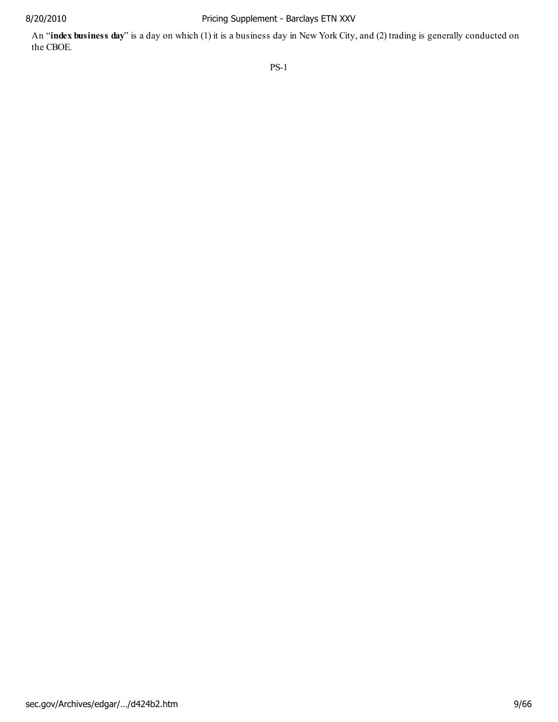# 8/20/2010 Pricing Supplement - Barclays ETN XXV

An "**index business day**" is a day on which (1) it is a business day in New York City, and (2) trading is generally conducted on the CBOE.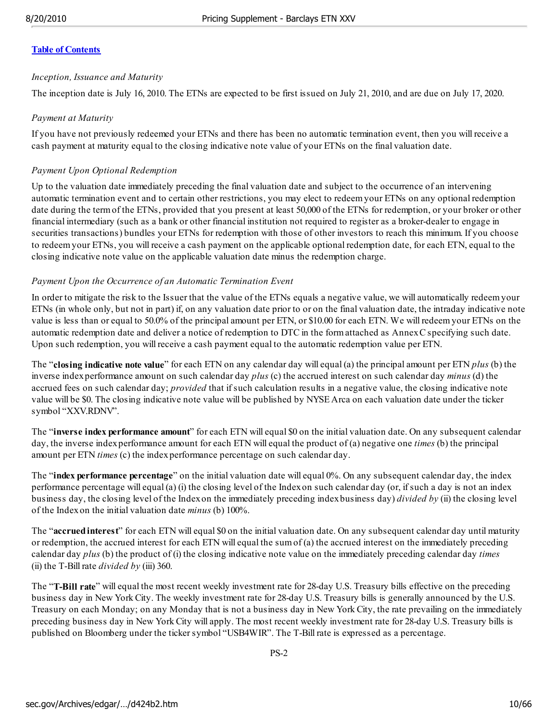## *Inception, Issuance and Maturity*

The inception date is July 16, 2010. The ETNs are expected to be first issued on July 21, 2010, and are due on July 17, 2020.

## *Payment at Maturity*

If you have not previously redeemed your ETNs and there has been no automatic termination event, then you will receive a cash payment at maturity equal to the closing indicative note value of your ETNs on the final valuation date.

## *Payment Upon Optional Redemption*

Up to the valuation date immediately preceding the final valuation date and subject to the occurrence of an intervening automatic termination event and to certain other restrictions, you may elect to redeem your ETNs on any optional redemption date during the term of the ETNs, provided that you present at least 50,000 of the ETNs for redemption, or your broker or other financial intermediary (such as a bank or other financial institution not required to register as a broker-dealer to engage in securities transactions) bundles your ETNs for redemption with those of other investors to reach this minimum. If you choose to redeem your ETNs, you will receive a cash payment on the applicable optional redemption date, for each ETN, equal to the closing indicative note value on the applicable valuation date minus the redemption charge.

## *Payment Upon the Occurrence of an Automatic Termination Event*

In order to mitigate the risk to the Issuer that the value of the ETNs equals a negative value, we will automatically redeem your ETNs (in whole only, but not in part) if, on any valuation date prior to or on the final valuation date, the intraday indicative note value is less than or equal to 50.0% of the principal amount per ETN, or \$10.00 for each ETN. We will redeem your ETNs on the automatic redemption date and deliver a notice of redemption to DTC in the form attached as Annex C specifying such date. Upon such redemption, you will receive a cash payment equal to the automatic redemption value per ETN.

The "**closing indicative note value**" for each ETN on any calendar day will equal (a) the principal amount per ETN *plus* (b) the inverse index performance amount on such calendar day *plus* (c) the accrued interest on such calendar day *minus* (d) the accrued fees on such calendar day; *provided* that if such calculation results in a negative value, the closing indicative note value will be \$0. The closing indicative note value will be published by NYSE Arca on each valuation date under the ticker symbol "XXV.RDNV".

The "**inverse index performance amount**" for each ETN will equal \$0 on the initial valuation date. On any subsequent calendar day, the inverse index performance amount for each ETN will equal the product of (a) negative one *times* (b) the principal amount per ETN *times* (c) the index performance percentage on such calendar day.

The "**index performance percentage**" on the initial valuation date will equal 0%. On any subsequent calendar day, the index performance percentage will equal (a) (i) the closing level of the Index on such calendar day (or, if such a day is not an index business day, the closing level of the Index on the immediately preceding index business day) *divided by* (ii) the closing level of the Index on the initial valuation date *minus* (b) 100%.

The "**accrued interest**" for each ETN will equal \$0 on the initial valuation date. On any subsequent calendar day until maturity or redemption, the accrued interest for each ETN will equal the sum of (a) the accrued interest on the immediately preceding calendar day *plus* (b) the product of (i) the closing indicative note value on the immediately preceding calendar day *times* (ii) the T-Bill rate *divided by* (iii) 360.

The "**T-Bill rate**" will equal the most recent weekly investment rate for 28-day U.S. Treasury bills effective on the preceding business day in New York City. The weekly investment rate for 28-day U.S. Treasury bills is generally announced by the U.S. Treasury on each Monday; on any Monday that is not a business day in New York City, the rate prevailing on the immediately preceding business day in New York City will apply. The most recent weekly investment rate for 28-day U.S. Treasury bills is published on Bloomberg under the ticker symbol "USB4WIR". The T-Bill rate is expressed as a percentage.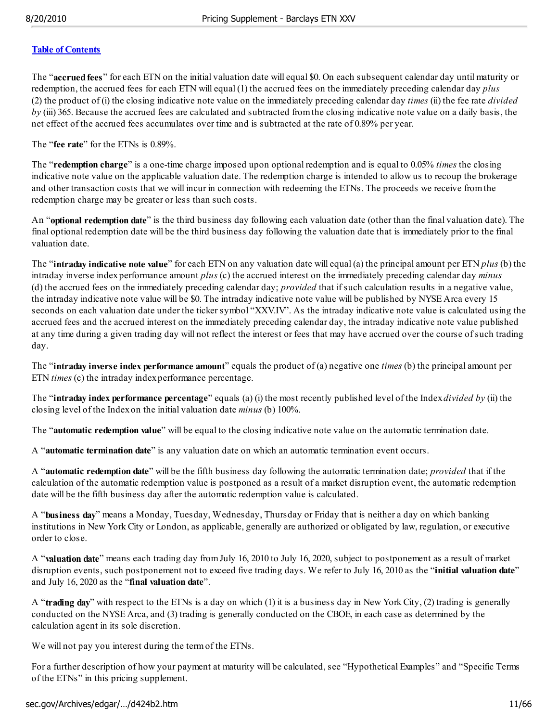The "**accrued fees**" for each ETN on the initial valuation date will equal \$0. On each subsequent calendar day until maturity or redemption, the accrued fees for each ETN will equal (1) the accrued fees on the immediately preceding calendar day *plus* (2) the product of (i) the closing indicative note value on the immediately preceding calendar day *times* (ii) the fee rate *divided by* (iii) 365. Because the accrued fees are calculated and subtracted from the closing indicative note value on a daily basis, the net effect of the accrued fees accumulates over time and is subtracted at the rate of 0.89% per year.

The "**fee rate**" for the ETNs is 0.89%.

The "**redemption charge**" is a one-time charge imposed upon optional redemption and is equal to 0.05% *times* the closing indicative note value on the applicable valuation date. The redemption charge is intended to allow us to recoup the brokerage and other transaction costs that we will incur in connection with redeeming the ETNs. The proceeds we receive from the redemption charge may be greater or less than such costs.

An "**optional redemption date**" is the third business day following each valuation date (other than the final valuation date). The final optional redemption date will be the third business day following the valuation date that is immediately prior to the final valuation date.

The "**intraday indicative note value**" for each ETN on any valuation date will equal (a) the principal amount per ETN *plus* (b) the intraday inverse index performance amount *plus* (c) the accrued interest on the immediately preceding calendar day *minus* (d) the accrued fees on the immediately preceding calendar day; *provided* that if such calculation results in a negative value, the intraday indicative note value will be \$0. The intraday indicative note value will be published by NYSE Arca every 15 seconds on each valuation date under the ticker symbol "XXV.IV". As the intraday indicative note value is calculated using the accrued fees and the accrued interest on the immediately preceding calendar day, the intraday indicative note value published at any time during a given trading day will not reflect the interest or fees that may have accrued over the course of such trading day.

The "**intraday inverse index performance amount**" equals the product of (a) negative one *times* (b) the principal amount per ETN *times* (c) the intraday index performance percentage.

The "**intraday index performance percentage**" equals (a) (i) the most recently published level of the Index *divided by* (ii) the closing level of the Index on the initial valuation date *minus* (b) 100%.

The "**automatic redemption value**" will be equal to the closing indicative note value on the automatic termination date.

A "**automatic termination date**" is any valuation date on which an automatic termination event occurs.

A "**automatic redemption date**" will be the fifth business day following the automatic termination date; *provided* that if the calculation of the automatic redemption value is postponed as a result of a market disruption event, the automatic redemption date will be the fifth business day after the automatic redemption value is calculated.

A "**business day**" means a Monday, Tuesday, Wednesday, Thursday or Friday that is neither a day on which banking institutions in New York City or London, as applicable, generally are authorized or obligated by law, regulation, or executive order to close.

A "**valuation date**" means each trading day from July 16, 2010 to July 16, 2020, subject to postponement as a result of market disruption events, such postponement not to exceed five trading days. We refer to July 16, 2010 as the "**initial valuation date**" and July 16, 2020 as the "**final valuation date**".

A "**trading day**" with respect to the ETNs is a day on which (1) it is a business day in New York City, (2) trading is generally conducted on the NYSE Arca, and (3) trading is generally conducted on the CBOE, in each case as determined by the calculation agent in its sole discretion.

We will not pay you interest during the term of the ETNs.

For a further description of how your payment at maturity will be calculated, see "Hypothetical Examples" and "Specific Terms of the ETNs" in this pricing supplement.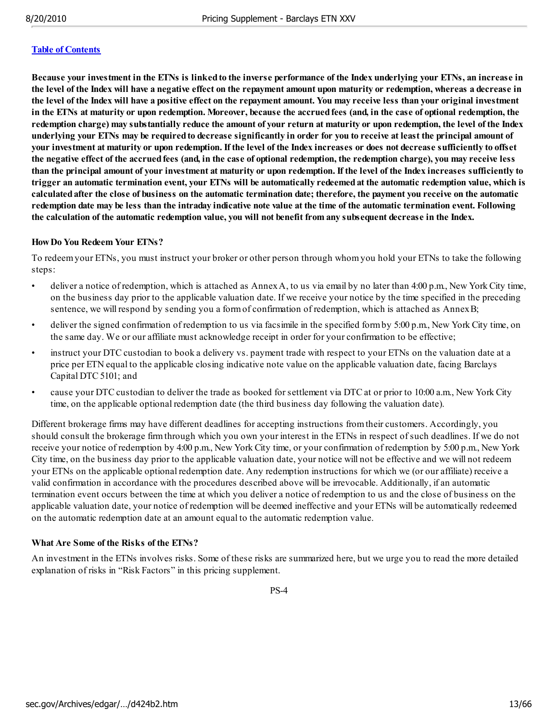**Because your investment in the ETNs is linked to the inverse performance of the Index underlying your ETNs, an increase in the level of the Index will have a negative effect on the repayment amount upon maturity or redemption, whereas a decrease in the level of the Index will have a positive effect on the repayment amount. You may receive less than your original investment in the ETNs at maturity or upon redemption. Moreover, because the accrued fees (and, in the case of optional redemption, the redemption charge) may substantially reduce the amount of your return at maturity or upon redemption, the level of the Index underlying your ETNs may be required to decrease significantly in order for you to receive at least the principal amount of your investment at maturity or upon redemption. If the level of the Index increases or does not decrease sufficiently to offset the negative effect of the accrued fees (and, in the case of optional redemption, the redemption charge), you may receive less than the principal amount of your investment at maturity or upon redemption. If the level of the Index increases sufficiently to trigger an automatic termination event, your ETNs will be automatically redeemed at the automatic redemption value, which is calculated after the close of business on the automatic termination date; therefore, the payment you receive on the automatic redemption date may be less than the intraday indicative note value at the time of the automatic termination event. Following the calculation of the automatic redemption value, you will not benefit from any subsequent decrease in the Index.**

## **How Do You Redeem Your ETNs?**

To redeem your ETNs, you must instruct your broker or other person through whom you hold your ETNs to take the following steps:

- deliver a notice of redemption, which is attached as Annex A, to us via email by no later than 4:00 p.m., New York City time, on the business day prior to the applicable valuation date. If we receive your notice by the time specified in the preceding sentence, we will respond by sending you a form of confirmation of redemption, which is attached as Annex B;
- deliver the signed confirmation of redemption to us via facsimile in the specified form by 5:00 p.m., New York City time, on the same day. We or our affiliate must acknowledge receipt in order for your confirmation to be effective;
- instruct your DTC custodian to book a delivery vs. payment trade with respect to your ETNs on the valuation date at a price per ETN equal to the applicable closing indicative note value on the applicable valuation date, facing Barclays Capital DTC 5101; and
- cause your DTC custodian to deliver the trade as booked for settlement via DTC at or prior to 10:00 a.m., New York City time, on the applicable optional redemption date (the third business day following the valuation date).

Different brokerage firms may have different deadlines for accepting instructions from their customers. Accordingly, you should consult the brokerage firm through which you own your interest in the ETNs in respect of such deadlines. If we do not receive your notice of redemption by 4:00 p.m., New York City time, or your confirmation of redemption by 5:00 p.m., New York City time, on the business day prior to the applicable valuation date, your notice will not be effective and we will not redeem your ETNs on the applicable optional redemption date. Any redemption instructions for which we (or our affiliate) receive a valid confirmation in accordance with the procedures described above will be irrevocable. Additionally, if an automatic termination event occurs between the time at which you deliver a notice of redemption to us and the close of business on the applicable valuation date, your notice of redemption will be deemed ineffective and your ETNs will be automatically redeemed on the automatic redemption date at an amount equal to the automatic redemption value.

#### **What Are Some of the Risks of the ETNs?**

An investment in the ETNs involves risks. Some of these risks are summarized here, but we urge you to read the more detailed explanation of risks in "Risk Factors" in this pricing supplement.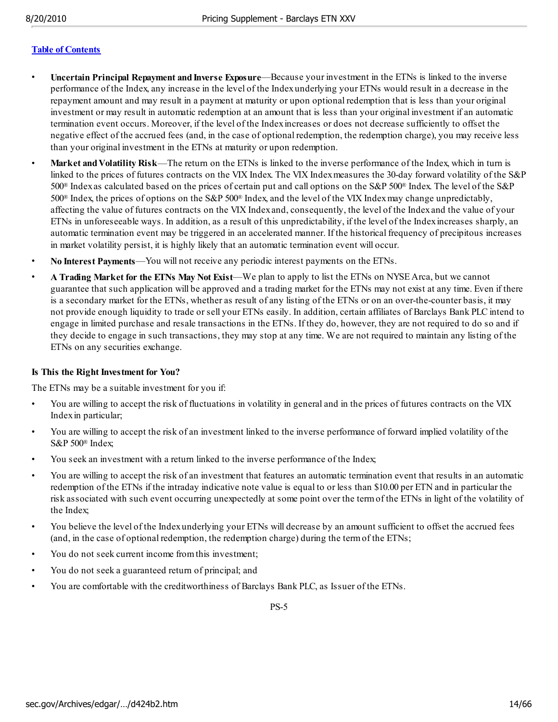- **Uncertain Principal Repayment and Inverse Exposure**—Because your investment in the ETNs is linked to the inverse performance of the Index, any increase in the level of the Index underlying your ETNs would result in a decrease in the repayment amount and may result in a payment at maturity or upon optional redemption that is less than your original investment or may result in automatic redemption at an amount that is less than your original investment if an automatic termination event occurs. Moreover, if the level of the Index increases or does not decrease sufficiently to offset the negative effect of the accrued fees (and, in the case of optional redemption, the redemption charge), you may receive less than your original investment in the ETNs at maturity or upon redemption.
- **Market and Volatility Risk**—The return on the ETNs is linked to the inverse performance of the Index, which in turn is linked to the prices of futures contracts on the VIX Index. The VIX Index measures the 30-day forward volatility of the S&P 500<sup>®</sup> Index as calculated based on the prices of certain put and call options on the S&P 500<sup>®</sup> Index. The level of the S&P 500<sup>®</sup> Index, the prices of options on the S&P 500<sup>®</sup> Index, and the level of the VIX Index may change unpredictably, affecting the value of futures contracts on the VIX Index and, consequently, the level of the Index and the value of your ETNs in unforeseeable ways. In addition, as a result of this unpredictability, if the level of the Index increases sharply, an automatic termination event may be triggered in an accelerated manner. If the historical frequency of precipitous increases in market volatility persist, it is highly likely that an automatic termination event will occur.
- **No Interest Payments**—You will not receive any periodic interest payments on the ETNs.
- **A Trading Market for the ETNs May Not Exist**—We plan to apply to list the ETNs on NYSE Arca, but we cannot guarantee that such application will be approved and a trading market for the ETNs may not exist at any time. Even if there is a secondary market for the ETNs, whether as result of any listing of the ETNs or on an over-the-counter basis, it may not provide enough liquidity to trade or sell your ETNs easily. In addition, certain affiliates of Barclays Bank PLC intend to engage in limited purchase and resale transactions in the ETNs. If they do, however, they are not required to do so and if they decide to engage in such transactions, they may stop at any time. We are not required to maintain any listing of the ETNs on any securities exchange.

#### **Is This the Right Investment for You?**

The ETNs may be a suitable investment for you if:

- You are willing to accept the risk of fluctuations in volatility in general and in the prices of futures contracts on the VIX Index in particular;
- You are willing to accept the risk of an investment linked to the inverse performance of forward implied volatility of the S&P 500® Index;
- You seek an investment with a return linked to the inverse performance of the Index;
- You are willing to accept the risk of an investment that features an automatic termination event that results in an automatic redemption of the ETNs if the intraday indicative note value is equal to or less than \$10.00 per ETN and in particular the risk associated with such event occurring unexpectedly at some point over the term of the ETNs in light of the volatility of the Index;
- You believe the level of the Index underlying your ETNs will decrease by an amount sufficient to offset the accrued fees (and, in the case of optional redemption, the redemption charge) during the term of the ETNs;
- You do not seek current income from this investment;
- You do not seek a guaranteed return of principal; and
- You are comfortable with the creditworthiness of Barclays Bank PLC, as Issuer of the ETNs.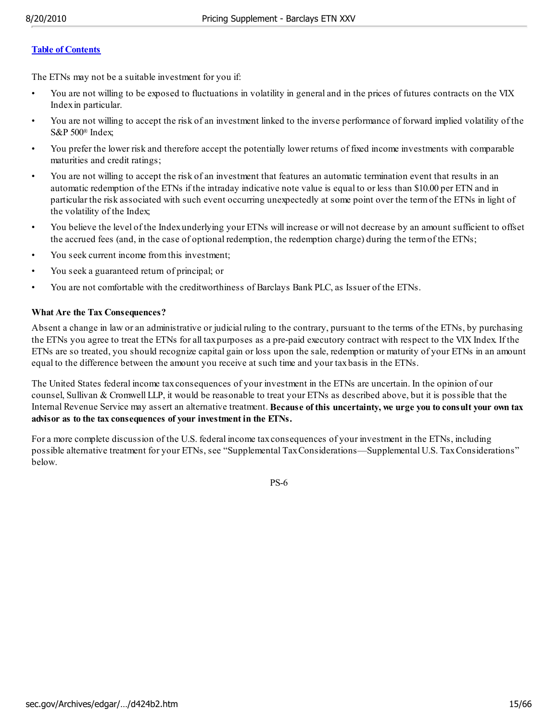The ETNs may not be a suitable investment for you if:

- You are not willing to be exposed to fluctuations in volatility in general and in the prices of futures contracts on the VIX Index in particular.
- You are not willing to accept the risk of an investment linked to the inverse performance of forward implied volatility of the S&P 500® Index;
- You prefer the lower risk and therefore accept the potentially lower returns of fixed income investments with comparable maturities and credit ratings;
- You are not willing to accept the risk of an investment that features an automatic termination event that results in an automatic redemption of the ETNs if the intraday indicative note value is equal to or less than \$10.00 per ETN and in particular the risk associated with such event occurring unexpectedly at some point over the term of the ETNs in light of the volatility of the Index;
- You believe the level of the Index underlying your ETNs will increase or will not decrease by an amount sufficient to offset the accrued fees (and, in the case of optional redemption, the redemption charge) during the term of the ETNs;
- You seek current income from this investment;
- You seek a guaranteed return of principal; or
- You are not comfortable with the creditworthiness of Barclays Bank PLC, as Issuer of the ETNs.

## **What Are the Tax Consequences?**

Absent a change in law or an administrative or judicial ruling to the contrary, pursuant to the terms of the ETNs, by purchasing the ETNs you agree to treat the ETNs for all tax purposes as a pre-paid executory contract with respect to the VIX Index. If the ETNs are so treated, you should recognize capital gain or loss upon the sale, redemption or maturity of your ETNs in an amount equal to the difference between the amount you receive at such time and your tax basis in the ETNs.

The United States federal income tax consequences of your investment in the ETNs are uncertain. In the opinion of our counsel, Sullivan & Cromwell LLP, it would be reasonable to treat your ETNs as described above, but it is possible that the Internal Revenue Service may assert an alternative treatment. **Because of this uncertainty, we urge you to consult your own tax advisor as to the tax consequences of your investment in the ETNs.**

For a more complete discussion of the U.S. federal income tax consequences of your investment in the ETNs, including possible alternative treatment for your ETNs, see "Supplemental Tax Considerations—Supplemental U.S. Tax Considerations" below.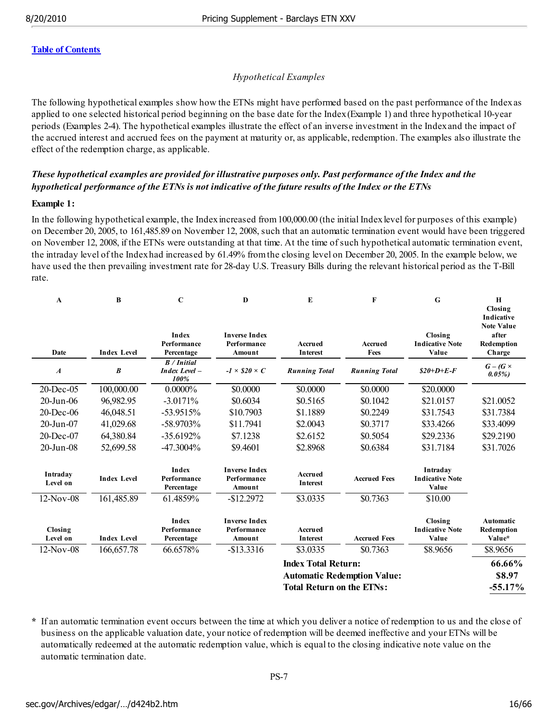## *Hypothetical Examples*

The following hypothetical examples show how the ETNs might have performed based on the past performance of the Index as applied to one selected historical period beginning on the base date for the Index (Example 1) and three hypothetical 10-year periods (Examples 2-4). The hypothetical examples illustrate the effect of an inverse investment in the Index and the impact of the accrued interest and accrued fees on the payment at maturity or, as applicable, redemption. The examples also illustrate the effect of the redemption charge, as applicable.

# *These hypothetical examples are provided for illustrative purposes only. Past performance of the Index and the hypothetical performance of the ETNs is not indicative of the future results of the Index or the ETNs*

## **Example 1:**

In the following hypothetical example, the Index increased from 100,000.00 (the initial Index level for purposes of this example) on December 20, 2005, to 161,485.89 on November 12, 2008, such that an automatic termination event would have been triggered on November 12, 2008, if the ETNs were outstanding at that time. At the time of such hypothetical automatic termination event, the intraday level of the Index had increased by 61.49% from the closing level on December 20, 2005. In the example below, we have used the then prevailing investment rate for 28-day U.S. Treasury Bills during the relevant historical period as the T-Bill rate.

| A                    | $\bf{B}$           | C                                         | D                                             | E                                                              | $\mathbf{F}$                       | G                                           | H<br>Closing<br>Indicative<br><b>Note Value</b> |
|----------------------|--------------------|-------------------------------------------|-----------------------------------------------|----------------------------------------------------------------|------------------------------------|---------------------------------------------|-------------------------------------------------|
| Date                 | <b>Index Level</b> | <b>Index</b><br>Performance<br>Percentage | <b>Inverse Index</b><br>Performance<br>Amount | Accrued<br><b>Interest</b>                                     | Accrued<br>Fees                    | Closing<br><b>Indicative Note</b><br>Value  | after<br>Redemption<br>Charge                   |
| $\boldsymbol{A}$     | $\boldsymbol{B}$   | B / Initial<br>Index Level -<br>100%      | $-1 \times $20 \times C$                      | <b>Running Total</b>                                           | <b>Running Total</b>               | $$20+D+E-F$                                 | $G - (G \times$<br>$0.05\%$                     |
| 20-Dec-05            | 100,000.00         | $0.0000\%$                                | \$0.0000                                      | \$0.0000                                                       | \$0.0000                           | \$20,0000                                   |                                                 |
| $20 - Jun - 06$      | 96,982.95          | $-3.0171\%$                               | \$0.6034                                      | \$0.5165                                                       | \$0.1042                           | \$21.0157                                   | \$21.0052                                       |
| $20$ -Dec-06         | 46,048.51          | $-53.9515%$                               | \$10.7903                                     | \$1.1889                                                       | \$0.2249                           | \$31.7543                                   | \$31.7384                                       |
| $20 - Jun - 07$      | 41,029.68          | $-58.9703\%$                              | \$11.7941                                     | \$2.0043                                                       | \$0.3717                           | \$33.4266                                   | \$33.4099                                       |
| 20-Dec-07            | 64,380.84          | $-35.6192%$                               | \$7.1238                                      | \$2.6152                                                       | \$0.5054                           | \$29.2336                                   | \$29.2190                                       |
| 20-Jun-08            | 52,699.58          | $-47.3004\%$                              | \$9.4601                                      | \$2.8968                                                       | \$0.6384                           | \$31.7184                                   | \$31.7026                                       |
| Intraday<br>Level on | <b>Index Level</b> | <b>Index</b><br>Performance<br>Percentage | <b>Inverse Index</b><br>Performance<br>Amount | <b>Accrued</b><br><b>Interest</b>                              | <b>Accrued Fees</b>                | Intraday<br><b>Indicative Note</b><br>Value |                                                 |
| 12-Nov-08            | 161,485.89         | 61.4859%                                  | $-$12.2972$                                   | \$3.0335                                                       | \$0.7363                           | \$10.00                                     |                                                 |
| Closing<br>Level on  | <b>Index Level</b> | <b>Index</b><br>Performance<br>Percentage | <b>Inverse Index</b><br>Performance<br>Amount | <b>Accrued</b><br>Interest                                     | <b>Accrued Fees</b>                | Closing<br><b>Indicative Note</b><br>Value  | Automatic<br>Redemption<br>Value*               |
| 12-Nov-08            | 166,657.78         | 66.6578%                                  | $-$13.3316$                                   | \$3.0335                                                       | \$0.7363                           | \$8.9656                                    | \$8.9656                                        |
|                      |                    |                                           |                                               | <b>Index Total Return:</b><br><b>Total Return on the ETNs:</b> | <b>Automatic Redemption Value:</b> |                                             | 66.66%<br>\$8.97<br>$-55.17%$                   |

**\*** If an automatic termination event occurs between the time at which you deliver a notice of redemption to us and the close of business on the applicable valuation date, your notice of redemption will be deemed ineffective and your ETNs will be automatically redeemed at the automatic redemption value, which is equal to the closing indicative note value on the automatic termination date.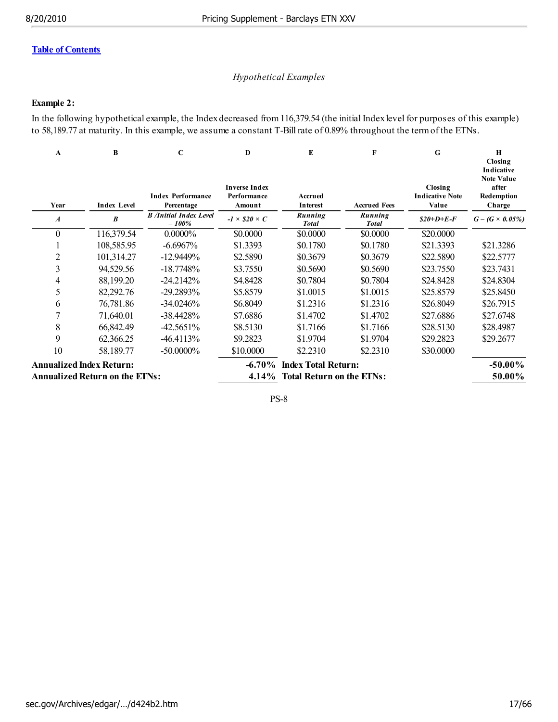## *Hypothetical Examples*

## **Example 2:**

In the following hypothetical example, the Index decreased from 116,379.54 (the initial Index level for purposes of this example) to 58,189.77 at maturity. In this example, we assume a constant T-Bill rate of 0.89% throughout the term of the ETNs.

| A                | B                                     | C                                        | D                                             | E                               | F                       | G                                          | H<br>Closing                                                            |
|------------------|---------------------------------------|------------------------------------------|-----------------------------------------------|---------------------------------|-------------------------|--------------------------------------------|-------------------------------------------------------------------------|
| Year             | <b>Index Level</b>                    | <b>Index Performance</b><br>Percentage   | <b>Inverse Index</b><br>Performance<br>Amount | Accrued<br><b>Interest</b>      | <b>Accrued Fees</b>     | Closing<br><b>Indicative Note</b><br>Value | <b>Indicative</b><br><b>Note Value</b><br>after<br>Redemption<br>Charge |
| $\boldsymbol{A}$ | B                                     | <b>B</b> /Initial Index Level<br>$-100%$ | $-1 \times $20 \times C$                      | Running<br><b>Total</b>         | Running<br><b>Total</b> | $$20+D+E-F$                                | $G - (G \times 0.05\%)$                                                 |
| 0                | 116,379.54                            | $0.0000\%$                               | \$0.0000                                      | \$0.0000                        | \$0.0000                | \$20.0000                                  |                                                                         |
|                  | 108,585.95                            | $-6.6967\%$                              | \$1.3393                                      | \$0.1780                        | \$0.1780                | \$21.3393                                  | \$21.3286                                                               |
| 2                | 101,314.27                            | $-12.9449%$                              | \$2.5890                                      | \$0.3679                        | \$0.3679                | \$22.5890                                  | \$22,5777                                                               |
| 3                | 94,529.56                             | $-18.7748%$                              | \$3.7550                                      | \$0.5690                        | \$0.5690                | \$23.7550                                  | \$23.7431                                                               |
| 4                | 88,199.20                             | $-24.2142%$                              | \$4.8428                                      | \$0.7804                        | \$0.7804                | \$24.8428                                  | \$24.8304                                                               |
| 5                | 82,292.76                             | $-29.2893%$                              | \$5.8579                                      | \$1.0015                        | \$1.0015                | \$25.8579                                  | \$25.8450                                                               |
| 6                | 76,781.86                             | $-34.0246%$                              | \$6.8049                                      | \$1.2316                        | \$1.2316                | \$26.8049                                  | \$26.7915                                                               |
|                  | 71,640.01                             | $-38.4428%$                              | \$7.6886                                      | \$1.4702                        | \$1.4702                | \$27.6886                                  | \$27.6748                                                               |
| 8                | 66,842.49                             | $-42.5651\%$                             | \$8.5130                                      | \$1.7166                        | \$1.7166                | \$28.5130                                  | \$28.4987                                                               |
| 9                | 62,366.25                             | $-46.4113\%$                             | \$9.2823                                      | \$1.9704                        | \$1.9704                | \$29.2823                                  | \$29.2677                                                               |
| 10               | 58,189.77                             | $-50.0000\%$                             | \$10.0000                                     | \$2.2310                        | \$2.2310                | \$30.0000                                  |                                                                         |
|                  | <b>Annualized Index Return:</b>       |                                          | $-6.70\%$                                     | <b>Index Total Return:</b>      |                         |                                            | $-50.00\%$                                                              |
|                  | <b>Annualized Return on the ETNs:</b> |                                          |                                               | 4.14% Total Return on the ETNs: |                         |                                            | 50.00%                                                                  |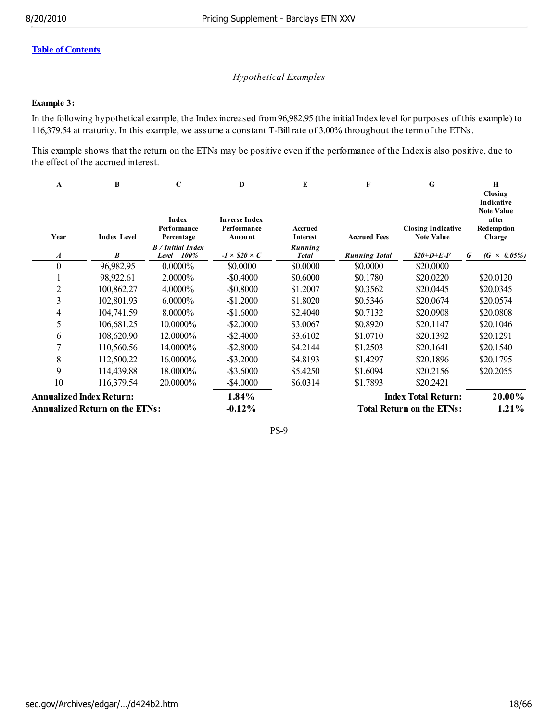## *Hypothetical Examples*

## **Example 3:**

In the following hypothetical example, the Index increased from 96,982.95 (the initial Index level for purposes of this example) to 116,379.54 at maturity. In this example, we assume a constant T-Bill rate of 3.00% throughout the term of the ETNs.

This example shows that the return on the ETNs may be positive even if the performance of the Index is also positive, due to the effect of the accrued interest.

| A    | B                                                                        | $\mathbf C$<br><b>Index</b><br>Performance  | $\bf{D}$<br><b>Inverse Index</b><br>Performance | E<br>Accrued            | F                                                              | G<br><b>Closing Indicative</b> | H<br>Closing<br>Indicative<br><b>Note Value</b><br>after<br>Redemption |
|------|--------------------------------------------------------------------------|---------------------------------------------|-------------------------------------------------|-------------------------|----------------------------------------------------------------|--------------------------------|------------------------------------------------------------------------|
| Year | <b>Index Level</b>                                                       | <b>Percentage</b>                           | Amount                                          | Interest                | <b>Accrued Fees</b>                                            | <b>Note Value</b>              | Charge                                                                 |
| A    | B                                                                        | <b>B</b> / Initial Index<br>$Level - 100\%$ | $-1 \times $20 \times C$                        | Running<br><b>Total</b> | <b>Running Total</b>                                           | $$20+D+E-F$                    | $G - (G \times 0.05\%)$                                                |
| 0    | 96,982.95                                                                | $0.0000\%$                                  | \$0,0000                                        | \$0.0000                | \$0,0000                                                       | \$20,0000                      |                                                                        |
|      | 98,922.61                                                                | 2.0000%                                     | $-$ \$0.4000                                    | \$0.6000                | \$0.1780                                                       | \$20.0220                      | \$20.0120                                                              |
| 2    | 100,862.27                                                               | 4.0000%                                     | $-$ \$0.8000                                    | \$1.2007                | \$0.3562                                                       | \$20.0445                      | \$20.0345                                                              |
| 3    | 102,801.93                                                               | $6.0000\%$                                  | $-$1,2000$                                      | \$1.8020                | \$0.5346                                                       | \$20,0674                      | \$20.0574                                                              |
| 4    | 104,741.59                                                               | 8.0000%                                     | $-$1.6000$                                      | \$2.4040                | \$0.7132                                                       | \$20.0908                      | \$20.0808                                                              |
| 5    | 106,681.25                                                               | 10.0000%                                    | $-$ \$2,0000                                    | \$3.0067                | \$0.8920                                                       | \$20.1147                      | \$20.1046                                                              |
| 6    | 108,620.90                                                               | 12.0000%                                    | $-$ \$2.4000                                    | \$3.6102                | \$1.0710                                                       | \$20.1392                      | \$20.1291                                                              |
|      | 110,560.56                                                               | 14.0000%                                    | $-$ \$2.8000                                    | \$4.2144                | \$1.2503                                                       | \$20.1641                      | \$20.1540                                                              |
| 8    | 112,500.22                                                               | 16.0000%                                    | $-$ \$3.2000                                    | \$4.8193                | \$1,4297                                                       | \$20.1896                      | \$20,1795                                                              |
| 9    | 114,439.88                                                               | 18.0000%                                    | $-$ \$3.6000                                    | \$5,4250                | \$1,6094                                                       | \$20.2156                      | \$20.2055                                                              |
| 10   | 116,379.54                                                               | 20.0000%                                    | $-$ \$4.0000                                    | \$6.0314                | \$1.7893                                                       | \$20.2421                      |                                                                        |
|      | <b>Annualized Index Return:</b><br><b>Annualized Return on the ETNs:</b> |                                             | 1.84%<br>$-0.12\%$                              |                         | <b>Index Total Return:</b><br><b>Total Return on the ETNs:</b> |                                | 20.00%<br>1.21%                                                        |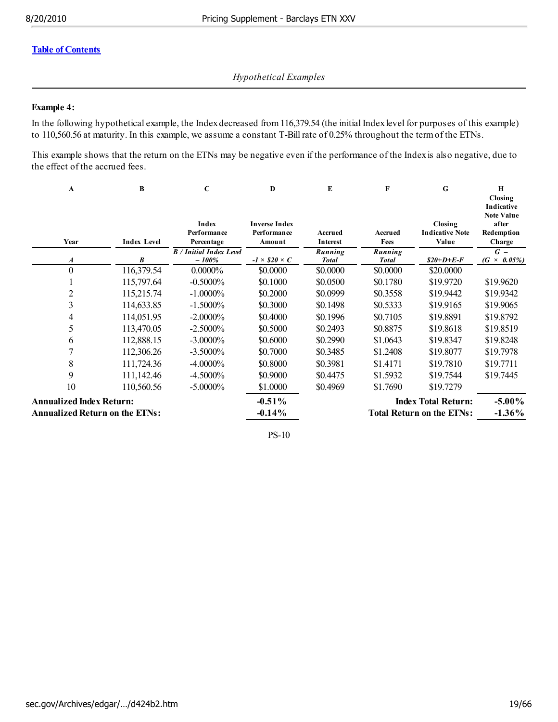*Hypothetical Examples*

## **Example 4:**

In the following hypothetical example, the Index decreased from 116,379.54 (the initial Index level for purposes of this example) to 110,560.56 at maturity. In this example, we assume a constant T-Bill rate of 0.25% throughout the term of the ETNs.

This example shows that the return on the ETNs may be negative even if the performance of the Index is also negative, due to the effect of the accrued fees.

| <b>B</b> / Initial Index Level<br>Running<br>Running<br>B<br>$-100%$<br>$-1 \times $20 \times C$<br>$$20+D+E-F$<br><b>Total</b><br><b>Total</b><br>A<br>$\theta$<br>116,379.54<br>\$0.0000<br>\$0.0000<br>\$0.0000<br>\$20.0000<br>$0.0000\%$<br>\$0.1780<br>115,797.64<br>$-0.5000\%$<br>\$0.1000<br>\$0.0500<br>\$19.9720<br>2<br>\$0.3558<br>115,215.74<br>$-1.0000\%$<br>\$0.2000<br>\$0.0999<br>\$19.9442<br>3<br>114,633.85<br>$-1.5000\%$<br>\$0.3000<br>\$0.1498<br>\$0.5333<br>\$19.9165<br>114,051.95<br>\$0.1996<br>$-2.0000\%$<br>\$0.4000<br>\$0.7105<br>\$19.8891<br>4<br>5<br>113,470.05<br>$-2.5000\%$<br>\$0.5000<br>\$0.2493<br>\$19.8618<br>\$0.8875<br>112,888.15<br>$-3.0000\%$<br>\$0.6000<br>\$0.2990<br>\$1.0643<br>\$19.8347<br>6 | $G -$<br>$(G \times 0.05\%)$ |
|------------------------------------------------------------------------------------------------------------------------------------------------------------------------------------------------------------------------------------------------------------------------------------------------------------------------------------------------------------------------------------------------------------------------------------------------------------------------------------------------------------------------------------------------------------------------------------------------------------------------------------------------------------------------------------------------------------------------------------------------------------|------------------------------|
|                                                                                                                                                                                                                                                                                                                                                                                                                                                                                                                                                                                                                                                                                                                                                            |                              |
|                                                                                                                                                                                                                                                                                                                                                                                                                                                                                                                                                                                                                                                                                                                                                            |                              |
|                                                                                                                                                                                                                                                                                                                                                                                                                                                                                                                                                                                                                                                                                                                                                            | \$19.9620                    |
|                                                                                                                                                                                                                                                                                                                                                                                                                                                                                                                                                                                                                                                                                                                                                            | \$19.9342                    |
|                                                                                                                                                                                                                                                                                                                                                                                                                                                                                                                                                                                                                                                                                                                                                            | \$19.9065                    |
|                                                                                                                                                                                                                                                                                                                                                                                                                                                                                                                                                                                                                                                                                                                                                            | \$19.8792                    |
|                                                                                                                                                                                                                                                                                                                                                                                                                                                                                                                                                                                                                                                                                                                                                            | \$19.8519                    |
|                                                                                                                                                                                                                                                                                                                                                                                                                                                                                                                                                                                                                                                                                                                                                            | \$19.8248                    |
| \$0.7000<br>\$0.3485<br>\$1.2408<br>\$19.8077<br>112,306.26<br>$-3.5000\%$                                                                                                                                                                                                                                                                                                                                                                                                                                                                                                                                                                                                                                                                                 | \$19.7978                    |
| 8<br>111,724.36<br>$-4.0000\%$<br>\$0.8000<br>\$0.3981<br>\$1.4171<br>\$19.7810                                                                                                                                                                                                                                                                                                                                                                                                                                                                                                                                                                                                                                                                            | \$19.7711                    |
| 9<br>111,142.46<br>$-4.5000\%$<br>\$0.9000<br>\$0.4475<br>\$1.5932<br>\$19.7544                                                                                                                                                                                                                                                                                                                                                                                                                                                                                                                                                                                                                                                                            | \$19.7445                    |
| 10<br>110,560.56<br>$-5.0000\%$<br>\$1.0000<br>\$0.4969<br>\$1.7690<br>\$19.7279                                                                                                                                                                                                                                                                                                                                                                                                                                                                                                                                                                                                                                                                           |                              |
| $-0.51%$<br><b>Index Total Return:</b><br><b>Annualized Index Return:</b>                                                                                                                                                                                                                                                                                                                                                                                                                                                                                                                                                                                                                                                                                  | $-5.00\%$                    |
| <b>Annualized Return on the ETNs:</b><br>$-0.14%$<br><b>Total Return on the ETNs:</b>                                                                                                                                                                                                                                                                                                                                                                                                                                                                                                                                                                                                                                                                      | $-1.36\%$                    |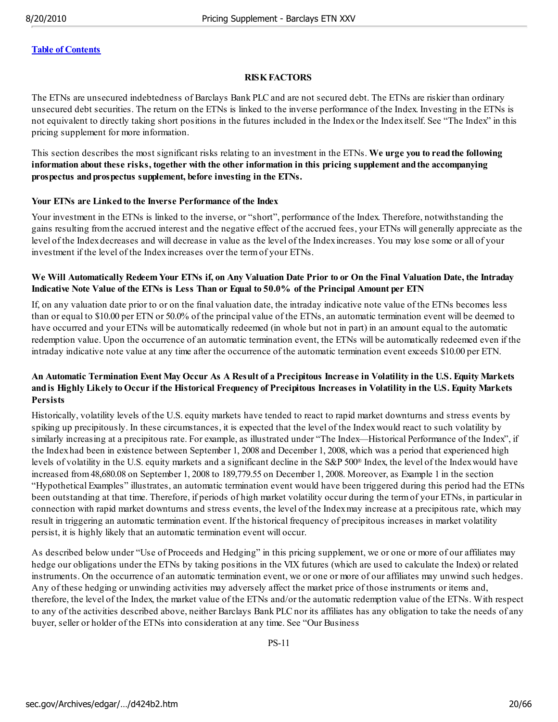## **RISK FACTORS**

The ETNs are unsecured indebtedness of Barclays Bank PLC and are not secured debt. The ETNs are riskier than ordinary unsecured debt securities. The return on the ETNs is linked to the inverse performance of the Index. Investing in the ETNs is not equivalent to directly taking short positions in the futures included in the Index or the Index itself. See "The Index" in this pricing supplement for more information.

This section describes the most significant risks relating to an investment in the ETNs. **We urge you to read the following information about these risks, together with the other information in this pricing supplement and the accompanying prospectus and prospectus supplement, before investing in the ETNs.**

## **Your ETNs are Linked to the Inverse Performance of the Index**

Your investment in the ETNs is linked to the inverse, or "short", performance of the Index. Therefore, notwithstanding the gains resulting from the accrued interest and the negative effect of the accrued fees, your ETNs will generally appreciate as the level of the Index decreases and will decrease in value as the level of the Index increases. You may lose some or all of your investment if the level of the Index increases over the term of your ETNs.

## **We Will Automatically Redeem Your ETNs if, on Any Valuation Date Prior to or On the Final Valuation Date, the Intraday Indicative Note Value of the ETNs is Less Than or Equal to 50.0% of the Principal Amount per ETN**

If, on any valuation date prior to or on the final valuation date, the intraday indicative note value of the ETNs becomes less than or equal to \$10.00 per ETN or 50.0% of the principal value of the ETNs, an automatic termination event will be deemed to have occurred and your ETNs will be automatically redeemed (in whole but not in part) in an amount equal to the automatic redemption value. Upon the occurrence of an automatic termination event, the ETNs will be automatically redeemed even if the intraday indicative note value at any time after the occurrence of the automatic termination event exceeds \$10.00 per ETN.

# **An Automatic Termination Event May Occur As A Result of a Precipitous Increase in Volatility in the U.S. Equity Markets and is Highly Likely to Occur if the Historical Frequency of Precipitous Increases in Volatility in the U.S. Equity Markets Persists**

Historically, volatility levels of the U.S. equity markets have tended to react to rapid market downturns and stress events by spiking up precipitously. In these circumstances, it is expected that the level of the Index would react to such volatility by similarly increasing at a precipitous rate. For example, as illustrated under "The Index—Historical Performance of the Index", if the Index had been in existence between September 1, 2008 and December 1, 2008, which was a period that experienced high levels of volatility in the U.S. equity markets and a significant decline in the S&P 500<sup>®</sup> Index, the level of the Index would have increased from 48,680.08 on September 1, 2008 to 189,779.55 on December 1, 2008. Moreover, as Example 1 in the section "Hypothetical Examples" illustrates, an automatic termination event would have been triggered during this period had the ETNs been outstanding at that time. Therefore, if periods of high market volatility occur during the term of your ETNs, in particular in connection with rapid market downturns and stress events, the level of the Index may increase at a precipitous rate, which may result in triggering an automatic termination event. If the historical frequency of precipitous increases in market volatility persist, it is highly likely that an automatic termination event will occur.

As described below under "Use of Proceeds and Hedging" in this pricing supplement, we or one or more of our affiliates may hedge our obligations under the ETNs by taking positions in the VIX futures (which are used to calculate the Index) or related instruments. On the occurrence of an automatic termination event, we or one or more of our affiliates may unwind such hedges. Any of these hedging or unwinding activities may adversely affect the market price of those instruments or items and, therefore, the level of the Index, the market value of the ETNs and/or the automatic redemption value of the ETNs. With respect to any of the activities described above, neither Barclays Bank PLC nor its affiliates has any obligation to take the needs of any buyer, seller or holder of the ETNs into consideration at any time. See "Our Business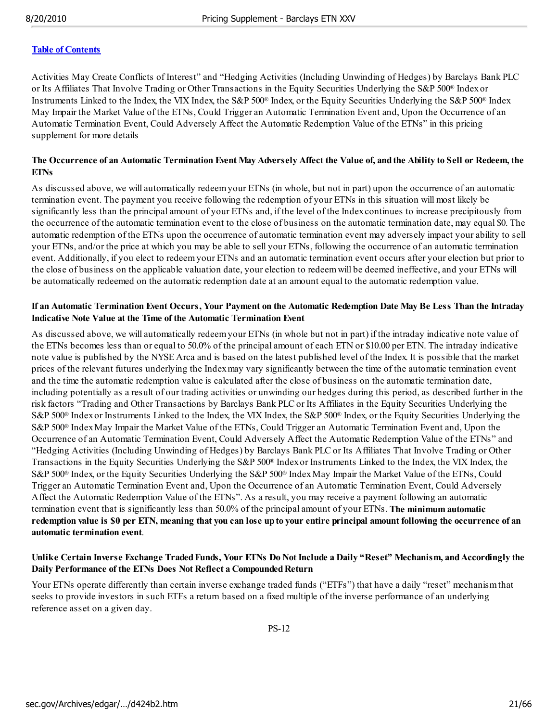Activities May Create Conflicts of Interest" and "Hedging Activities (Including Unwinding of Hedges) by Barclays Bank PLC or Its Affiliates That Involve Trading or Other Transactions in the Equity Securities Underlying the S&P 500® Index or Instruments Linked to the Index, the VIX Index, the S&P  $500^\circ$  Index, or the Equity Securities Underlying the S&P  $500^\circ$  Index May Impair the Market Value of the ETNs, Could Trigger an Automatic Termination Event and, Upon the Occurrence of an Automatic Termination Event, Could Adversely Affect the Automatic Redemption Value of the ETNs" in this pricing supplement for more details

## **The Occurrence of an Automatic Termination Event May Adversely Affect the Value of, and the Ability to Sell or Redeem, the ETNs**

As discussed above, we will automatically redeem your ETNs (in whole, but not in part) upon the occurrence of an automatic termination event. The payment you receive following the redemption of your ETNs in this situation will most likely be significantly less than the principal amount of your ETNs and, if the level of the Index continues to increase precipitously from the occurrence of the automatic termination event to the close of business on the automatic termination date, may equal \$0. The automatic redemption of the ETNs upon the occurrence of automatic termination event may adversely impact your ability to sell your ETNs, and/or the price at which you may be able to sell your ETNs, following the occurrence of an automatic termination event. Additionally, if you elect to redeem your ETNs and an automatic termination event occurs after your election but prior to the close of business on the applicable valuation date, your election to redeem will be deemed ineffective, and your ETNs will be automatically redeemed on the automatic redemption date at an amount equal to the automatic redemption value.

## **If an Automatic Termination Event Occurs, Your Payment on the Automatic Redemption Date May Be Less Than the Intraday Indicative Note Value at the Time of the Automatic Termination Event**

As discussed above, we will automatically redeem your ETNs (in whole but not in part) if the intraday indicative note value of the ETNs becomes less than or equal to 50.0% of the principal amount of each ETN or \$10.00 per ETN. The intraday indicative note value is published by the NYSE Arca and is based on the latest published level of the Index. It is possible that the market prices of the relevant futures underlying the Index may vary significantly between the time of the automatic termination event and the time the automatic redemption value is calculated after the close of business on the automatic termination date, including potentially as a result of our trading activities or unwinding our hedges during this period, as described further in the risk factors "Trading and Other Transactions by Barclays Bank PLC or Its Affiliates in the Equity Securities Underlying the S&P 500<sup>®</sup> Index or Instruments Linked to the Index, the VIX Index, the S&P 500<sup>®</sup> Index, or the Equity Securities Underlying the S&P 500<sup>®</sup> Index May Impair the Market Value of the ETNs, Could Trigger an Automatic Termination Event and, Upon the Occurrence of an Automatic Termination Event, Could Adversely Affect the Automatic Redemption Value of the ETNs" and "Hedging Activities (Including Unwinding of Hedges) by Barclays Bank PLC or Its Affiliates That Involve Trading or Other Transactions in the Equity Securities Underlying the S&P 500® Index or Instruments Linked to the Index, the VIX Index, the S&P 500<sup>®</sup> Index, or the Equity Securities Underlying the S&P 500<sup>®</sup> Index May Impair the Market Value of the ETNs, Could Trigger an Automatic Termination Event and, Upon the Occurrence of an Automatic Termination Event, Could Adversely Affect the Automatic Redemption Value of the ETNs". As a result, you may receive a payment following an automatic termination event that is significantly less than 50.0% of the principal amount of your ETNs. **The minimum automatic redemption value is \$0 per ETN, meaning that you can lose up to your entire principal amount following the occurrence of an automatic termination event**.

## **Unlike Certain Inverse Exchange Traded Funds, Your ETNs Do Not Include a Daily "Reset" Mechanism, and Accordingly the Daily Performance of the ETNs Does Not Reflect a Compounded Return**

Your ETNs operate differently than certain inverse exchange traded funds ("ETFs") that have a daily "reset" mechanism that seeks to provide investors in such ETFs a return based on a fixed multiple of the inverse performance of an underlying reference asset on a given day.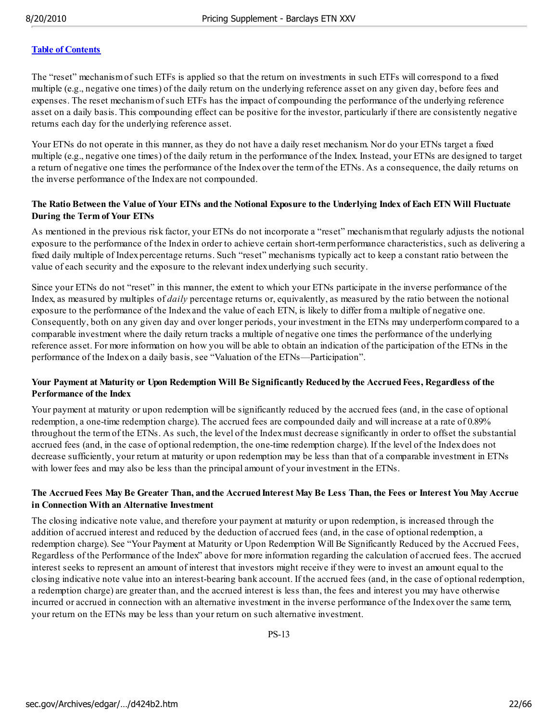The "reset" mechanism of such ETFs is applied so that the return on investments in such ETFs will correspond to a fixed multiple (e.g., negative one times) of the daily return on the underlying reference asset on any given day, before fees and expenses. The reset mechanism of such ETFs has the impact of compounding the performance of the underlying reference asset on a daily basis. This compounding effect can be positive for the investor, particularly if there are consistently negative returns each day for the underlying reference asset.

Your ETNs do not operate in this manner, as they do not have a daily reset mechanism. Nor do your ETNs target a fixed multiple (e.g., negative one times) of the daily return in the performance of the Index. Instead, your ETNs are designed to target a return of negative one times the performance of the Index over the term of the ETNs. As a consequence, the daily returns on the inverse performance of the Index are not compounded.

## **The Ratio Between the Value of Your ETNs and the Notional Exposure to the Underlying Index of Each ETN Will Fluctuate During the Term of Your ETNs**

As mentioned in the previous risk factor, your ETNs do not incorporate a "reset" mechanism that regularly adjusts the notional exposure to the performance of the Index in order to achieve certain short-term performance characteristics, such as delivering a fixed daily multiple of Index percentage returns. Such "reset" mechanisms typically act to keep a constant ratio between the value of each security and the exposure to the relevant index underlying such security.

Since your ETNs do not "reset" in this manner, the extent to which your ETNs participate in the inverse performance of the Index, as measured by multiples of *daily* percentage returns or, equivalently, as measured by the ratio between the notional exposure to the performance of the Index and the value of each ETN, is likely to differ from a multiple of negative one. Consequently, both on any given day and over longer periods, your investment in the ETNs may underperform compared to a comparable investment where the daily return tracks a multiple of negative one times the performance of the underlying reference asset. For more information on how you will be able to obtain an indication of the participation of the ETNs in the performance of the Index on a daily basis, see "Valuation of the ETNs—Participation".

## **Your Payment at Maturity or Upon Redemption Will Be Significantly Reduced by the Accrued Fees, Regardless of the Performance of the Index**

Your payment at maturity or upon redemption will be significantly reduced by the accrued fees (and, in the case of optional redemption, a one-time redemption charge). The accrued fees are compounded daily and will increase at a rate of 0.89% throughout the term of the ETNs. As such, the level of the Index must decrease significantly in order to offset the substantial accrued fees (and, in the case of optional redemption, the one-time redemption charge). If the level of the Index does not decrease sufficiently, your return at maturity or upon redemption may be less than that of a comparable investment in ETNs with lower fees and may also be less than the principal amount of your investment in the ETNs.

## **The Accrued Fees May Be Greater Than, and the Accrued Interest May Be Less Than, the Fees or Interest You May Accrue in Connection With an Alternative Investment**

The closing indicative note value, and therefore your payment at maturity or upon redemption, is increased through the addition of accrued interest and reduced by the deduction of accrued fees (and, in the case of optional redemption, a redemption charge). See "Your Payment at Maturity or Upon Redemption Will Be Significantly Reduced by the Accrued Fees, Regardless of the Performance of the Index" above for more information regarding the calculation of accrued fees. The accrued interest seeks to represent an amount of interest that investors might receive if they were to invest an amount equal to the closing indicative note value into an interest-bearing bank account. If the accrued fees (and, in the case of optional redemption, a redemption charge) are greater than, and the accrued interest is less than, the fees and interest you may have otherwise incurred or accrued in connection with an alternative investment in the inverse performance of the Index over the same term, your return on the ETNs may be less than your return on such alternative investment.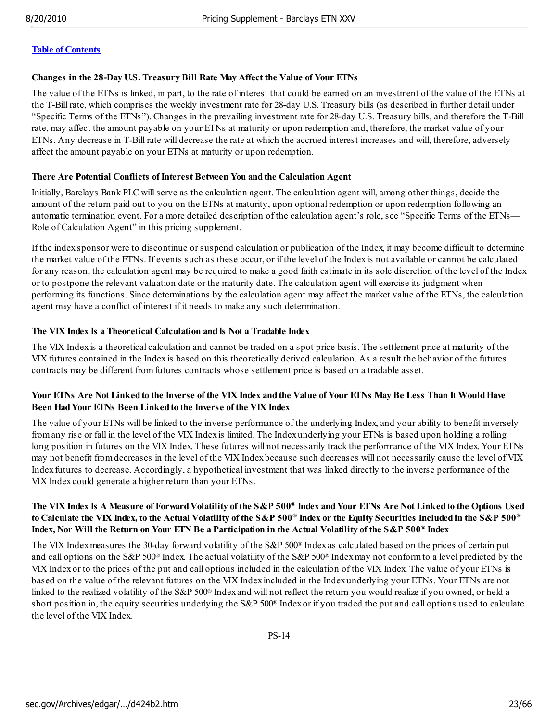## **Changes in the 28-Day U.S. Treasury Bill Rate May Affect the Value of Your ETNs**

The value of the ETNs is linked, in part, to the rate of interest that could be earned on an investment of the value of the ETNs at the T-Bill rate, which comprises the weekly investment rate for 28-day U.S. Treasury bills (as described in further detail under "Specific Terms of the ETNs"). Changes in the prevailing investment rate for 28-day U.S. Treasury bills, and therefore the T-Bill rate, may affect the amount payable on your ETNs at maturity or upon redemption and, therefore, the market value of your ETNs. Any decrease in T-Bill rate will decrease the rate at which the accrued interest increases and will, therefore, adversely affect the amount payable on your ETNs at maturity or upon redemption.

## **There Are Potential Conflicts of Interest Between You and the Calculation Agent**

Initially, Barclays Bank PLC will serve as the calculation agent. The calculation agent will, among other things, decide the amount of the return paid out to you on the ETNs at maturity, upon optional redemption or upon redemption following an automatic termination event. For a more detailed description of the calculation agent's role, see "Specific Terms of the ETNs— Role of Calculation Agent" in this pricing supplement.

If the index sponsor were to discontinue or suspend calculation or publication of the Index, it may become difficult to determine the market value of the ETNs. If events such as these occur, or if the level of the Index is not available or cannot be calculated for any reason, the calculation agent may be required to make a good faith estimate in its sole discretion of the level of the Index or to postpone the relevant valuation date or the maturity date. The calculation agent will exercise its judgment when performing its functions. Since determinations by the calculation agent may affect the market value of the ETNs, the calculation agent may have a conflict of interest if it needs to make any such determination.

# **The VIX Index Is a Theoretical Calculation and Is Not a Tradable Index**

The VIX Index is a theoretical calculation and cannot be traded on a spot price basis. The settlement price at maturity of the VIX futures contained in the Index is based on this theoretically derived calculation. As a result the behavior of the futures contracts may be different from futures contracts whose settlement price is based on a tradable asset.

# **Your ETNs Are Not Linked to the Inverse of the VIX Index and the Value of Your ETNs May Be Less Than It Would Have Been Had Your ETNs Been Linked to the Inverse of the VIX Index**

The value of your ETNs will be linked to the inverse performance of the underlying Index, and your ability to benefit inversely from any rise or fall in the level of the VIX Index is limited. The Index underlying your ETNs is based upon holding a rolling long position in futures on the VIX Index. These futures will not necessarily track the performance of the VIX Index. Your ETNs may not benefit from decreases in the level of the VIX Index because such decreases will not necessarily cause the level of VIX Index futures to decrease. Accordingly, a hypothetical investment that was linked directly to the inverse performance of the VIX Index could generate a higher return than your ETNs.

# The VIX Index Is A Measure of Forward Volatility of the S&P 500® Index and Your ETNs Are Not Linked to the Options Used to Calculate the VIX Index, to the Actual Volatility of the S&P 500® Index or the Equity Securities Included in the S&P 500® Index, Nor Will the Return on Your ETN Be a Participation in the Actual Volatility of the S&P 500® Index

The VIX Index measures the 30-day forward volatility of the S&P  $500\%$  Index as calculated based on the prices of certain put and call options on the S&P 500® Index. The actual volatility of the S&P 500® Index may not conform to a level predicted by the VIX Index or to the prices of the put and call options included in the calculation of the VIX Index. The value of your ETNs is based on the value of the relevant futures on the VIX Index included in the Index underlying your ETNs. Your ETNs are not linked to the realized volatility of the S&P 500® Index and will not reflect the return you would realize if you owned, or held a short position in, the equity securities underlying the S&P 500® Index or if you traded the put and call options used to calculate the level of the VIX Index.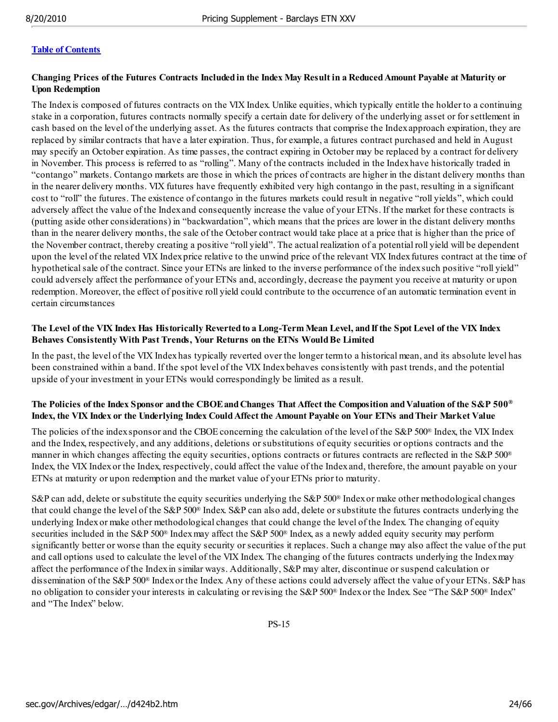## **Changing Prices of the Futures Contracts Included in the Index May Result in a Reduced Amount Payable at Maturity or Upon Redemption**

The Index is composed of futures contracts on the VIX Index. Unlike equities, which typically entitle the holder to a continuing stake in a corporation, futures contracts normally specify a certain date for delivery of the underlying asset or for settlement in cash based on the level of the underlying asset. As the futures contracts that comprise the Index approach expiration, they are replaced by similar contracts that have a later expiration. Thus, for example, a futures contract purchased and held in August may specify an October expiration. As time passes, the contract expiring in October may be replaced by a contract for delivery in November. This process is referred to as "rolling". Many of the contracts included in the Index have historically traded in "contango" markets. Contango markets are those in which the prices of contracts are higher in the distant delivery months than in the nearer delivery months. VIX futures have frequently exhibited very high contango in the past, resulting in a significant cost to "roll" the futures. The existence of contango in the futures markets could result in negative "roll yields", which could adversely affect the value of the Index and consequently increase the value of your ETNs. If the market for these contracts is (putting aside other considerations) in "backwardation", which means that the prices are lower in the distant delivery months than in the nearer delivery months, the sale of the October contract would take place at a price that is higher than the price of the November contract, thereby creating a positive "roll yield". The actual realization of a potential roll yield will be dependent upon the level of the related VIX Index price relative to the unwind price of the relevant VIX Index futures contract at the time of hypothetical sale of the contract. Since your ETNs are linked to the inverse performance of the index such positive "roll yield" could adversely affect the performance of your ETNs and, accordingly, decrease the payment you receive at maturity or upon redemption. Moreover, the effect of positive roll yield could contribute to the occurrence of an automatic termination event in certain circumstances

## **The Level of the VIX Index Has Historically Reverted to a Long-Term Mean Level, and If the Spot Level of the VIX Index Behaves Consistently With Past Trends, Your Returns on the ETNs Would Be Limited**

In the past, the level of the VIX Index has typically reverted over the longer term to a historical mean, and its absolute level has been constrained within a band. If the spot level of the VIX Index behaves consistently with past trends, and the potential upside of your investment in your ETNs would correspondingly be limited as a result.

# **The Policies of the Index Sponsor and the CBOE and Changes That Affect the Composition and Valuation of the S&P 500 ® Index, the VIX Index or the Underlying Index Could Affect the Amount Payable on Your ETNs and Their Market Value**

The policies of the index sponsor and the CBOE concerning the calculation of the level of the S&P 500 $\textdegree$  Index, the VIX Index and the Index, respectively, and any additions, deletions or substitutions of equity securities or options contracts and the manner in which changes affecting the equity securities, options contracts or futures contracts are reflected in the S&P 500 ® Index, the VIX Index or the Index, respectively, could affect the value of the Index and, therefore, the amount payable on your ETNs at maturity or upon redemption and the market value of your ETNs prior to maturity.

S&P can add, delete or substitute the equity securities underlying the S&P 500<sup>®</sup> Index or make other methodological changes that could change the level of the S&P 500® Index. S&P can also add, delete or substitute the futures contracts underlying the underlying Index or make other methodological changes that could change the level of the Index. The changing of equity securities included in the S&P 500<sup>®</sup> Index may affect the S&P 500<sup>®</sup> Index, as a newly added equity security may perform significantly better or worse than the equity security or securities it replaces. Such a change may also affect the value of the put and call options used to calculate the level of the VIX Index. The changing of the futures contracts underlying the Index may affect the performance of the Index in similar ways. Additionally, S&P may alter, discontinue or suspend calculation or dissemination of the S&P 500® Index or the Index. Any of these actions could adversely affect the value of your ETNs. S&P has no obligation to consider your interests in calculating or revising the S&P 500® Index or the Index. See "The S&P 500® Index" and "The Index" below.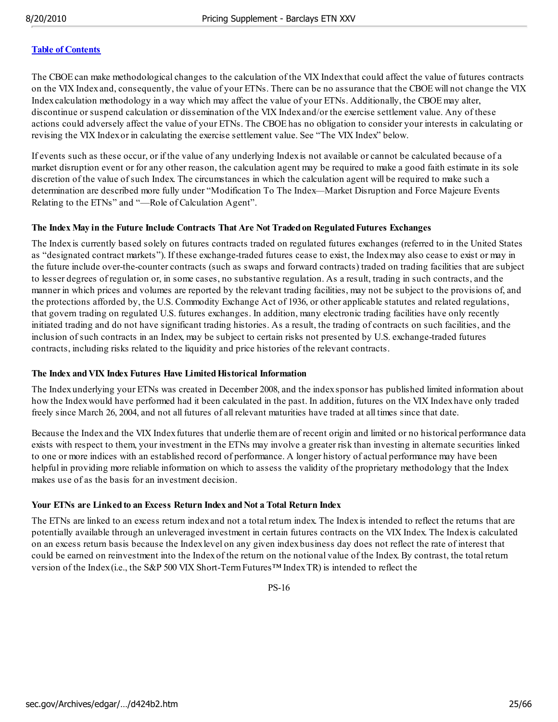The CBOE can make methodological changes to the calculation of the VIX Index that could affect the value of futures contracts on the VIX Index and, consequently, the value of your ETNs. There can be no assurance that the CBOE will not change the VIX Index calculation methodology in a way which may affect the value of your ETNs. Additionally, the CBOE may alter, discontinue or suspend calculation or dissemination of the VIX Index and/or the exercise settlement value. Any of these actions could adversely affect the value of your ETNs. The CBOE has no obligation to consider your interests in calculating or revising the VIX Index or in calculating the exercise settlement value. See "The VIX Index" below.

If events such as these occur, or if the value of any underlying Index is not available or cannot be calculated because of a market disruption event or for any other reason, the calculation agent may be required to make a good faith estimate in its sole discretion of the value of such Index. The circumstances in which the calculation agent will be required to make such a determination are described more fully under "Modification To The Index—Market Disruption and Force Majeure Events Relating to the ETNs" and "—Role of Calculation Agent".

## **The Index May in the Future Include Contracts That Are Not Traded on Regulated Futures Exchanges**

The Index is currently based solely on futures contracts traded on regulated futures exchanges (referred to in the United States as "designated contract markets"). If these exchange-traded futures cease to exist, the Index may also cease to exist or may in the future include over-the-counter contracts (such as swaps and forward contracts) traded on trading facilities that are subject to lesser degrees of regulation or, in some cases, no substantive regulation. As a result, trading in such contracts, and the manner in which prices and volumes are reported by the relevant trading facilities, may not be subject to the provisions of, and the protections afforded by, the U.S. Commodity Exchange Act of 1936, or other applicable statutes and related regulations, that govern trading on regulated U.S. futures exchanges. In addition, many electronic trading facilities have only recently initiated trading and do not have significant trading histories. As a result, the trading of contracts on such facilities, and the inclusion of such contracts in an Index, may be subject to certain risks not presented by U.S. exchange-traded futures contracts, including risks related to the liquidity and price histories of the relevant contracts.

## **The Index and VIX Index Futures Have Limited Historical Information**

The Index underlying your ETNs was created in December 2008, and the index sponsor has published limited information about how the Index would have performed had it been calculated in the past. In addition, futures on the VIX Index have only traded freely since March 26, 2004, and not all futures of all relevant maturities have traded at all times since that date.

Because the Index and the VIX Index futures that underlie them are of recent origin and limited or no historical performance data exists with respect to them, your investment in the ETNs may involve a greater risk than investing in alternate securities linked to one or more indices with an established record of performance. A longer history of actual performance may have been helpful in providing more reliable information on which to assess the validity of the proprietary methodology that the Index makes use of as the basis for an investment decision.

## **Your ETNs are Linked to an Excess Return Index and Not a Total Return Index**

The ETNs are linked to an excess return index and not a total return index. The Index is intended to reflect the returns that are potentially available through an unleveraged investment in certain futures contracts on the VIX Index. The Index is calculated on an excess return basis because the Index level on any given index business day does not reflect the rate of interest that could be earned on reinvestment into the Index of the return on the notional value of the Index. By contrast, the total return version of the Index (i.e., the S&P 500 VIX Short-Term Futures™ Index TR) is intended to reflect the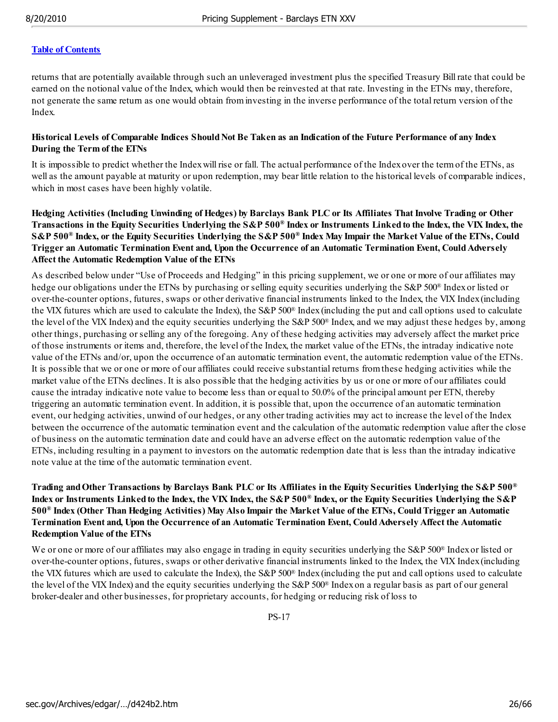returns that are potentially available through such an unleveraged investment plus the specified Treasury Bill rate that could be earned on the notional value of the Index, which would then be reinvested at that rate. Investing in the ETNs may, therefore, not generate the same return as one would obtain from investing in the inverse performance of the total return version of the Index.

## **Historical Levels of Comparable Indices Should Not Be Taken as an Indication of the Future Performance of any Index During the Term of the ETNs**

It is impossible to predict whether the Index will rise or fall. The actual performance of the Index over the term of the ETNs, as well as the amount payable at maturity or upon redemption, may bear little relation to the historical levels of comparable indices, which in most cases have been highly volatile.

# **Hedging Activities (Including Unwinding of Hedges) by Barclays Bank PLC or Its Affiliates That Involve Trading or Other** Transactions in the Equity Securities Underlying the S&P 500® Index or Instruments Linked to the Index, the VIX Index, the  $S$ &P 500® Index, or the Equity Securities Underlying the S&P 500® Index May Impair the Market Value of the ETNs, Could **Trigger an Automatic Termination Event and, Upon the Occurrence of an Automatic Termination Event, Could Adversely Affect the Automatic Redemption Value of the ETNs**

As described below under "Use of Proceeds and Hedging" in this pricing supplement, we or one or more of our affiliates may hedge our obligations under the ETNs by purchasing or selling equity securities underlying the S&P 500<sup>®</sup> Index or listed or over-the-counter options, futures, swaps or other derivative financial instruments linked to the Index, the VIX Index (including the VIX futures which are used to calculate the Index), the S&P 500 $^{\circ}$  Index (including the put and call options used to calculate the level of the VIX Index) and the equity securities underlying the S&P 500<sup>®</sup> Index, and we may adjust these hedges by, among other things, purchasing or selling any of the foregoing. Any of these hedging activities may adversely affect the market price of those instruments or items and, therefore, the level of the Index, the market value of the ETNs, the intraday indicative note value of the ETNs and/or, upon the occurrence of an automatic termination event, the automatic redemption value of the ETNs. It is possible that we or one or more of our affiliates could receive substantial returns from these hedging activities while the market value of the ETNs declines. It is also possible that the hedging activities by us or one or more of our affiliates could cause the intraday indicative note value to become less than or equal to 50.0% of the principal amount per ETN, thereby triggering an automatic termination event. In addition, it is possible that, upon the occurrence of an automatic termination event, our hedging activities, unwind of our hedges, or any other trading activities may act to increase the level of the Index between the occurrence of the automatic termination event and the calculation of the automatic redemption value after the close of business on the automatic termination date and could have an adverse effect on the automatic redemption value of the ETNs, including resulting in a payment to investors on the automatic redemption date that is less than the intraday indicative note value at the time of the automatic termination event.

# **Trading and Other Transactions by Barclays Bank PLC or Its Affiliates in the Equity Securities Underlying the S&P 500 ®** Index or Instruments Linked to the Index, the VIX Index, the S&P 500® Index, or the Equity Securities Underlying the S&P **500 Index (Other Than Hedging Activities) May Also Impair the Market Value of the ETNs, Could Trigger an Automatic ® Termination Event and, Upon the Occurrence of an Automatic Termination Event, Could Adversely Affect the Automatic Redemption Value of the ETNs**

We or one or more of our affiliates may also engage in trading in equity securities underlying the S&P 500<sup>®</sup> Index or listed or over-the-counter options, futures, swaps or other derivative financial instruments linked to the Index, the VIX Index (including the VIX futures which are used to calculate the Index), the S&P  $500^{\circ}$  Index (including the put and call options used to calculate the level of the VIX Index) and the equity securities underlying the S&P 500<sup>®</sup> Index on a regular basis as part of our general broker-dealer and other businesses, for proprietary accounts, for hedging or reducing risk of loss to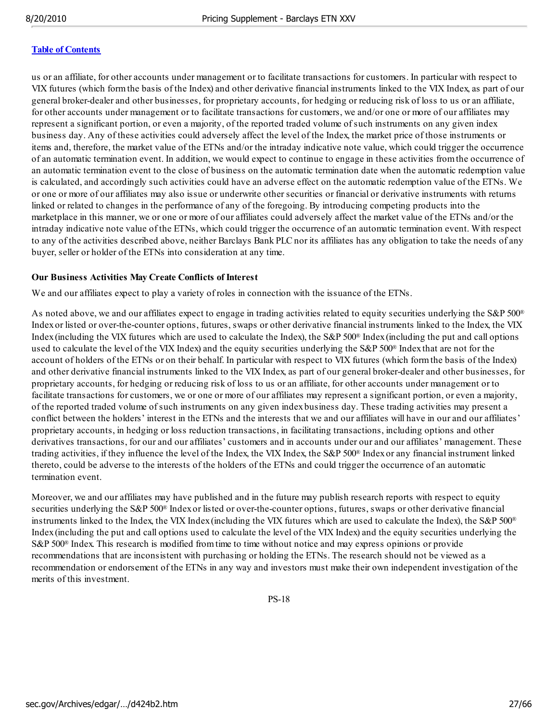us or an affiliate, for other accounts under management or to facilitate transactions for customers. In particular with respect to VIX futures (which form the basis of the Index) and other derivative financial instruments linked to the VIX Index, as part of our general broker-dealer and other businesses, for proprietary accounts, for hedging or reducing risk of loss to us or an affiliate, for other accounts under management or to facilitate transactions for customers, we and/or one or more of our affiliates may represent a significant portion, or even a majority, of the reported traded volume of such instruments on any given index business day. Any of these activities could adversely affect the level of the Index, the market price of those instruments or items and, therefore, the market value of the ETNs and/or the intraday indicative note value, which could trigger the occurrence of an automatic termination event. In addition, we would expect to continue to engage in these activities from the occurrence of an automatic termination event to the close of business on the automatic termination date when the automatic redemption value is calculated, and accordingly such activities could have an adverse effect on the automatic redemption value of the ETNs. We or one or more of our affiliates may also issue or underwrite other securities or financial or derivative instruments with returns linked or related to changes in the performance of any of the foregoing. By introducing competing products into the marketplace in this manner, we or one or more of our affiliates could adversely affect the market value of the ETNs and/or the intraday indicative note value of the ETNs, which could trigger the occurrence of an automatic termination event. With respect to any of the activities described above, neither Barclays Bank PLC nor its affiliates has any obligation to take the needs of any buyer, seller or holder of the ETNs into consideration at any time.

## **Our Business Activities May Create Conflicts of Interest**

We and our affiliates expect to play a variety of roles in connection with the issuance of the ETNs.

As noted above, we and our affiliates expect to engage in trading activities related to equity securities underlying the S&P 500<sup>®</sup> Index or listed or over-the-counter options, futures, swaps or other derivative financial instruments linked to the Index, the VIX Index (including the VIX futures which are used to calculate the Index), the S&P 500® Index (including the put and call options used to calculate the level of the VIX Index) and the equity securities underlying the S&P 500® Index that are not for the account of holders of the ETNs or on their behalf. In particular with respect to VIX futures (which form the basis of the Index) and other derivative financial instruments linked to the VIX Index, as part of our general broker-dealer and other businesses, for proprietary accounts, for hedging or reducing risk of loss to us or an affiliate, for other accounts under management or to facilitate transactions for customers, we or one or more of our affiliates may represent a significant portion, or even a majority, of the reported traded volume of such instruments on any given index business day. These trading activities may present a conflict between the holders' interest in the ETNs and the interests that we and our affiliates will have in our and our affiliates' proprietary accounts, in hedging or loss reduction transactions, in facilitating transactions, including options and other derivatives transactions, for our and our affiliates' customers and in accounts under our and our affiliates' management. These trading activities, if they influence the level of the Index, the VIX Index, the S&P 500® Index or any financial instrument linked thereto, could be adverse to the interests of the holders of the ETNs and could trigger the occurrence of an automatic termination event.

Moreover, we and our affiliates may have published and in the future may publish research reports with respect to equity securities underlying the S&P 500<sup>®</sup> Index or listed or over-the-counter options, futures, swaps or other derivative financial instruments linked to the Index, the VIX Index (including the VIX futures which are used to calculate the Index), the S&P 500 ® Index (including the put and call options used to calculate the level of the VIX Index) and the equity securities underlying the S&P 500<sup>®</sup> Index. This research is modified from time to time without notice and may express opinions or provide recommendations that are inconsistent with purchasing or holding the ETNs. The research should not be viewed as a recommendation or endorsement of the ETNs in any way and investors must make their own independent investigation of the merits of this investment.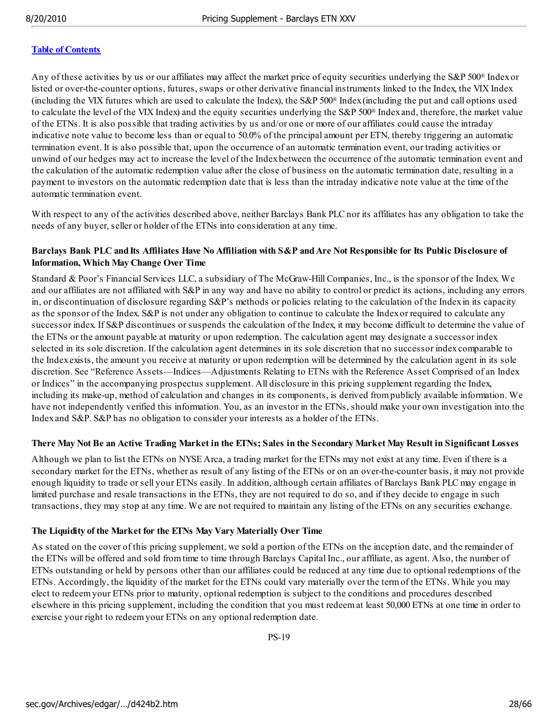Any of these activities by us or our affiliates may affect the market price of equity securities underlying the S&P 500<sup>®</sup> Index or listed or over-the-counter options, futures, swaps or other derivative financial instruments linked to the Index, the VIX Index (including the VIX futures which are used to calculate the Index), the  $S\&P 500$ <sup>®</sup> Index (including the put and call options used to calculate the level of the VIX Index) and the equity securities underlying the S&P 500<sup>®</sup> Index and, therefore, the market value of the ETNs. It is also possible that trading activities by us and/or one or more of our affiliates could cause the intraday indicative note value to become less than or equal to 50.0% of the principal amount per ETN, thereby triggering an automatic termination event. It is also possible that, upon the occurrence of an automatic termination event, our trading activities or unwind of our hedges may act to increase the level of the Index between the occurrence of the automatic termination event and the calculation of the automatic redemption value after the close of business on the automatic termination date, resulting in a payment to investors on the automatic redemption date that is less than the intraday indicative note value at the time of the automatic termination event.

With respect to any of the activities described above, neither Barclays Bank PLC nor its affiliates has any obligation to take the needs of any buyer, seller or holder of the ETNs into consideration at any time.

## **Barclays Bank PLC and Its Affiliates Have No Affiliation with S&P and Are Not Responsible for Its Public Disclosure of Information, Which May Change Over Time**

Standard & Poor's Financial Services LLC, a subsidiary of The McGraw-Hill Companies, Inc., is the sponsor of the Index. We and our affiliates are not affiliated with S&P in any way and have no ability to control or predict its actions, including any errors in, or discontinuation of disclosure regarding S&P's methods or policies relating to the calculation of the Index in its capacity as the sponsor of the Index. S&P is not under any obligation to continue to calculate the Index or required to calculate any successor index. If S&P discontinues or suspends the calculation of the Index, it may become difficult to determine the value of the ETNs or the amount payable at maturity or upon redemption. The calculation agent may designate a successor index selected in its sole discretion. If the calculation agent determines in its sole discretion that no successor index comparable to the Index exists, the amount you receive at maturity or upon redemption will be determined by the calculation agent in its sole discretion. See "Reference Assets—Indices—Adjustments Relating to ETNs with the Reference Asset Comprised of an Index or Indices" in the accompanying prospectus supplement. All disclosure in this pricing supplement regarding the Index, including its make-up, method of calculation and changes in its components, is derived from publicly available information. We have not independently verified this information. You, as an investor in the ETNs, should make your own investigation into the Index and S&P. S&P has no obligation to consider your interests as a holder of the ETNs.

#### **There May Not Be an Active Trading Market in the ETNs; Sales in the Secondary Market May Result in Significant Losses**

Although we plan to list the ETNs on NYSE Arca, a trading market for the ETNs may not exist at any time. Even if there is a secondary market for the ETNs, whether as result of any listing of the ETNs or on an over-the-counter basis, it may not provide enough liquidity to trade or sell your ETNs easily. In addition, although certain affiliates of Barclays Bank PLC may engage in limited purchase and resale transactions in the ETNs, they are not required to do so, and if they decide to engage in such transactions, they may stop at any time. We are not required to maintain any listing of the ETNs on any securities exchange.

## **The Liquidity of the Market for the ETNs May Vary Materially Over Time**

As stated on the cover of this pricing supplement, we sold a portion of the ETNs on the inception date, and the remainder of the ETNs will be offered and sold from time to time through Barclays Capital Inc., our affiliate, as agent. Also, the number of ETNs outstanding or held by persons other than our affiliates could be reduced at any time due to optional redemptions of the ETNs. Accordingly, the liquidity of the market for the ETNs could vary materially over the term of the ETNs. While you may elect to redeem your ETNs prior to maturity, optional redemption is subject to the conditions and procedures described elsewhere in this pricing supplement, including the condition that you must redeem at least 50,000 ETNs at one time in order to exercise your right to redeem your ETNs on any optional redemption date.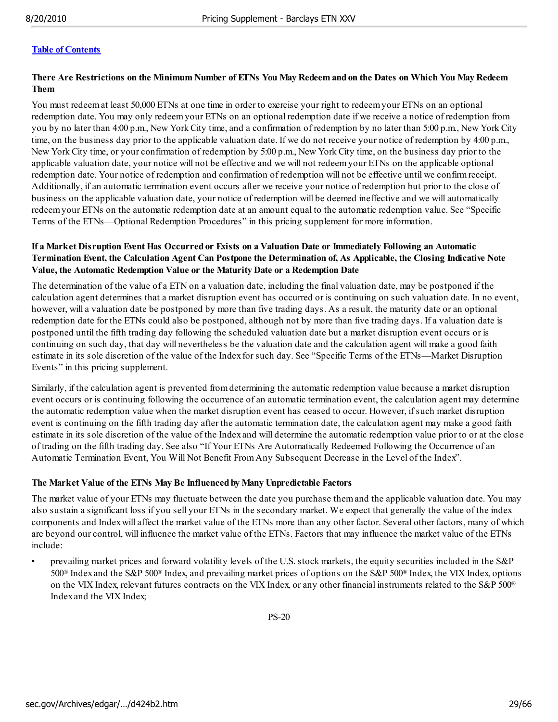## **There Are Restrictions on the Minimum Number of ETNs You May Redeem and on the Dates on Which You May Redeem Them**

You must redeem at least 50,000 ETNs at one time in order to exercise your right to redeem your ETNs on an optional redemption date. You may only redeem your ETNs on an optional redemption date if we receive a notice of redemption from you by no later than 4:00 p.m., New York City time, and a confirmation of redemption by no later than 5:00 p.m., New York City time, on the business day prior to the applicable valuation date. If we do not receive your notice of redemption by 4:00 p.m., New York City time, or your confirmation of redemption by 5:00 p.m., New York City time, on the business day prior to the applicable valuation date, your notice will not be effective and we will not redeem your ETNs on the applicable optional redemption date. Your notice of redemption and confirmation of redemption will not be effective until we confirm receipt. Additionally, if an automatic termination event occurs after we receive your notice of redemption but prior to the close of business on the applicable valuation date, your notice of redemption will be deemed ineffective and we will automatically redeem your ETNs on the automatic redemption date at an amount equal to the automatic redemption value. See "Specific Terms of the ETNs—Optional Redemption Procedures" in this pricing supplement for more information.

## **If a Market Disruption Event Has Occurred or Exists on a Valuation Date or Immediately Following an Automatic Termination Event, the Calculation Agent Can Postpone the Determination of, As Applicable, the Closing Indicative Note Value, the Automatic Redemption Value or the Maturity Date or a Redemption Date**

The determination of the value of a ETN on a valuation date, including the final valuation date, may be postponed if the calculation agent determines that a market disruption event has occurred or is continuing on such valuation date. In no event, however, will a valuation date be postponed by more than five trading days. As a result, the maturity date or an optional redemption date for the ETNs could also be postponed, although not by more than five trading days. If a valuation date is postponed until the fifth trading day following the scheduled valuation date but a market disruption event occurs or is continuing on such day, that day will nevertheless be the valuation date and the calculation agent will make a good faith estimate in its sole discretion of the value of the Index for such day. See "Specific Terms of the ETNs—Market Disruption Events" in this pricing supplement.

Similarly, if the calculation agent is prevented from determining the automatic redemption value because a market disruption event occurs or is continuing following the occurrence of an automatic termination event, the calculation agent may determine the automatic redemption value when the market disruption event has ceased to occur. However, if such market disruption event is continuing on the fifth trading day after the automatic termination date, the calculation agent may make a good faith estimate in its sole discretion of the value of the Index and will determine the automatic redemption value prior to or at the close of trading on the fifth trading day. See also "If Your ETNs Are Automatically Redeemed Following the Occurrence of an Automatic Termination Event, You Will Not Benefit From Any Subsequent Decrease in the Level of the Index".

## **The Market Value of the ETNs May Be Influenced by Many Unpredictable Factors**

The market value of your ETNs may fluctuate between the date you purchase them and the applicable valuation date. You may also sustain a significant loss if you sell your ETNs in the secondary market. We expect that generally the value of the index components and Index will affect the market value of the ETNs more than any other factor. Several other factors, many of which are beyond our control, will influence the market value of the ETNs. Factors that may influence the market value of the ETNs include:

• prevailing market prices and forward volatility levels of the U.S. stock markets, the equity securities included in the S&P 500<sup>®</sup> Index and the S&P 500<sup>®</sup> Index, and prevailing market prices of options on the S&P 500<sup>®</sup> Index, the VIX Index, options on the VIX Index, relevant futures contracts on the VIX Index, or any other financial instruments related to the S&P 500 ® Index and the VIX Index;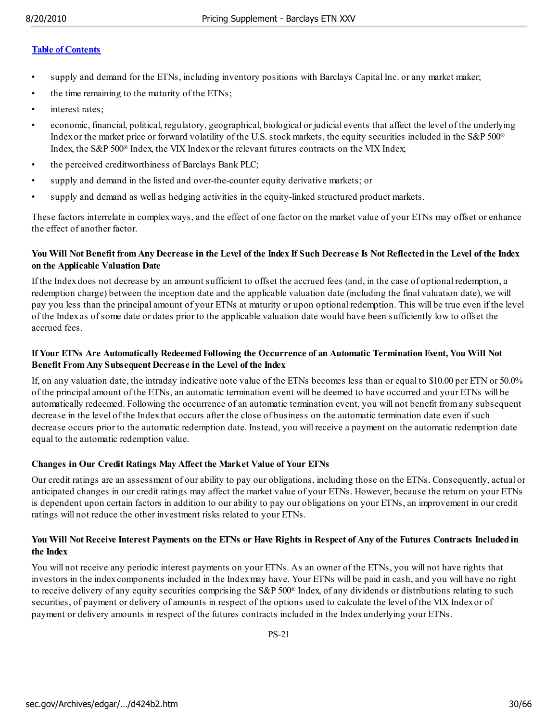- supply and demand for the ETNs, including inventory positions with Barclays Capital Inc. or any market maker;
- the time remaining to the maturity of the ETNs;
- interest rates:
- economic, financial, political, regulatory, geographical, biological or judicial events that affect the level of the underlying Index or the market price or forward volatility of the U.S. stock markets, the equity securities included in the S&P 500<sup>®</sup> Index, the S&P 500<sup>®</sup> Index, the VIX Index or the relevant futures contracts on the VIX Index;
- the perceived creditworthiness of Barclays Bank PLC;
- supply and demand in the listed and over-the-counter equity derivative markets; or
- supply and demand as well as hedging activities in the equity-linked structured product markets.

These factors interrelate in complex ways, and the effect of one factor on the market value of your ETNs may offset or enhance the effect of another factor.

## **You Will Not Benefit from Any Decrease in the Level of the Index If Such Decrease Is Not Reflected in the Level of the Index on the Applicable Valuation Date**

If the Index does not decrease by an amount sufficient to offset the accrued fees (and, in the case of optional redemption, a redemption charge) between the inception date and the applicable valuation date (including the final valuation date), we will pay you less than the principal amount of your ETNs at maturity or upon optional redemption. This will be true even if the level of the Index as of some date or dates prior to the applicable valuation date would have been sufficiently low to offset the accrued fees.

# **If Your ETNs Are Automatically Redeemed Following the Occurrence of an Automatic Termination Event, You Will Not Benefit From Any Subsequent Decrease in the Level of the Index**

If, on any valuation date, the intraday indicative note value of the ETNs becomes less than or equal to \$10.00 per ETN or 50.0% of the principal amount of the ETNs, an automatic termination event will be deemed to have occurred and your ETNs will be automatically redeemed. Following the occurrence of an automatic termination event, you will not benefit from any subsequent decrease in the level of the Index that occurs after the close of business on the automatic termination date even if such decrease occurs prior to the automatic redemption date. Instead, you will receive a payment on the automatic redemption date equal to the automatic redemption value.

## **Changes in Our Credit Ratings May Affect the Market Value of Your ETNs**

Our credit ratings are an assessment of our ability to pay our obligations, including those on the ETNs. Consequently, actual or anticipated changes in our credit ratings may affect the market value of your ETNs. However, because the return on your ETNs is dependent upon certain factors in addition to our ability to pay our obligations on your ETNs, an improvement in our credit ratings will not reduce the other investment risks related to your ETNs.

# **You Will Not Receive Interest Payments on the ETNs or Have Rights in Respect of Any of the Futures Contracts Included in the Index**

You will not receive any periodic interest payments on your ETNs. As an owner of the ETNs, you will not have rights that investors in the index components included in the Index may have. Your ETNs will be paid in cash, and you will have no right to receive delivery of any equity securities comprising the S&P 500<sup>®</sup> Index, of any dividends or distributions relating to such securities, of payment or delivery of amounts in respect of the options used to calculate the level of the VIX Index or of payment or delivery amounts in respect of the futures contracts included in the Index underlying your ETNs.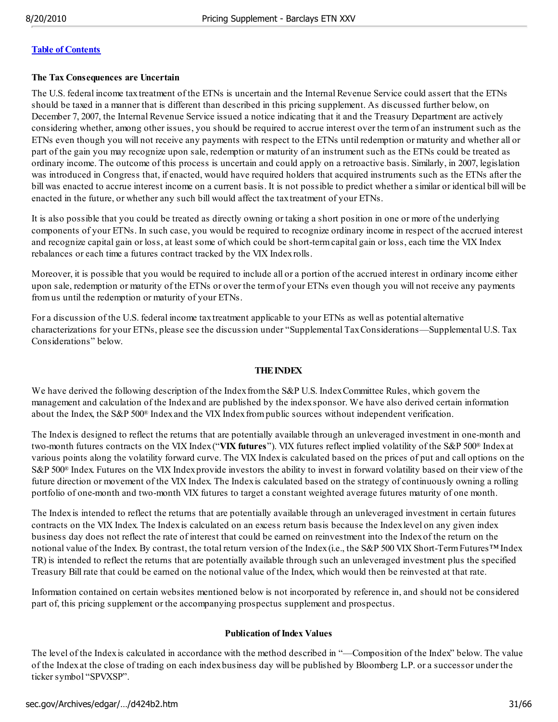## **The Tax Consequences are Uncertain**

The U.S. federal income tax treatment of the ETNs is uncertain and the Internal Revenue Service could assert that the ETNs should be taxed in a manner that is different than described in this pricing supplement. As discussed further below, on December 7, 2007, the Internal Revenue Service issued a notice indicating that it and the Treasury Department are actively considering whether, among other issues, you should be required to accrue interest over the term of an instrument such as the ETNs even though you will not receive any payments with respect to the ETNs until redemption or maturity and whether all or part of the gain you may recognize upon sale, redemption or maturity of an instrument such as the ETNs could be treated as ordinary income. The outcome of this process is uncertain and could apply on a retroactive basis. Similarly, in 2007, legislation was introduced in Congress that, if enacted, would have required holders that acquired instruments such as the ETNs after the bill was enacted to accrue interest income on a current basis. It is not possible to predict whether a similar or identical bill will be enacted in the future, or whether any such bill would affect the tax treatment of your ETNs.

It is also possible that you could be treated as directly owning or taking a short position in one or more of the underlying components of your ETNs. In such case, you would be required to recognize ordinary income in respect of the accrued interest and recognize capital gain or loss, at least some of which could be short-term capital gain or loss, each time the VIX Index rebalances or each time a futures contract tracked by the VIX Index rolls.

Moreover, it is possible that you would be required to include all or a portion of the accrued interest in ordinary income either upon sale, redemption or maturity of the ETNs or over the term of your ETNs even though you will not receive any payments from us until the redemption or maturity of your ETNs.

For a discussion of the U.S. federal income tax treatment applicable to your ETNs as well as potential alternative characterizations for your ETNs, please see the discussion under "Supplemental Tax Considerations—Supplemental U.S. Tax Considerations" below.

## **THE INDEX**

We have derived the following description of the Index from the S&P U.S. Index Committee Rules, which govern the management and calculation of the Index and are published by the index sponsor. We have also derived certain information about the Index, the S&P 500<sup>®</sup> Index and the VIX Index from public sources without independent verification.

The Index is designed to reflect the returns that are potentially available through an unleveraged investment in one-month and two-month futures contracts on the VIX Index("**VIX futures**"). VIX futures reflect implied volatility of the S&P 500® Index at various points along the volatility forward curve. The VIX Index is calculated based on the prices of put and call options on the S&P 500<sup>®</sup> Index. Futures on the VIX Index provide investors the ability to invest in forward volatility based on their view of the future direction or movement of the VIX Index. The Index is calculated based on the strategy of continuously owning a rolling portfolio of one-month and two-month VIX futures to target a constant weighted average futures maturity of one month.

The Index is intended to reflect the returns that are potentially available through an unleveraged investment in certain futures contracts on the VIX Index. The Index is calculated on an excess return basis because the Index level on any given index business day does not reflect the rate of interest that could be earned on reinvestment into the Index of the return on the notional value of the Index. By contrast, the total return version of the Index (i.e., the S&P 500 VIX Short-Term Futures™ Index TR) is intended to reflect the returns that are potentially available through such an unleveraged investment plus the specified Treasury Bill rate that could be earned on the notional value of the Index, which would then be reinvested at that rate.

Information contained on certain websites mentioned below is not incorporated by reference in, and should not be considered part of, this pricing supplement or the accompanying prospectus supplement and prospectus.

## **Publication of Index Values**

The level of the Index is calculated in accordance with the method described in "—Composition of the Index" below. The value of the Index at the close of trading on each index business day will be published by Bloomberg L.P. or a successor under the ticker symbol "SPVXSP".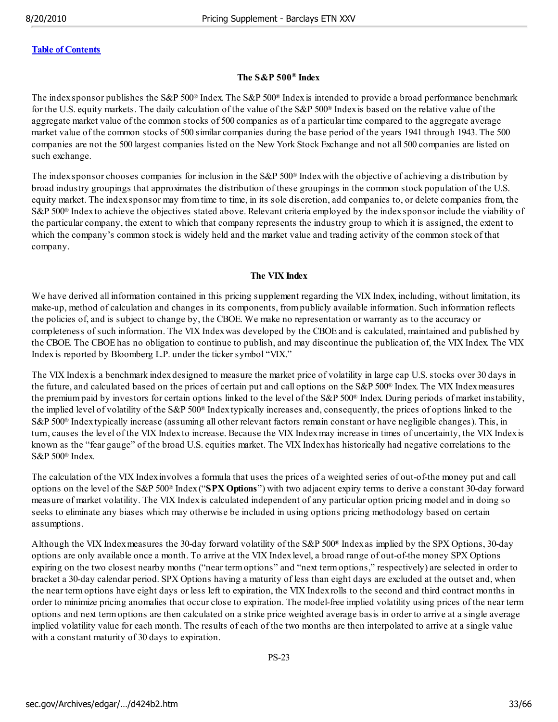## The S&P 500<sup>®</sup> Index

The index sponsor publishes the S&P 500<sup>®</sup> Index. The S&P 500<sup>®</sup> Index is intended to provide a broad performance benchmark for the U.S. equity markets. The daily calculation of the value of the S&P 500<sup>®</sup> Index is based on the relative value of the aggregate market value of the common stocks of 500 companies as of a particular time compared to the aggregate average market value of the common stocks of 500 similar companies during the base period of the years 1941 through 1943. The 500 companies are not the 500 largest companies listed on the New York Stock Exchange and not all 500 companies are listed on such exchange.

The index sponsor chooses companies for inclusion in the S&P 500<sup>®</sup> Index with the objective of achieving a distribution by broad industry groupings that approximates the distribution of these groupings in the common stock population of the U.S. equity market. The index sponsor may from time to time, in its sole discretion, add companies to, or delete companies from, the S&P 500<sup>®</sup> Index to achieve the objectives stated above. Relevant criteria employed by the index sponsor include the viability of the particular company, the extent to which that company represents the industry group to which it is assigned, the extent to which the company's common stock is widely held and the market value and trading activity of the common stock of that company.

## **The VIX Index**

We have derived all information contained in this pricing supplement regarding the VIX Index, including, without limitation, its make-up, method of calculation and changes in its components, from publicly available information. Such information reflects the policies of, and is subject to change by, the CBOE. We make no representation or warranty as to the accuracy or completeness of such information. The VIX Index was developed by the CBOE and is calculated, maintained and published by the CBOE. The CBOE has no obligation to continue to publish, and may discontinue the publication of, the VIX Index. The VIX Index is reported by Bloomberg L.P. under the ticker symbol "VIX."

The VIX Index is a benchmark index designed to measure the market price of volatility in large cap U.S. stocks over 30 days in the future, and calculated based on the prices of certain put and call options on the  $S\&P 500$ <sup>®</sup> Index. The VIX Index measures the premium paid by investors for certain options linked to the level of the S&P 500<sup>®</sup> Index. During periods of market instability, the implied level of volatility of the S&P 500® Index typically increases and, consequently, the prices of options linked to the S&P 500<sup>®</sup> Index typically increase (assuming all other relevant factors remain constant or have negligible changes). This, in turn, causes the level of the VIX Index to increase. Because the VIX Index may increase in times of uncertainty, the VIX Index is known as the "fear gauge" of the broad U.S. equities market. The VIX Index has historically had negative correlations to the S&P 500® Index.

The calculation of the VIX Index involves a formula that uses the prices of a weighted series of out-of-the money put and call options on the level of the S&P 500® Index ("SPX Options") with two adjacent expiry terms to derive a constant 30-day forward measure of market volatility. The VIX Index is calculated independent of any particular option pricing model and in doing so seeks to eliminate any biases which may otherwise be included in using options pricing methodology based on certain assumptions.

Although the VIX Index measures the 30-day forward volatility of the S&P 500<sup>®</sup> Index as implied by the SPX Options, 30-day options are only available once a month. To arrive at the VIX Index level, a broad range of out-of-the money SPX Options expiring on the two closest nearby months ("near term options" and "next term options," respectively) are selected in order to bracket a 30-day calendar period. SPX Options having a maturity of less than eight days are excluded at the outset and, when the near term options have eight days or less left to expiration, the VIX Index rolls to the second and third contract months in order to minimize pricing anomalies that occur close to expiration. The model-free implied volatility using prices of the near term options and next term options are then calculated on a strike price weighted average basis in order to arrive at a single average implied volatility value for each month. The results of each of the two months are then interpolated to arrive at a single value with a constant maturity of 30 days to expiration.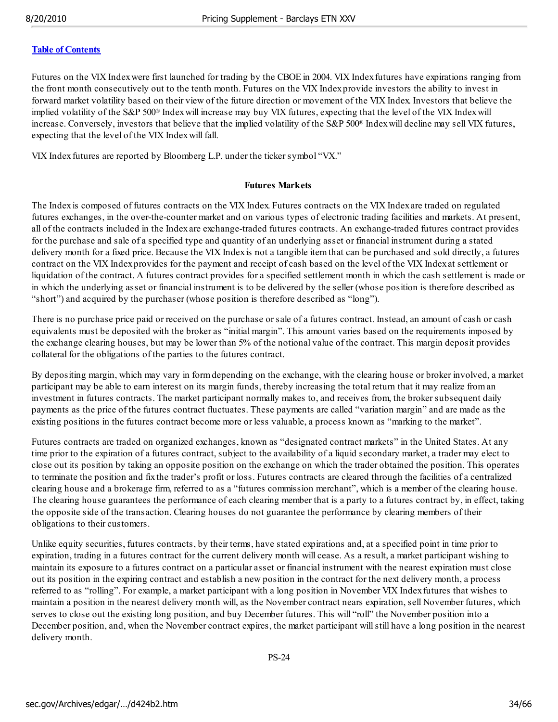Futures on the VIX Index were first launched for trading by the CBOE in 2004. VIX Index futures have expirations ranging from the front month consecutively out to the tenth month. Futures on the VIX Index provide investors the ability to invest in forward market volatility based on their view of the future direction or movement of the VIX Index. Investors that believe the implied volatility of the S&P 500<sup>®</sup> Index will increase may buy VIX futures, expecting that the level of the VIX Index will increase. Conversely, investors that believe that the implied volatility of the S&P 500<sup>®</sup> Index will decline may sell VIX futures, expecting that the level of the VIX Index will fall.

VIX Index futures are reported by Bloomberg L.P. under the ticker symbol "VX."

#### **Futures Markets**

The Index is composed of futures contracts on the VIX Index. Futures contracts on the VIX Index are traded on regulated futures exchanges, in the over-the-counter market and on various types of electronic trading facilities and markets. At present, all of the contracts included in the Index are exchange-traded futures contracts. An exchange-traded futures contract provides for the purchase and sale of a specified type and quantity of an underlying asset or financial instrument during a stated delivery month for a fixed price. Because the VIX Index is not a tangible item that can be purchased and sold directly, a futures contract on the VIX Index provides for the payment and receipt of cash based on the level of the VIX Index at settlement or liquidation of the contract. A futures contract provides for a specified settlement month in which the cash settlement is made or in which the underlying asset or financial instrument is to be delivered by the seller (whose position is therefore described as "short") and acquired by the purchaser (whose position is therefore described as "long").

There is no purchase price paid or received on the purchase or sale of a futures contract. Instead, an amount of cash or cash equivalents must be deposited with the broker as "initial margin". This amount varies based on the requirements imposed by the exchange clearing houses, but may be lower than 5% of the notional value of the contract. This margin deposit provides collateral for the obligations of the parties to the futures contract.

By depositing margin, which may vary in form depending on the exchange, with the clearing house or broker involved, a market participant may be able to earn interest on its margin funds, thereby increasing the total return that it may realize from an investment in futures contracts. The market participant normally makes to, and receives from, the broker subsequent daily payments as the price of the futures contract fluctuates. These payments are called "variation margin" and are made as the existing positions in the futures contract become more or less valuable, a process known as "marking to the market".

Futures contracts are traded on organized exchanges, known as "designated contract markets" in the United States. At any time prior to the expiration of a futures contract, subject to the availability of a liquid secondary market, a trader may elect to close out its position by taking an opposite position on the exchange on which the trader obtained the position. This operates to terminate the position and fix the trader's profit or loss. Futures contracts are cleared through the facilities of a centralized clearing house and a brokerage firm, referred to as a "futures commission merchant", which is a member of the clearing house. The clearing house guarantees the performance of each clearing member that is a party to a futures contract by, in effect, taking the opposite side of the transaction. Clearing houses do not guarantee the performance by clearing members of their obligations to their customers.

Unlike equity securities, futures contracts, by their terms, have stated expirations and, at a specified point in time prior to expiration, trading in a futures contract for the current delivery month will cease. As a result, a market participant wishing to maintain its exposure to a futures contract on a particular asset or financial instrument with the nearest expiration must close out its position in the expiring contract and establish a new position in the contract for the next delivery month, a process referred to as "rolling". For example, a market participant with a long position in November VIX Index futures that wishes to maintain a position in the nearest delivery month will, as the November contract nears expiration, sell November futures, which serves to close out the existing long position, and buy December futures. This will "roll" the November position into a December position, and, when the November contract expires, the market participant will still have a long position in the nearest delivery month.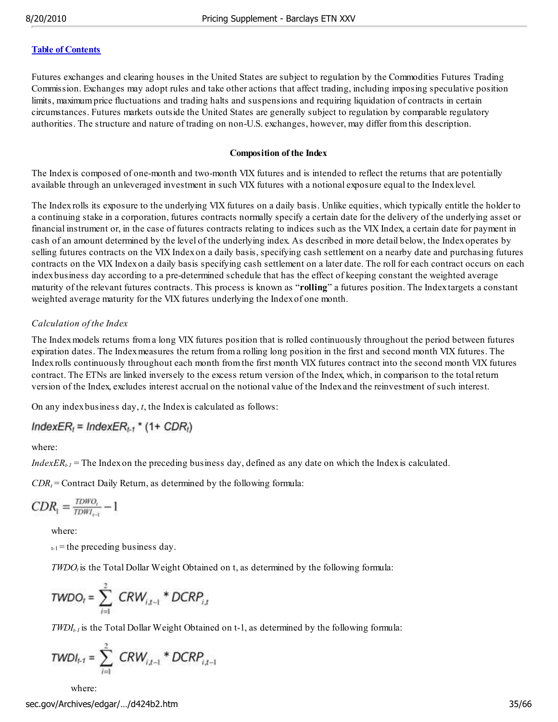Futures exchanges and clearing houses in the United States are subject to regulation by the Commodities Futures Trading Commission. Exchanges may adopt rules and take other actions that affect trading, including imposing speculative position limits, maximum price fluctuations and trading halts and suspensions and requiring liquidation of contracts in certain circumstances. Futures markets outside the United States are generally subject to regulation by comparable regulatory authorities. The structure and nature of trading on non-U.S. exchanges, however, may differ from this description.

## **Composition of the Index**

The Index is composed of one-month and two-month VIX futures and is intended to reflect the returns that are potentially available through an unleveraged investment in such VIX futures with a notional exposure equal to the Index level.

The Index rolls its exposure to the underlying VIX futures on a daily basis. Unlike equities, which typically entitle the holder to a continuing stake in a corporation, futures contracts normally specify a certain date for the delivery of the underlying asset or financial instrument or, in the case of futures contracts relating to indices such as the VIX Index, a certain date for payment in cash of an amount determined by the level of the underlying index. As described in more detail below, the Index operates by selling futures contracts on the VIX Index on a daily basis, specifying cash settlement on a nearby date and purchasing futures contracts on the VIX Index on a daily basis specifying cash settlement on a later date. The roll for each contract occurs on each index business day according to a pre-determined schedule that has the effect of keeping constant the weighted average maturity of the relevant futures contracts. This process is known as "**rolling**" a futures position. The Index targets a constant weighted average maturity for the VIX futures underlying the Index of one month.

# *Calculation of the Index*

The Index models returns from a long VIX futures position that is rolled continuously throughout the period between futures expiration dates. The Index measures the return from a rolling long position in the first and second month VIX futures. The Index rolls continuously throughout each month from the first month VIX futures contract into the second month VIX futures contract. The ETNs are linked inversely to the excess return version of the Index, which, in comparison to the total return version of the Index, excludes interest accrual on the notional value of the Index and the reinvestment of such interest.

On any index business day, *t*, the Index is calculated as follows:

$$
IndexER_t = IndexER_{t\text{-}t} * (1 + CDR_t)
$$

where:

*IndexER*<sub> $t-1$ </sub> = The Index on the preceding business day, defined as any date on which the Index is calculated.

 $CDR_t =$ Contract Daily Return, as determined by the following formula:

$$
CDR_1 = \frac{TDWO_t}{TDWI_{t-1}} - 1
$$

where:

 $t_{t-1}$  = the preceding business day.

*TWDO*<sub>*i*</sub> is the Total Dollar Weight Obtained on t, as determined by the following formula:

$$
T W DO_t = \sum_{i=1}^{2} \, \mathit{CRW}_{i,t-1} * \mathit{DCRP}_{i,t}
$$

*TWDI<sub>t-1</sub>* is the Total Dollar Weight Obtained on t-1, as determined by the following formula:

$$
TWDI_{t-1} = \sum_{i=1}^{2} \; CRW_{i,t-1} * DCRP_{i,t-1}
$$

where:

sec.gov/Archives/edgar/…/d424b2.htm 35/66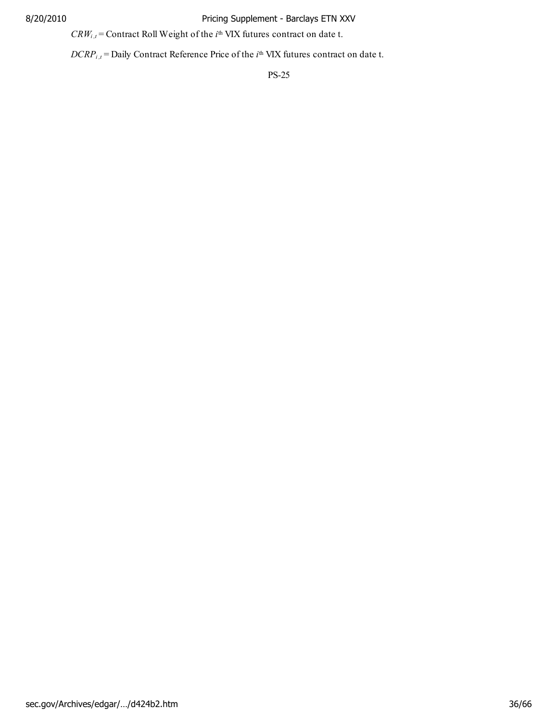# 8/20/2010 Pricing Supplement - Barclays ETN XXV

 $CRW_{i,t}$  = Contract Roll Weight of the  $i<sup>th</sup>$  VIX futures contract on date t.

*DCRP*<sub>*i*,*t*</sub> = Daily Contract Reference Price of the *i*<sup>th</sup> VIX futures contract on date t.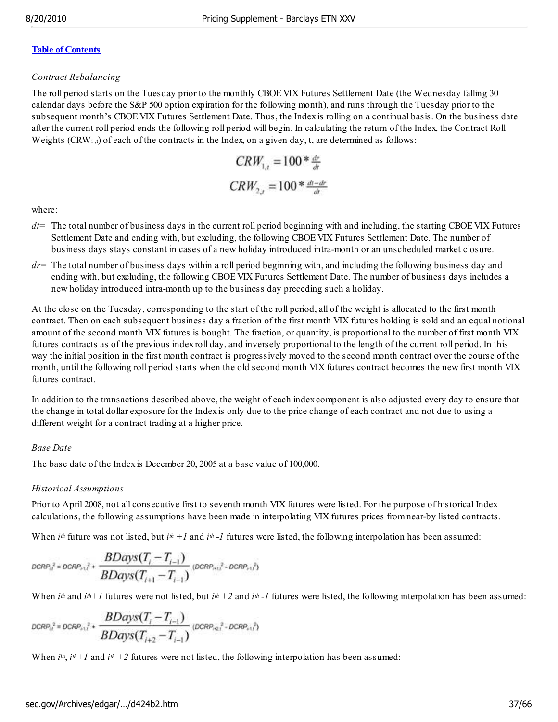## *Contract Rebalancing*

The roll period starts on the Tuesday prior to the monthly CBOE VIX Futures Settlement Date (the Wednesday falling 30 calendar days before the S&P 500 option expiration for the following month), and runs through the Tuesday prior to the subsequent month's CBOE VIX Futures Settlement Date. Thus, the Index is rolling on a continual basis. On the business date after the current roll period ends the following roll period will begin. In calculating the return of the Index, the Contract Roll Weights  $(CRW_{i,i})$  of each of the contracts in the Index, on a given day, t, are determined as follows:

$$
CRW_{1,t} = 100 * \frac{dr}{dt}
$$
  

$$
CRW_{2,t} = 100 * \frac{dt - dt}{dt}
$$

where:

- *dt*= The total number of business days in the current roll period beginning with and including, the starting CBOE VIX Futures Settlement Date and ending with, but excluding, the following CBOE VIX Futures Settlement Date. The number of business days stays constant in cases of a new holiday introduced intra-month or an unscheduled market closure.
- *dr=* The total number of business days within a roll period beginning with, and including the following business day and ending with, but excluding, the following CBOE VIX Futures Settlement Date. The number of business days includes a new holiday introduced intra-month up to the business day preceding such a holiday.

At the close on the Tuesday, corresponding to the start of the roll period, all of the weight is allocated to the first month contract. Then on each subsequent business day a fraction of the first month VIX futures holding is sold and an equal notional amount of the second month VIX futures is bought. The fraction, or quantity, is proportional to the number of first month VIX futures contracts as of the previous index roll day, and inversely proportional to the length of the current roll period. In this way the initial position in the first month contract is progressively moved to the second month contract over the course of the month, until the following roll period starts when the old second month VIX futures contract becomes the new first month VIX futures contract.

In addition to the transactions described above, the weight of each index component is also adjusted every day to ensure that the change in total dollar exposure for the Index is only due to the price change of each contract and not due to using a different weight for a contract trading at a higher price.

## *Base Date*

The base date of the Index is December 20, 2005 at a base value of 100,000.

## *Historical Assumptions*

Prior to April 2008, not all consecutive first to seventh month VIX futures were listed. For the purpose of historical Index calculations, the following assumptions have been made in interpolating VIX futures prices from near-by listed contracts.

When *i*<sup>h</sup> future was not listed, but *i*<sup>h</sup> + *I* and *i*<sup>h</sup> - *I* futures were listed, the following interpolation has been assumed:

$$
DCRP_{it}^{2} = DCRP_{i,t}^{2} + \frac{BDays(T_{i} - T_{i-1})}{BDays(T_{i+1} - T_{i-1})} (DCRP_{it})^{2} - DCRP_{it})^{2}
$$

When  $i^{\text{th}}$  and  $i^{\text{th}}+I$  futures were not listed, but  $i^{\text{th}}+2$  and  $i^{\text{th}}-I$  futures were listed, the following interpolation has been assumed:

$$
\textit{DCRP}_{it}^2 = \textit{DCRP}_{it, t}^2 + \frac{BDays(T_i - T_{i-1})}{BDays(T_{i+2} - T_{i-1})} (\textit{DCRP}_{it, t}^2 - \textit{DCRP}_{it, t}^2)
$$

When  $i^{\text{th}}$ ,  $i^{\text{th}} + I$  and  $i^{\text{th}} + 2$  futures were not listed, the following interpolation has been assumed: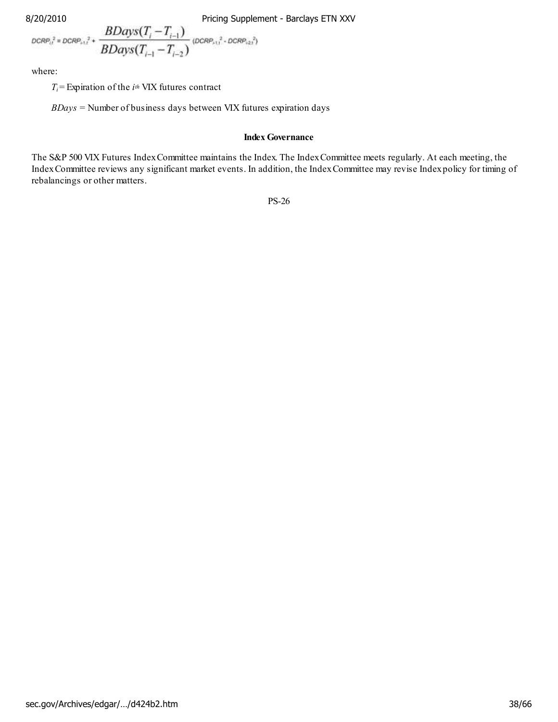8/20/2010 Pricing Supplement - Barclays ETN XXV

$$
DCRP_{ii}^{2} = DCRP_{i1i}^{2} + \frac{BDays(T_i - T_{i-1})}{BDays(T_{i-1} - T_{i-2})} (DCRP_{i1i}^{2} \cdot DCRP_{i2i}^{2})
$$

where:

 $T_i$  = Expiration of the  $i^{th}$  VIX futures contract

*BDays =* Number of business days between VIX futures expiration days

#### **Index Governance**

The S&P 500 VIX Futures Index Committee maintains the Index. The Index Committee meets regularly. At each meeting, the Index Committee reviews any significant market events. In addition, the Index Committee may revise Index policy for timing of rebalancings or other matters.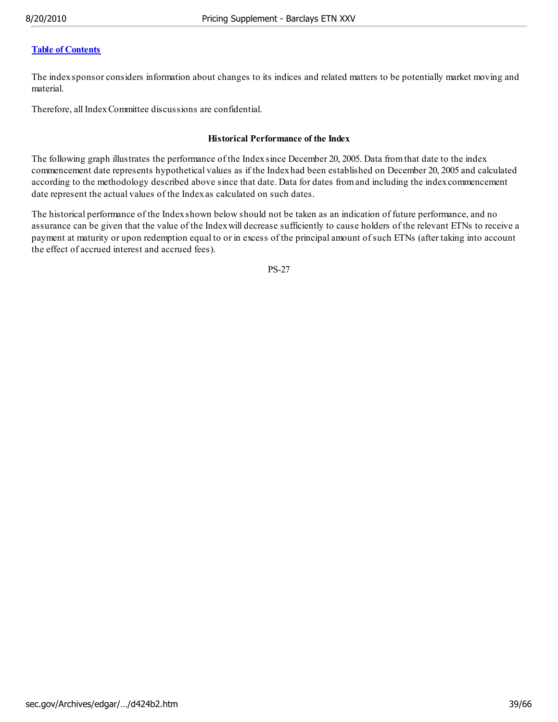The index sponsor considers information about changes to its indices and related matters to be potentially market moving and material.

Therefore, all Index Committee discussions are confidential.

## **Historical Performance of the Index**

The following graph illustrates the performance of the Index since December 20, 2005. Data from that date to the index commencement date represents hypothetical values as if the Index had been established on December 20, 2005 and calculated according to the methodology described above since that date. Data for dates from and including the index commencement date represent the actual values of the Index as calculated on such dates.

The historical performance of the Index shown below should not be taken as an indication of future performance, and no assurance can be given that the value of the Index will decrease sufficiently to cause holders of the relevant ETNs to receive a payment at maturity or upon redemption equal to or in excess of the principal amount of such ETNs (after taking into account the effect of accrued interest and accrued fees).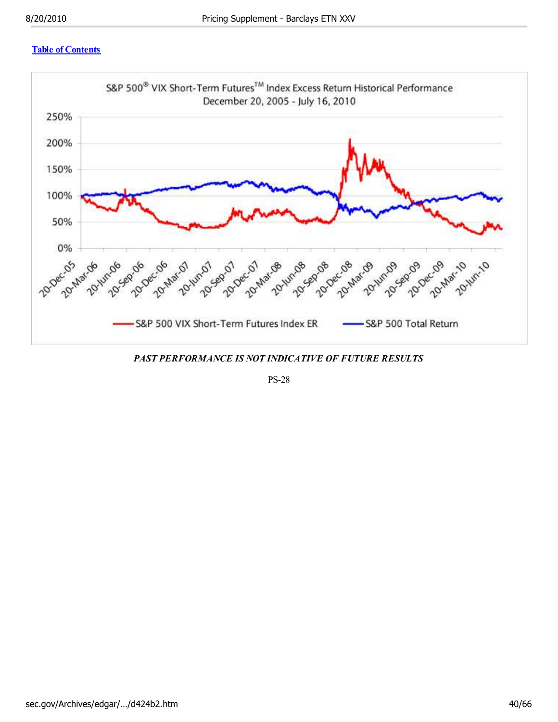

*PAST PERFORMANCE IS NOT INDICATIVE OF FUTURE RESULTS*

PS-28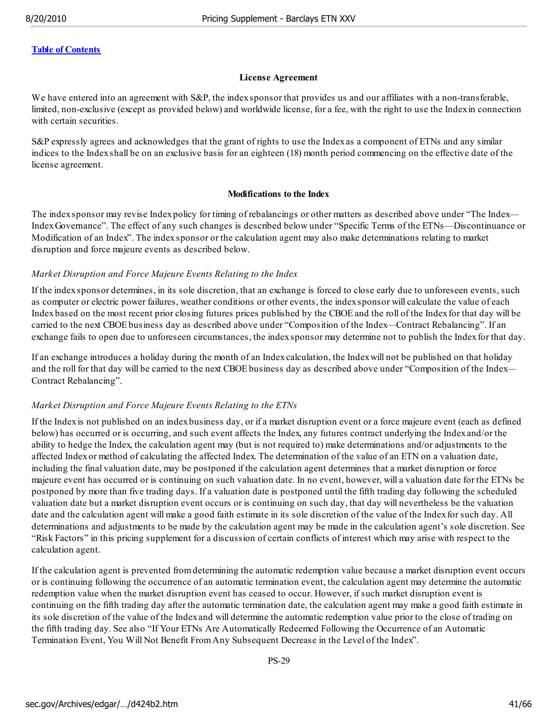## **License Agreement**

We have entered into an agreement with S&P, the index sponsor that provides us and our affiliates with a non-transferable, limited, non-exclusive (except as provided below) and worldwide license, for a fee, with the right to use the Index in connection with certain securities.

S&P expressly agrees and acknowledges that the grant of rights to use the Index as a component of ETNs and any similar indices to the Index shall be on an exclusive basis for an eighteen (18) month period commencing on the effective date of the license agreement.

#### **Modifications to the Index**

The index sponsor may revise Index policy for timing of rebalancings or other matters as described above under "The Index— Index Governance". The effect of any such changes is described below under "Specific Terms of the ETNs—Discontinuance or Modification of an Index". The index sponsor or the calculation agent may also make determinations relating to market disruption and force majeure events as described below.

## *Market Disruption and Force Majeure Events Relating to the Index*

If the index sponsor determines, in its sole discretion, that an exchange is forced to close early due to unforeseen events, such as computer or electric power failures, weather conditions or other events, the index sponsor will calculate the value of each Index based on the most recent prior closing futures prices published by the CBOE and the roll of the Index for that day will be carried to the next CBOE business day as described above under "Composition of the Index—Contract Rebalancing". If an exchange fails to open due to unforeseen circumstances, the index sponsor may determine not to publish the Index for that day.

If an exchange introduces a holiday during the month of an Index calculation, the Index will not be published on that holiday and the roll for that day will be carried to the next CBOE business day as described above under "Composition of the Index— Contract Rebalancing".

## *Market Disruption and Force Majeure Events Relating to the ETNs*

If the Index is not published on an index business day, or if a market disruption event or a force majeure event (each as defined below) has occurred or is occurring, and such event affects the Index, any futures contract underlying the Index and/or the ability to hedge the Index, the calculation agent may (but is not required to) make determinations and/or adjustments to the affected Index or method of calculating the affected Index. The determination of the value of an ETN on a valuation date, including the final valuation date, may be postponed if the calculation agent determines that a market disruption or force majeure event has occurred or is continuing on such valuation date. In no event, however, will a valuation date for the ETNs be postponed by more than five trading days. If a valuation date is postponed until the fifth trading day following the scheduled valuation date but a market disruption event occurs or is continuing on such day, that day will nevertheless be the valuation date and the calculation agent will make a good faith estimate in its sole discretion of the value of the Index for such day. All determinations and adjustments to be made by the calculation agent may be made in the calculation agent's sole discretion. See "Risk Factors" in this pricing supplement for a discussion of certain conflicts of interest which may arise with respect to the calculation agent.

If the calculation agent is prevented from determining the automatic redemption value because a market disruption event occurs or is continuing following the occurrence of an automatic termination event, the calculation agent may determine the automatic redemption value when the market disruption event has ceased to occur. However, if such market disruption event is continuing on the fifth trading day after the automatic termination date, the calculation agent may make a good faith estimate in its sole discretion of the value of the Index and will determine the automatic redemption value prior to the close of trading on the fifth trading day. See also "If Your ETNs Are Automatically Redeemed Following the Occurrence of an Automatic Termination Event, You Will Not Benefit From Any Subsequent Decrease in the Level of the Index".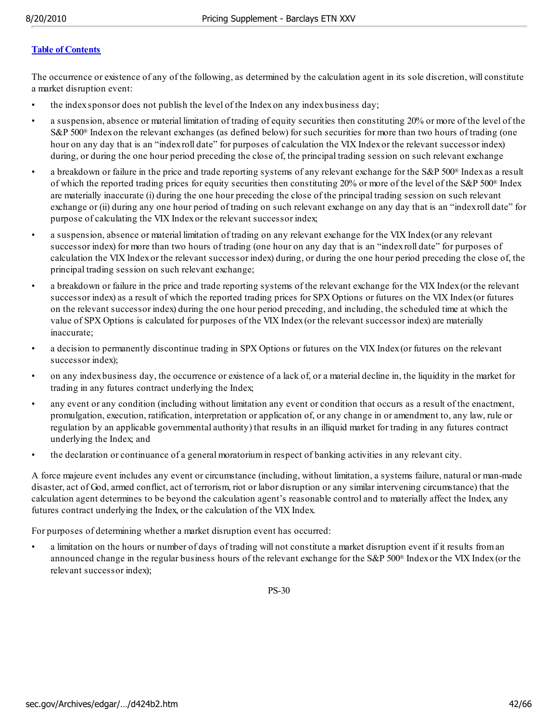The occurrence or existence of any of the following, as determined by the calculation agent in its sole discretion, will constitute a market disruption event:

- the index sponsor does not publish the level of the Index on any index business day;
- a suspension, absence or material limitation of trading of equity securities then constituting 20% or more of the level of the S&P 500<sup>®</sup> Index on the relevant exchanges (as defined below) for such securities for more than two hours of trading (one hour on any day that is an "index roll date" for purposes of calculation the VIX Index or the relevant successor index) during, or during the one hour period preceding the close of, the principal trading session on such relevant exchange
- a breakdown or failure in the price and trade reporting systems of any relevant exchange for the S&P  $500^\circ$  Index as a result of which the reported trading prices for equity securities then constituting 20% or more of the level of the S&P 500 $\textdegree$  Index are materially inaccurate (i) during the one hour preceding the close of the principal trading session on such relevant exchange or (ii) during any one hour period of trading on such relevant exchange on any day that is an "index roll date" for purpose of calculating the VIX Index or the relevant successor index;
- a suspension, absence or material limitation of trading on any relevant exchange for the VIX Index (or any relevant successor index) for more than two hours of trading (one hour on any day that is an "index roll date" for purposes of calculation the VIX Index or the relevant successor index) during, or during the one hour period preceding the close of, the principal trading session on such relevant exchange;
- a breakdown or failure in the price and trade reporting systems of the relevant exchange for the VIX Index (or the relevant successor index) as a result of which the reported trading prices for SPX Options or futures on the VIX Index (or futures on the relevant successor index) during the one hour period preceding, and including, the scheduled time at which the value of SPX Options is calculated for purposes of the VIX Index (or the relevant successor index) are materially inaccurate;
- a decision to permanently discontinue trading in SPX Options or futures on the VIX Index (or futures on the relevant successor index);
- on any index business day, the occurrence or existence of a lack of, or a material decline in, the liquidity in the market for trading in any futures contract underlying the Index;
- any event or any condition (including without limitation any event or condition that occurs as a result of the enactment, promulgation, execution, ratification, interpretation or application of, or any change in or amendment to, any law, rule or regulation by an applicable governmental authority) that results in an illiquid market for trading in any futures contract underlying the Index; and
- the declaration or continuance of a general moratorium in respect of banking activities in any relevant city.

A force majeure event includes any event or circumstance (including, without limitation, a systems failure, natural or man-made disaster, act of God, armed conflict, act of terrorism, riot or labor disruption or any similar intervening circumstance) that the calculation agent determines to be beyond the calculation agent's reasonable control and to materially affect the Index, any futures contract underlying the Index, or the calculation of the VIX Index.

For purposes of determining whether a market disruption event has occurred:

• a limitation on the hours or number of days of trading will not constitute a market disruption event if it results from an announced change in the regular business hours of the relevant exchange for the S&P 500® Index or the VIX Index (or the relevant successor index);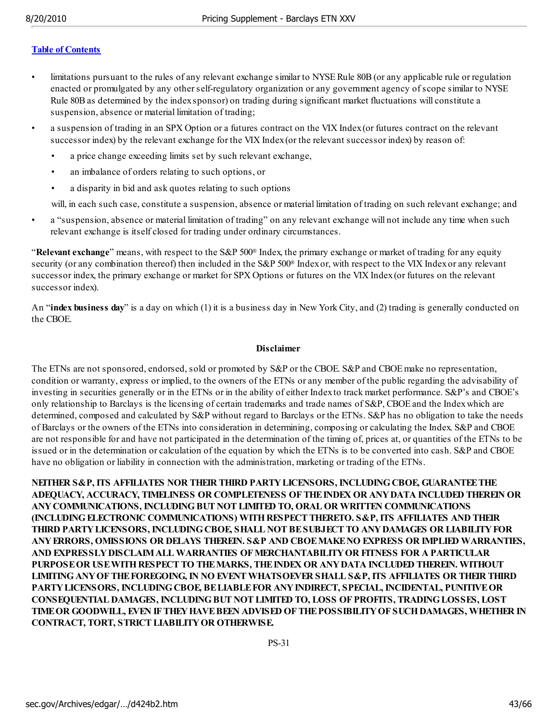- limitations pursuant to the rules of any relevant exchange similar to NYSE Rule 80B (or any applicable rule or regulation enacted or promulgated by any other self-regulatory organization or any government agency of scope similar to NYSE Rule 80B as determined by the index sponsor) on trading during significant market fluctuations will constitute a suspension, absence or material limitation of trading;
- a suspension of trading in an SPX Option or a futures contract on the VIX Index (or futures contract on the relevant successor index) by the relevant exchange for the VIX Index (or the relevant successor index) by reason of:
	- a price change exceeding limits set by such relevant exchange,
	- an imbalance of orders relating to such options, or
	- a disparity in bid and ask quotes relating to such options

will, in each such case, constitute a suspension, absence or material limitation of trading on such relevant exchange; and

• a "suspension, absence or material limitation of trading" on any relevant exchange will not include any time when such relevant exchange is itself closed for trading under ordinary circumstances.

"Relevant exchange" means, with respect to the S&P 500<sup>®</sup> Index, the primary exchange or market of trading for any equity security (or any combination thereof) then included in the S&P 500<sup>®</sup> Index or, with respect to the VIX Index or any relevant successor index, the primary exchange or market for SPX Options or futures on the VIX Index (or futures on the relevant successor index).

An "**index business day**" is a day on which (1) it is a business day in New York City, and (2) trading is generally conducted on the CBOE.

## **Disclaimer**

The ETNs are not sponsored, endorsed, sold or promoted by S&P or the CBOE. S&P and CBOE make no representation, condition or warranty, express or implied, to the owners of the ETNs or any member of the public regarding the advisability of investing in securities generally or in the ETNs or in the ability of either Index to track market performance. S&P's and CBOE's only relationship to Barclays is the licensing of certain trademarks and trade names of S&P, CBOE and the Index which are determined, composed and calculated by S&P without regard to Barclays or the ETNs. S&P has no obligation to take the needs of Barclays or the owners of the ETNs into consideration in determining, composing or calculating the Index. S&P and CBOE are not responsible for and have not participated in the determination of the timing of, prices at, or quantities of the ETNs to be issued or in the determination or calculation of the equation by which the ETNs is to be converted into cash. S&P and CBOE have no obligation or liability in connection with the administration, marketing or trading of the ETNs.

**NEITHER S&P, ITS AFFILIATES NOR THEIR THIRD PARTY LICENSORS, INCLUDING CBOE, GUARANTEE THE ADEQUACY, ACCURACY, TIMELINESS OR COMPLETENESS OF THE INDEX OR ANY DATA INCLUDED THEREIN OR ANY COMMUNICATIONS, INCLUDING BUT NOT LIMITED TO, ORAL OR WRITTEN COMMUNICATIONS (INCLUDING ELECTRONIC COMMUNICATIONS) WITH RESPECT THERETO. S&P, ITS AFFILIATES AND THEIR THIRD PARTY LICENSORS, INCLUDING CBOE, SHALL NOT BE SUBJECT TO ANY DAMAGES OR LIABILITY FOR ANY ERRORS, OMISSIONS OR DELAYS THEREIN. S&P AND CBOE MAKE NO EXPRESS OR IMPLIED WARRANTIES, AND EXPRESSLY DISCLAIM ALL WARRANTIES OF MERCHANTABILITY OR FITNESS FOR A PARTICULAR PURPOSE OR USE WITH RESPECT TO THE MARKS, THE INDEX OR ANY DATA INCLUDED THEREIN. WITHOUT LIMITING ANY OF THE FOREGOING, IN NO EVENT WHATSOEVER SHALL S&P, ITS AFFILIATES OR THEIR THIRD PARTY LICENSORS, INCLUDING CBOE, BE LIABLE FOR ANY INDIRECT, SPECIAL, INCIDENTAL, PUNITIVE OR CONSEQUENTIAL DAMAGES, INCLUDING BUT NOT LIMITED TO, LOSS OF PROFITS, TRADING LOSSES, LOST TIME OR GOODWILL, EVEN IF THEY HAVE BEEN ADVISED OF THE POSSIBILITY OF SUCH DAMAGES, WHETHER IN CONTRACT, TORT, STRICT LIABILITY OR OTHERWISE.**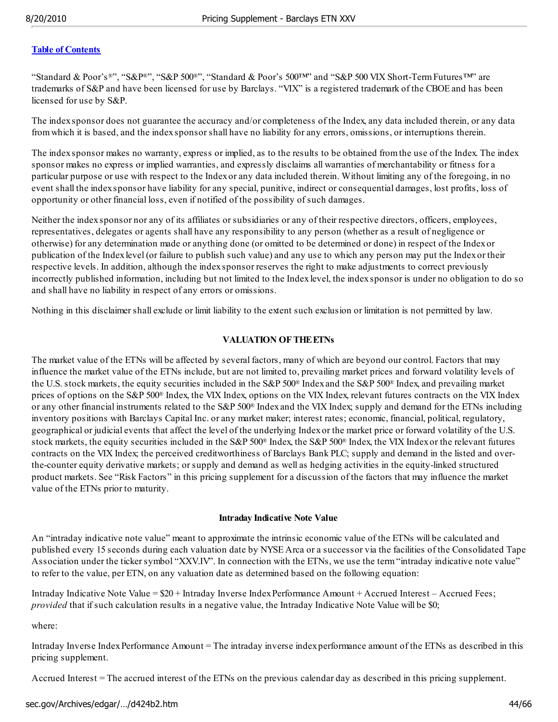"Standard & Poor's®", "S&P®", "S&P 500®", "Standard & Poor's 500™" and "S&P 500 VIX Short-Term Futures™" are trademarks of S&P and have been licensed for use by Barclays. "VIX" is a registered trademark of the CBOE and has been licensed for use by S&P.

The index sponsor does not guarantee the accuracy and/or completeness of the Index, any data included therein, or any data from which it is based, and the index sponsor shall have no liability for any errors, omissions, or interruptions therein.

The index sponsor makes no warranty, express or implied, as to the results to be obtained from the use of the Index. The index sponsor makes no express or implied warranties, and expressly disclaims all warranties of merchantability or fitness for a particular purpose or use with respect to the Index or any data included therein. Without limiting any of the foregoing, in no event shall the index sponsor have liability for any special, punitive, indirect or consequential damages, lost profits, loss of opportunity or other financial loss, even if notified of the possibility of such damages.

Neither the index sponsor nor any of its affiliates or subsidiaries or any of their respective directors, officers, employees, representatives, delegates or agents shall have any responsibility to any person (whether as a result of negligence or otherwise) for any determination made or anything done (or omitted to be determined or done) in respect of the Index or publication of the Index level (or failure to publish such value) and any use to which any person may put the Index or their respective levels. In addition, although the index sponsor reserves the right to make adjustments to correct previously incorrectly published information, including but not limited to the Index level, the index sponsor is under no obligation to do so and shall have no liability in respect of any errors or omissions.

Nothing in this disclaimer shall exclude or limit liability to the extent such exclusion or limitation is not permitted by law.

## **VALUATION OF THE ETNs**

The market value of the ETNs will be affected by several factors, many of which are beyond our control. Factors that may influence the market value of the ETNs include, but are not limited to, prevailing market prices and forward volatility levels of the U.S. stock markets, the equity securities included in the S&P 500<sup>®</sup> Index and the S&P 500<sup>®</sup> Index, and prevailing market prices of options on the S&P 500<sup>®</sup> Index, the VIX Index, options on the VIX Index, relevant futures contracts on the VIX Index or any other financial instruments related to the S&P 500<sup>®</sup> Index and the VIX Index; supply and demand for the ETNs including inventory positions with Barclays Capital Inc. or any market maker; interest rates; economic, financial, political, regulatory, geographical or judicial events that affect the level of the underlying Index or the market price or forward volatility of the U.S. stock markets, the equity securities included in the S&P 500® Index, the S&P 500® Index, the VIX Index or the relevant futures contracts on the VIX Index; the perceived creditworthiness of Barclays Bank PLC; supply and demand in the listed and overthe-counter equity derivative markets; or supply and demand as well as hedging activities in the equity-linked structured product markets. See "Risk Factors" in this pricing supplement for a discussion of the factors that may influence the market value of the ETNs prior to maturity.

#### **Intraday Indicative Note Value**

An "intraday indicative note value" meant to approximate the intrinsic economic value of the ETNs will be calculated and published every 15 seconds during each valuation date by NYSE Arca or a successor via the facilities of the Consolidated Tape Association under the ticker symbol "XXV.IV". In connection with the ETNs, we use the term "intraday indicative note value" to refer to the value, per ETN, on any valuation date as determined based on the following equation:

Intraday Indicative Note Value = \$20 + Intraday Inverse Index Performance Amount + Accrued Interest – Accrued Fees; *provided* that if such calculation results in a negative value, the Intraday Indicative Note Value will be \$0;

where:

Intraday Inverse Index Performance Amount = The intraday inverse index performance amount of the ETNs as described in this pricing supplement.

Accrued Interest = The accrued interest of the ETNs on the previous calendar day as described in this pricing supplement.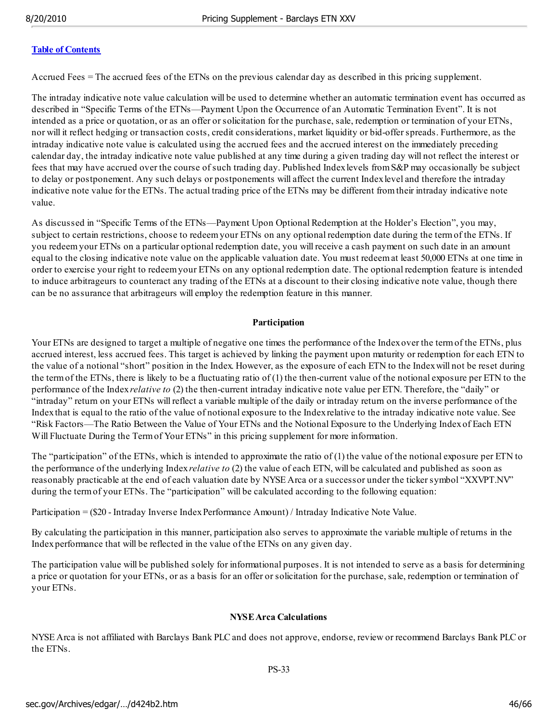Accrued Fees = The accrued fees of the ETNs on the previous calendar day as described in this pricing supplement.

The intraday indicative note value calculation will be used to determine whether an automatic termination event has occurred as described in "Specific Terms of the ETNs—Payment Upon the Occurrence of an Automatic Termination Event". It is not intended as a price or quotation, or as an offer or solicitation for the purchase, sale, redemption or termination of your ETNs, nor will it reflect hedging or transaction costs, credit considerations, market liquidity or bid-offer spreads. Furthermore, as the intraday indicative note value is calculated using the accrued fees and the accrued interest on the immediately preceding calendar day, the intraday indicative note value published at any time during a given trading day will not reflect the interest or fees that may have accrued over the course of such trading day. Published Index levels from S&P may occasionally be subject to delay or postponement. Any such delays or postponements will affect the current Index level and therefore the intraday indicative note value for the ETNs. The actual trading price of the ETNs may be different from their intraday indicative note value.

As discussed in "Specific Terms of the ETNs—Payment Upon Optional Redemption at the Holder's Election", you may, subject to certain restrictions, choose to redeem your ETNs on any optional redemption date during the term of the ETNs. If you redeem your ETNs on a particular optional redemption date, you will receive a cash payment on such date in an amount equal to the closing indicative note value on the applicable valuation date. You must redeem at least 50,000 ETNs at one time in order to exercise your right to redeem your ETNs on any optional redemption date. The optional redemption feature is intended to induce arbitrageurs to counteract any trading of the ETNs at a discount to their closing indicative note value, though there can be no assurance that arbitrageurs will employ the redemption feature in this manner.

## **Participation**

Your ETNs are designed to target a multiple of negative one times the performance of the Index over the term of the ETNs, plus accrued interest, less accrued fees. This target is achieved by linking the payment upon maturity or redemption for each ETN to the value of a notional "short" position in the Index. However, as the exposure of each ETN to the Index will not be reset during the term of the ETNs, there is likely to be a fluctuating ratio of  $(1)$  the then-current value of the notional exposure per ETN to the performance of the Index *relative to* (2) the then-current intraday indicative note value per ETN. Therefore, the "daily" or "intraday" return on your ETNs will reflect a variable multiple of the daily or intraday return on the inverse performance of the Index that is equal to the ratio of the value of notional exposure to the Index relative to the intraday indicative note value. See "Risk Factors—The Ratio Between the Value of Your ETNs and the Notional Exposure to the Underlying Index of Each ETN Will Fluctuate During the Term of Your ETNs" in this pricing supplement for more information.

The "participation" of the ETNs, which is intended to approximate the ratio of (1) the value of the notional exposure per ETN to the performance of the underlying Index *relative to* (2) the value of each ETN, will be calculated and published as soon as reasonably practicable at the end of each valuation date by NYSE Arca or a successor under the ticker symbol "XXVPT.NV" during the term of your ETNs. The "participation" will be calculated according to the following equation:

Participation = (\$20 - Intraday Inverse Index Performance Amount) / Intraday Indicative Note Value.

By calculating the participation in this manner, participation also serves to approximate the variable multiple of returns in the Index performance that will be reflected in the value of the ETNs on any given day.

The participation value will be published solely for informational purposes. It is not intended to serve as a basis for determining a price or quotation for your ETNs, or as a basis for an offer or solicitation for the purchase, sale, redemption or termination of your ETNs.

#### **NYSE Arca Calculations**

NYSE Arca is not affiliated with Barclays Bank PLC and does not approve, endorse, review or recommend Barclays Bank PLC or the ETNs.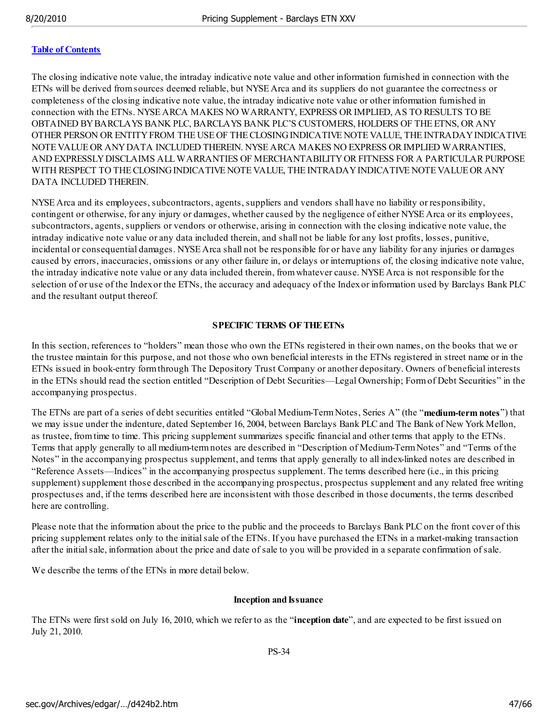The closing indicative note value, the intraday indicative note value and other information furnished in connection with the ETNs will be derived from sources deemed reliable, but NYSE Arca and its suppliers do not guarantee the correctness or completeness of the closing indicative note value, the intraday indicative note value or other information furnished in connection with the ETNs. NYSE ARCA MAKES NO WARRANTY, EXPRESS OR IMPLIED, AS TO RESULTS TO BE OBTAINED BY BARCLAYS BANK PLC, BARCLAYS BANK PLC'S CUSTOMERS, HOLDERS OF THE ETNS, OR ANY OTHER PERSON OR ENTITY FROM THE USE OF THE CLOSING INDICATIVE NOTE VALUE, THE INTRADAY INDICATIVE NOTE VALUE OR ANY DATA INCLUDED THEREIN. NYSE ARCA MAKES NO EXPRESS OR IMPLIED WARRANTIES, AND EXPRESSLY DISCLAIMS ALL WARRANTIES OF MERCHANTABILITY OR FITNESS FOR A PARTICULAR PURPOSE WITH RESPECT TO THE CLOSING INDICATIVE NOTE VALUE, THE INTRADAY INDICATIVE NOTE VALUE OR ANY DATA INCLUDED THEREIN.

NYSE Arca and its employees, subcontractors, agents, suppliers and vendors shall have no liability or responsibility, contingent or otherwise, for any injury or damages, whether caused by the negligence of either NYSE Arca or its employees, subcontractors, agents, suppliers or vendors or otherwise, arising in connection with the closing indicative note value, the intraday indicative note value or any data included therein, and shall not be liable for any lost profits, losses, punitive, incidental or consequential damages. NYSE Arca shall not be responsible for or have any liability for any injuries or damages caused by errors, inaccuracies, omissions or any other failure in, or delays or interruptions of, the closing indicative note value, the intraday indicative note value or any data included therein, from whatever cause. NYSE Arca is not responsible for the selection of or use of the Index or the ETNs, the accuracy and adequacy of the Index or information used by Barclays Bank PLC and the resultant output thereof.

## **SPECIFIC TERMS OF THE ETNs**

In this section, references to "holders" mean those who own the ETNs registered in their own names, on the books that we or the trustee maintain for this purpose, and not those who own beneficial interests in the ETNs registered in street name or in the ETNs issued in book-entry form through The Depository Trust Company or another depositary. Owners of beneficial interests in the ETNs should read the section entitled "Description of Debt Securities—Legal Ownership; Form of Debt Securities" in the accompanying prospectus.

The ETNs are part of a series of debt securities entitled "Global Medium-Term Notes, Series A" (the "**medium-term notes**") that we may issue under the indenture, dated September 16, 2004, between Barclays Bank PLC and The Bank of New York Mellon, as trustee, from time to time. This pricing supplement summarizes specific financial and other terms that apply to the ETNs. Terms that apply generally to all medium-term notes are described in "Description of Medium-Term Notes" and "Terms of the Notes" in the accompanying prospectus supplement, and terms that apply generally to all index-linked notes are described in "Reference Assets—Indices" in the accompanying prospectus supplement. The terms described here (i.e., in this pricing supplement) supplement those described in the accompanying prospectus, prospectus supplement and any related free writing prospectuses and, if the terms described here are inconsistent with those described in those documents, the terms described here are controlling.

Please note that the information about the price to the public and the proceeds to Barclays Bank PLC on the front cover of this pricing supplement relates only to the initial sale of the ETNs. If you have purchased the ETNs in a market-making transaction after the initial sale, information about the price and date of sale to you will be provided in a separate confirmation of sale.

We describe the terms of the ETNs in more detail below.

## **Inception and Issuance**

The ETNs were first sold on July 16, 2010, which we refer to as the "**inception date**", and are expected to be first issued on July 21, 2010.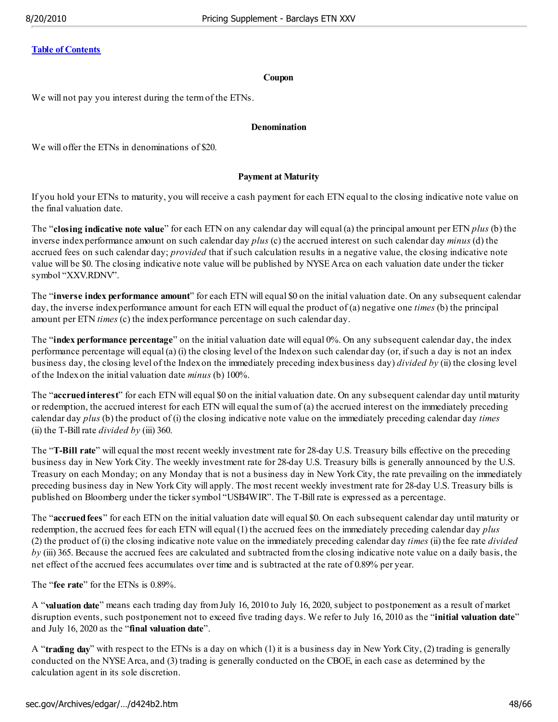## **Coupon**

We will not pay you interest during the term of the ETNs.

## **Denomination**

We will offer the ETNs in denominations of \$20.

## **Payment at Maturity**

If you hold your ETNs to maturity, you will receive a cash payment for each ETN equal to the closing indicative note value on the final valuation date.

The "**closing indicative note value**" for each ETN on any calendar day will equal (a) the principal amount per ETN *plus* (b) the inverse index performance amount on such calendar day *plus* (c) the accrued interest on such calendar day *minus* (d) the accrued fees on such calendar day; *provided* that if such calculation results in a negative value, the closing indicative note value will be \$0. The closing indicative note value will be published by NYSE Arca on each valuation date under the ticker symbol "XXV.RDNV".

The "**inverse index performance amount**" for each ETN will equal \$0 on the initial valuation date. On any subsequent calendar day, the inverse index performance amount for each ETN will equal the product of (a) negative one *times* (b) the principal amount per ETN *times* (c) the index performance percentage on such calendar day.

The "**index performance percentage**" on the initial valuation date will equal 0%. On any subsequent calendar day, the index performance percentage will equal (a) (i) the closing level of the Index on such calendar day (or, if such a day is not an index business day, the closing level of the Index on the immediately preceding index business day) *divided by* (ii) the closing level of the Index on the initial valuation date *minus* (b) 100%.

The "**accrued interest**" for each ETN will equal \$0 on the initial valuation date. On any subsequent calendar day until maturity or redemption, the accrued interest for each ETN will equal the sum of (a) the accrued interest on the immediately preceding calendar day *plus* (b) the product of (i) the closing indicative note value on the immediately preceding calendar day *times* (ii) the T-Bill rate *divided by* (iii) 360.

The "**T-Bill rate**" will equal the most recent weekly investment rate for 28-day U.S. Treasury bills effective on the preceding business day in New York City. The weekly investment rate for 28-day U.S. Treasury bills is generally announced by the U.S. Treasury on each Monday; on any Monday that is not a business day in New York City, the rate prevailing on the immediately preceding business day in New York City will apply. The most recent weekly investment rate for 28-day U.S. Treasury bills is published on Bloomberg under the ticker symbol "USB4WIR". The T-Bill rate is expressed as a percentage.

The "**accrued fees**" for each ETN on the initial valuation date will equal \$0. On each subsequent calendar day until maturity or redemption, the accrued fees for each ETN will equal (1) the accrued fees on the immediately preceding calendar day *plus* (2) the product of (i) the closing indicative note value on the immediately preceding calendar day *times* (ii) the fee rate *divided by* (iii) 365. Because the accrued fees are calculated and subtracted from the closing indicative note value on a daily basis, the net effect of the accrued fees accumulates over time and is subtracted at the rate of 0.89% per year.

The "**fee rate**" for the ETNs is 0.89%.

A "**valuation date**" means each trading day from July 16, 2010 to July 16, 2020, subject to postponement as a result of market disruption events, such postponement not to exceed five trading days. We refer to July 16, 2010 as the "**initial valuation date**" and July 16, 2020 as the "**final valuation date**".

A "**trading day**" with respect to the ETNs is a day on which (1) it is a business day in New York City, (2) trading is generally conducted on the NYSE Arca, and (3) trading is generally conducted on the CBOE, in each case as determined by the calculation agent in its sole discretion.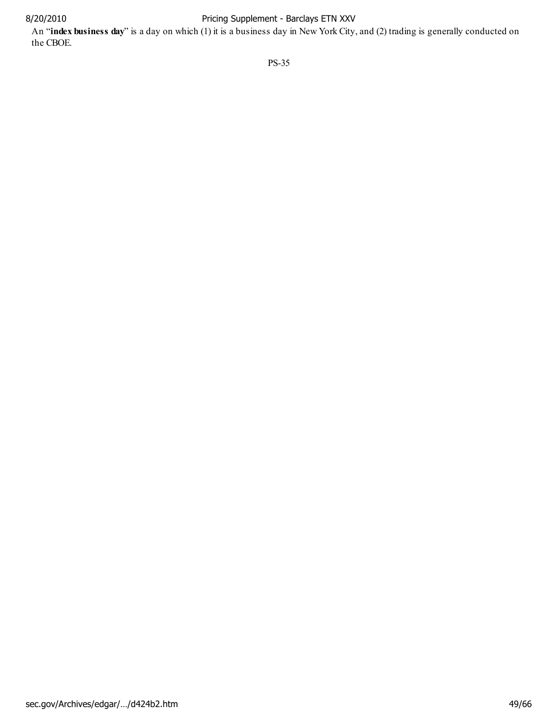# 8/20/2010 Pricing Supplement - Barclays ETN XXV

An "**index business day**" is a day on which (1) it is a business day in New York City, and (2) trading is generally conducted on the CBOE.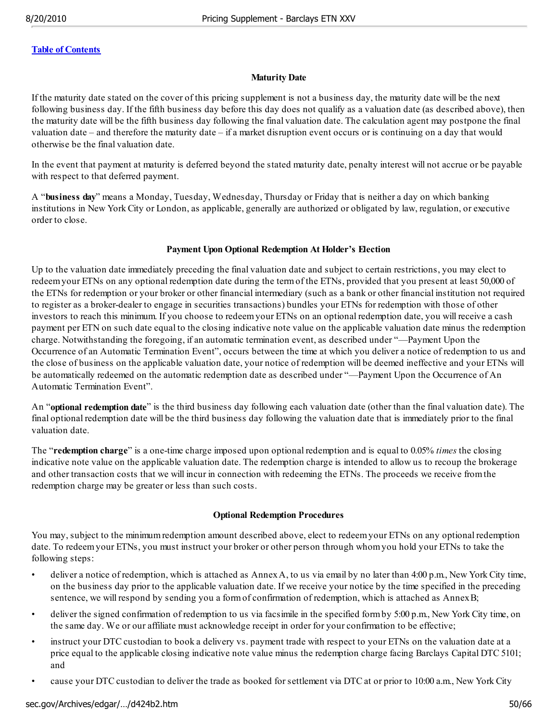## **Maturity Date**

If the maturity date stated on the cover of this pricing supplement is not a business day, the maturity date will be the next following business day. If the fifth business day before this day does not qualify as a valuation date (as described above), then the maturity date will be the fifth business day following the final valuation date. The calculation agent may postpone the final valuation date – and therefore the maturity date – if a market disruption event occurs or is continuing on a day that would otherwise be the final valuation date.

In the event that payment at maturity is deferred beyond the stated maturity date, penalty interest will not accrue or be payable with respect to that deferred payment.

A "**business day**" means a Monday, Tuesday, Wednesday, Thursday or Friday that is neither a day on which banking institutions in New York City or London, as applicable, generally are authorized or obligated by law, regulation, or executive order to close.

## **Payment Upon Optional Redemption At Holder's Election**

Up to the valuation date immediately preceding the final valuation date and subject to certain restrictions, you may elect to redeem your ETNs on any optional redemption date during the term of the ETNs, provided that you present at least 50,000 of the ETNs for redemption or your broker or other financial intermediary (such as a bank or other financial institution not required to register as a broker-dealer to engage in securities transactions) bundles your ETNs for redemption with those of other investors to reach this minimum. If you choose to redeem your ETNs on an optional redemption date, you will receive a cash payment per ETN on such date equal to the closing indicative note value on the applicable valuation date minus the redemption charge. Notwithstanding the foregoing, if an automatic termination event, as described under "—Payment Upon the Occurrence of an Automatic Termination Event", occurs between the time at which you deliver a notice of redemption to us and the close of business on the applicable valuation date, your notice of redemption will be deemed ineffective and your ETNs will be automatically redeemed on the automatic redemption date as described under "—Payment Upon the Occurrence of An Automatic Termination Event".

An "**optional redemption date**" is the third business day following each valuation date (other than the final valuation date). The final optional redemption date will be the third business day following the valuation date that is immediately prior to the final valuation date.

The "**redemption charge**" is a one-time charge imposed upon optional redemption and is equal to 0.05% *times* the closing indicative note value on the applicable valuation date. The redemption charge is intended to allow us to recoup the brokerage and other transaction costs that we will incur in connection with redeeming the ETNs. The proceeds we receive from the redemption charge may be greater or less than such costs.

#### **Optional Redemption Procedures**

You may, subject to the minimum redemption amount described above, elect to redeem your ETNs on any optional redemption date. To redeem your ETNs, you must instruct your broker or other person through whom you hold your ETNs to take the following steps:

- deliver a notice of redemption, which is attached as Annex A, to us via email by no later than 4:00 p.m., New York City time, on the business day prior to the applicable valuation date. If we receive your notice by the time specified in the preceding sentence, we will respond by sending you a form of confirmation of redemption, which is attached as Annex B;
- deliver the signed confirmation of redemption to us via facsimile in the specified form by 5:00 p.m., New York City time, on the same day. We or our affiliate must acknowledge receipt in order for your confirmation to be effective;
- instruct your DTC custodian to book a delivery vs. payment trade with respect to your ETNs on the valuation date at a price equal to the applicable closing indicative note value minus the redemption charge facing Barclays Capital DTC 5101; and
- cause your DTC custodian to deliver the trade as booked for settlement via DTC at or prior to 10:00 a.m., New York City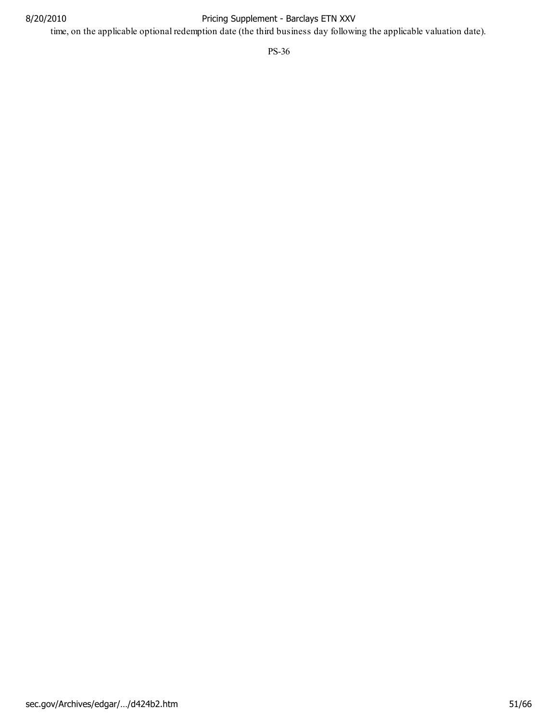# 8/20/2010 Pricing Supplement - Barclays ETN XXV

time, on the applicable optional redemption date (the third business day following the applicable valuation date).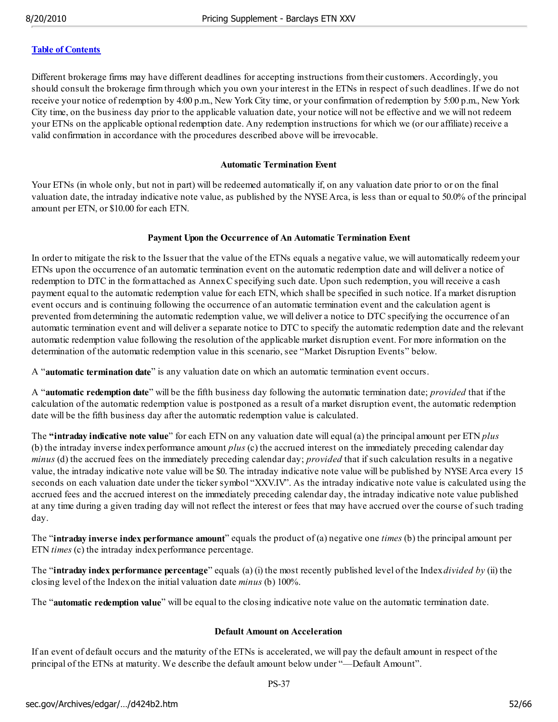Different brokerage firms may have different deadlines for accepting instructions from their customers. Accordingly, you should consult the brokerage firm through which you own your interest in the ETNs in respect of such deadlines. If we do not receive your notice of redemption by 4:00 p.m., New York City time, or your confirmation of redemption by 5:00 p.m., New York City time, on the business day prior to the applicable valuation date, your notice will not be effective and we will not redeem your ETNs on the applicable optional redemption date. Any redemption instructions for which we (or our affiliate) receive a valid confirmation in accordance with the procedures described above will be irrevocable.

## **Automatic Termination Event**

Your ETNs (in whole only, but not in part) will be redeemed automatically if, on any valuation date prior to or on the final valuation date, the intraday indicative note value, as published by the NYSE Arca, is less than or equal to 50.0% of the principal amount per ETN, or \$10.00 for each ETN.

## **Payment Upon the Occurrence of An Automatic Termination Event**

In order to mitigate the risk to the Issuer that the value of the ETNs equals a negative value, we will automatically redeem your ETNs upon the occurrence of an automatic termination event on the automatic redemption date and will deliver a notice of redemption to DTC in the form attached as Annex C specifying such date. Upon such redemption, you will receive a cash payment equal to the automatic redemption value for each ETN, which shall be specified in such notice. If a market disruption event occurs and is continuing following the occurrence of an automatic termination event and the calculation agent is prevented from determining the automatic redemption value, we will deliver a notice to DTC specifying the occurrence of an automatic termination event and will deliver a separate notice to DTC to specify the automatic redemption date and the relevant automatic redemption value following the resolution of the applicable market disruption event. For more information on the determination of the automatic redemption value in this scenario, see "Market Disruption Events" below.

A "**automatic termination date**" is any valuation date on which an automatic termination event occurs.

A "**automatic redemption date**" will be the fifth business day following the automatic termination date; *provided* that if the calculation of the automatic redemption value is postponed as a result of a market disruption event, the automatic redemption date will be the fifth business day after the automatic redemption value is calculated.

The **"intraday indicative note value**" for each ETN on any valuation date will equal (a) the principal amount per ETN *plus* (b) the intraday inverse index performance amount *plus* (c) the accrued interest on the immediately preceding calendar day *minus* (d) the accrued fees on the immediately preceding calendar day; *provided* that if such calculation results in a negative value, the intraday indicative note value will be \$0. The intraday indicative note value will be published by NYSE Arca every 15 seconds on each valuation date under the ticker symbol "XXV.IV". As the intraday indicative note value is calculated using the accrued fees and the accrued interest on the immediately preceding calendar day, the intraday indicative note value published at any time during a given trading day will not reflect the interest or fees that may have accrued over the course of such trading day.

The "**intraday inverse index performance amount**" equals the product of (a) negative one *times* (b) the principal amount per ETN *times* (c) the intraday index performance percentage.

The "**intraday index performance percentage**" equals (a) (i) the most recently published level of the Index *divided by* (ii) the closing level of the Index on the initial valuation date *minus* (b) 100%.

The "**automatic redemption value**" will be equal to the closing indicative note value on the automatic termination date.

## **Default Amount on Acceleration**

If an event of default occurs and the maturity of the ETNs is accelerated, we will pay the default amount in respect of the principal of the ETNs at maturity. We describe the default amount below under "—Default Amount".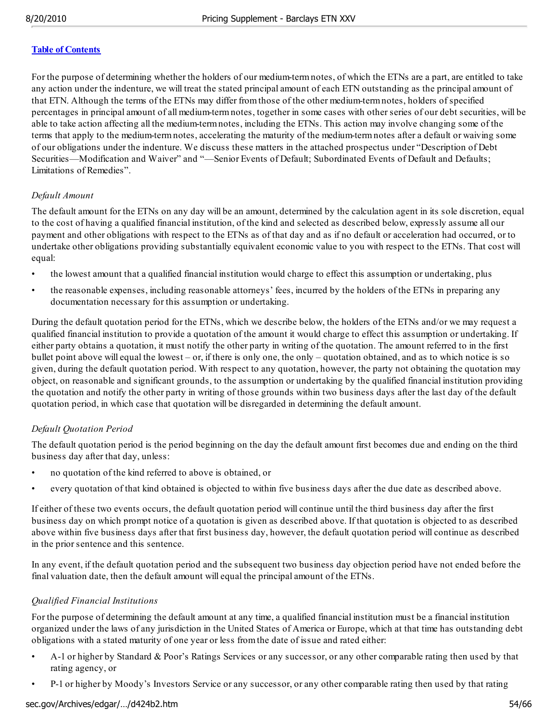For the purpose of determining whether the holders of our medium-term notes, of which the ETNs are a part, are entitled to take any action under the indenture, we will treat the stated principal amount of each ETN outstanding as the principal amount of that ETN. Although the terms of the ETNs may differ from those of the other medium-term notes, holders of specified percentages in principal amount of all medium-term notes, together in some cases with other series of our debt securities, will be able to take action affecting all the medium-term notes, including the ETNs. This action may involve changing some of the terms that apply to the medium-term notes, accelerating the maturity of the medium-term notes after a default or waiving some of our obligations under the indenture. We discuss these matters in the attached prospectus under "Description of Debt Securities—Modification and Waiver" and "—Senior Events of Default; Subordinated Events of Default and Defaults; Limitations of Remedies".

## *Default Amount*

The default amount for the ETNs on any day will be an amount, determined by the calculation agent in its sole discretion, equal to the cost of having a qualified financial institution, of the kind and selected as described below, expressly assume all our payment and other obligations with respect to the ETNs as of that day and as if no default or acceleration had occurred, or to undertake other obligations providing substantially equivalent economic value to you with respect to the ETNs. That cost will equal:

- the lowest amount that a qualified financial institution would charge to effect this assumption or undertaking, plus
- the reasonable expenses, including reasonable attorneys' fees, incurred by the holders of the ETNs in preparing any documentation necessary for this assumption or undertaking.

During the default quotation period for the ETNs, which we describe below, the holders of the ETNs and/or we may request a qualified financial institution to provide a quotation of the amount it would charge to effect this assumption or undertaking. If either party obtains a quotation, it must notify the other party in writing of the quotation. The amount referred to in the first bullet point above will equal the lowest – or, if there is only one, the only – quotation obtained, and as to which notice is so given, during the default quotation period. With respect to any quotation, however, the party not obtaining the quotation may object, on reasonable and significant grounds, to the assumption or undertaking by the qualified financial institution providing the quotation and notify the other party in writing of those grounds within two business days after the last day of the default quotation period, in which case that quotation will be disregarded in determining the default amount.

# *Default Quotation Period*

The default quotation period is the period beginning on the day the default amount first becomes due and ending on the third business day after that day, unless:

- no quotation of the kind referred to above is obtained, or
- every quotation of that kind obtained is objected to within five business days after the due date as described above.

If either of these two events occurs, the default quotation period will continue until the third business day after the first business day on which prompt notice of a quotation is given as described above. If that quotation is objected to as described above within five business days after that first business day, however, the default quotation period will continue as described in the prior sentence and this sentence.

In any event, if the default quotation period and the subsequent two business day objection period have not ended before the final valuation date, then the default amount will equal the principal amount of the ETNs.

# *Qualified Financial Institutions*

For the purpose of determining the default amount at any time, a qualified financial institution must be a financial institution organized under the laws of any jurisdiction in the United States of America or Europe, which at that time has outstanding debt obligations with a stated maturity of one year or less from the date of issue and rated either:

- A-1 or higher by Standard & Poor's Ratings Services or any successor, or any other comparable rating then used by that rating agency, or
- P-1 or higher by Moody's Investors Service or any successor, or any other comparable rating then used by that rating

## sec.gov/Archives/edgar/…/d424b2.htm 54/66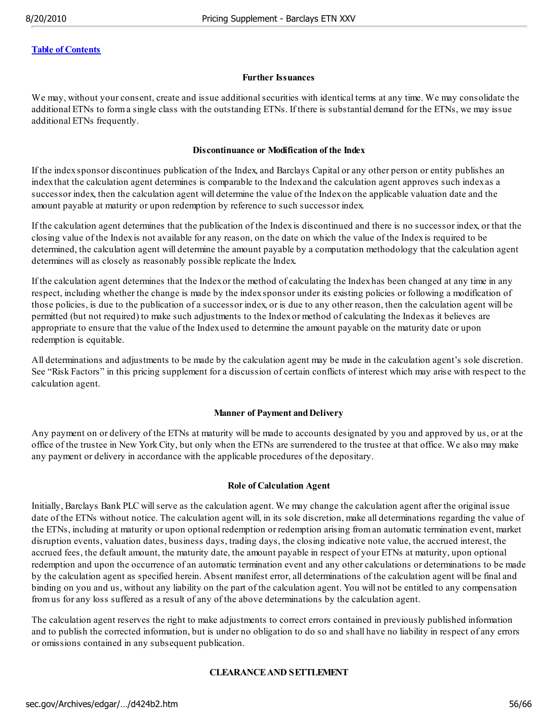## **Further Issuances**

We may, without your consent, create and issue additional securities with identical terms at any time. We may consolidate the additional ETNs to form a single class with the outstanding ETNs. If there is substantial demand for the ETNs, we may issue additional ETNs frequently.

## **Discontinuance or Modification of the Index**

If the index sponsor discontinues publication of the Index, and Barclays Capital or any other person or entity publishes an index that the calculation agent determines is comparable to the Index and the calculation agent approves such index as a successor index, then the calculation agent will determine the value of the Index on the applicable valuation date and the amount payable at maturity or upon redemption by reference to such successor index.

If the calculation agent determines that the publication of the Index is discontinued and there is no successor index, or that the closing value of the Index is not available for any reason, on the date on which the value of the Index is required to be determined, the calculation agent will determine the amount payable by a computation methodology that the calculation agent determines will as closely as reasonably possible replicate the Index.

If the calculation agent determines that the Index or the method of calculating the Index has been changed at any time in any respect, including whether the change is made by the index sponsor under its existing policies or following a modification of those policies, is due to the publication of a successor index, or is due to any other reason, then the calculation agent will be permitted (but not required) to make such adjustments to the Index or method of calculating the Index as it believes are appropriate to ensure that the value of the Index used to determine the amount payable on the maturity date or upon redemption is equitable.

All determinations and adjustments to be made by the calculation agent may be made in the calculation agent's sole discretion. See "Risk Factors" in this pricing supplement for a discussion of certain conflicts of interest which may arise with respect to the calculation agent.

#### **Manner of Payment and Delivery**

Any payment on or delivery of the ETNs at maturity will be made to accounts designated by you and approved by us, or at the office of the trustee in New York City, but only when the ETNs are surrendered to the trustee at that office. We also may make any payment or delivery in accordance with the applicable procedures of the depositary.

# **Role of Calculation Agent**

Initially, Barclays Bank PLC will serve as the calculation agent. We may change the calculation agent after the original issue date of the ETNs without notice. The calculation agent will, in its sole discretion, make all determinations regarding the value of the ETNs, including at maturity or upon optional redemption or redemption arising from an automatic termination event, market disruption events, valuation dates, business days, trading days, the closing indicative note value, the accrued interest, the accrued fees, the default amount, the maturity date, the amount payable in respect of your ETNs at maturity, upon optional redemption and upon the occurrence of an automatic termination event and any other calculations or determinations to be made by the calculation agent as specified herein. Absent manifest error, all determinations of the calculation agent will be final and binding on you and us, without any liability on the part of the calculation agent. You will not be entitled to any compensation from us for any loss suffered as a result of any of the above determinations by the calculation agent.

The calculation agent reserves the right to make adjustments to correct errors contained in previously published information and to publish the corrected information, but is under no obligation to do so and shall have no liability in respect of any errors or omissions contained in any subsequent publication.

# **CLEARANCE AND SETTLEMENT**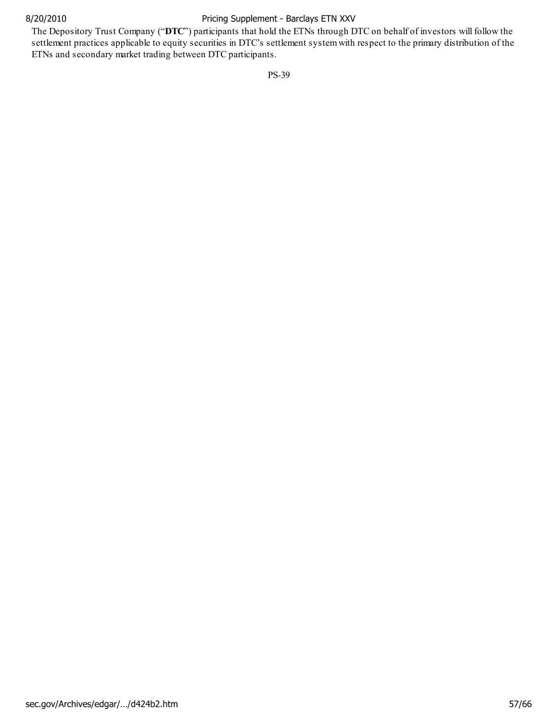## 8/20/2010 Pricing Supplement - Barclays ETN XXV

The Depository Trust Company ("**DTC**") participants that hold the ETNs through DTC on behalf of investors will follow the settlement practices applicable to equity securities in DTC's settlement system with respect to the primary distribution of the ETNs and secondary market trading between DTC participants.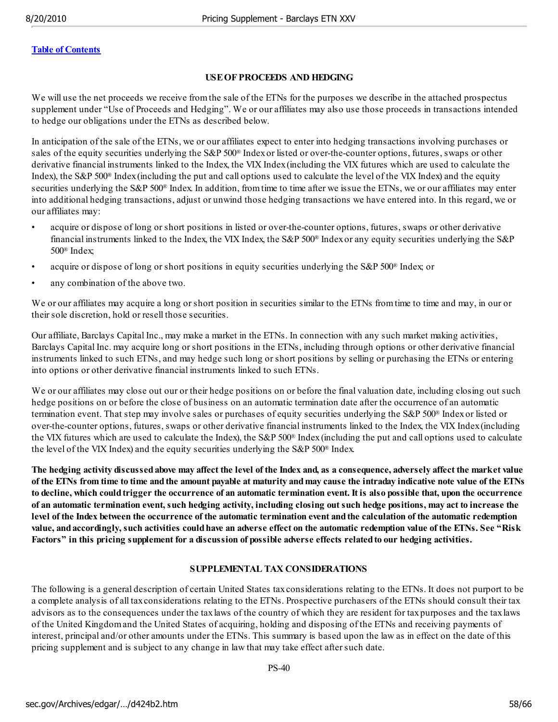## **USE OF PROCEEDS AND HEDGING**

We will use the net proceeds we receive from the sale of the ETNs for the purposes we describe in the attached prospectus supplement under "Use of Proceeds and Hedging". We or our affiliates may also use those proceeds in transactions intended to hedge our obligations under the ETNs as described below.

In anticipation of the sale of the ETNs, we or our affiliates expect to enter into hedging transactions involving purchases or sales of the equity securities underlying the S&P 500<sup>®</sup> Index or listed or over-the-counter options, futures, swaps or other derivative financial instruments linked to the Index, the VIX Index (including the VIX futures which are used to calculate the Index), the S&P 500<sup>®</sup> Index (including the put and call options used to calculate the level of the VIX Index) and the equity securities underlying the S&P 500<sup>®</sup> Index. In addition, from time to time after we issue the ETNs, we or our affiliates may enter into additional hedging transactions, adjust or unwind those hedging transactions we have entered into. In this regard, we or our affiliates may:

- acquire or dispose of long or short positions in listed or over-the-counter options, futures, swaps or other derivative financial instruments linked to the Index, the VIX Index, the S&P 500<sup>®</sup> Index or any equity securities underlying the S&P 500® Index;
- acquire or dispose of long or short positions in equity securities underlying the S&P  $500^\circ$  Index; or
- any combination of the above two.

We or our affiliates may acquire a long or short position in securities similar to the ETNs from time to time and may, in our or their sole discretion, hold or resell those securities.

Our affiliate, Barclays Capital Inc., may make a market in the ETNs. In connection with any such market making activities, Barclays Capital Inc. may acquire long or short positions in the ETNs, including through options or other derivative financial instruments linked to such ETNs, and may hedge such long or short positions by selling or purchasing the ETNs or entering into options or other derivative financial instruments linked to such ETNs.

We or our affiliates may close out our or their hedge positions on or before the final valuation date, including closing out such hedge positions on or before the close of business on an automatic termination date after the occurrence of an automatic termination event. That step may involve sales or purchases of equity securities underlying the S&P 500<sup>®</sup> Index or listed or over-the-counter options, futures, swaps or other derivative financial instruments linked to the Index, the VIX Index (including the VIX futures which are used to calculate the Index), the S&P 500 $^{\circ}$  Index (including the put and call options used to calculate the level of the VIX Index) and the equity securities underlying the S&P  $500$ <sup>®</sup> Index.

**The hedging activity discussed above may affect the level of the Index and, as a consequence, adversely affect the market value of the ETNs from time to time and the amount payable at maturity and may cause the intraday indicative note value of the ETNs to decline, which could trigger the occurrence of an automatic termination event. It is also possible that, upon the occurrence of an automatic termination event, such hedging activity, including closing out such hedge positions, may act to increase the level of the Index between the occurrence of the automatic termination event and the calculation of the automatic redemption value, and accordingly, such activities could have an adverse effect on the automatic redemption value of the ETNs. See "Risk Factors" in this pricing supplement for a discussion of possible adverse effects related to our hedging activities.**

## **SUPPLEMENTAL TAX CONSIDERATIONS**

The following is a general description of certain United States tax considerations relating to the ETNs. It does not purport to be a complete analysis of all tax considerations relating to the ETNs. Prospective purchasers of the ETNs should consult their tax advisors as to the consequences under the tax laws of the country of which they are resident for tax purposes and the tax laws of the United Kingdom and the United States of acquiring, holding and disposing of the ETNs and receiving payments of interest, principal and/or other amounts under the ETNs. This summary is based upon the law as in effect on the date of this pricing supplement and is subject to any change in law that may take effect after such date.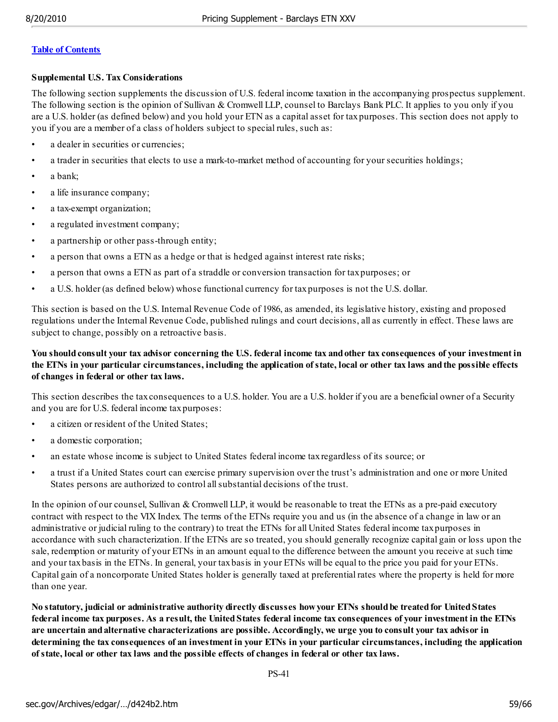## **Supplemental U.S. Tax Considerations**

The following section supplements the discussion of U.S. federal income taxation in the accompanying prospectus supplement. The following section is the opinion of Sullivan & Cromwell LLP, counsel to Barclays Bank PLC. It applies to you only if you are a U.S. holder (as defined below) and you hold your ETN as a capital asset for tax purposes. This section does not apply to you if you are a member of a class of holders subject to special rules, such as:

- a dealer in securities or currencies;
- a trader in securities that elects to use a mark-to-market method of accounting for your securities holdings;
- a bank:
- a life insurance company;
- a tax-exempt organization;
- a regulated investment company;
- a partnership or other pass-through entity;
- a person that owns a ETN as a hedge or that is hedged against interest rate risks;
- a person that owns a ETN as part of a straddle or conversion transaction for tax purposes; or
- a U.S. holder (as defined below) whose functional currency for tax purposes is not the U.S. dollar.

This section is based on the U.S. Internal Revenue Code of 1986, as amended, its legislative history, existing and proposed regulations under the Internal Revenue Code, published rulings and court decisions, all as currently in effect. These laws are subject to change, possibly on a retroactive basis.

## **You should consult your tax advisor concerning the U.S. federal income tax and other tax consequences of your investment in the ETNs in your particular circumstances, including the application of state, local or other tax laws and the possible effects of changes in federal or other tax laws.**

This section describes the tax consequences to a U.S. holder. You are a U.S. holder if you are a beneficial owner of a Security and you are for U.S. federal income tax purposes:

- a citizen or resident of the United States;
- a domestic corporation;
- an estate whose income is subject to United States federal income tax regardless of its source; or
- a trust if a United States court can exercise primary supervision over the trust's administration and one or more United States persons are authorized to control all substantial decisions of the trust.

In the opinion of our counsel, Sullivan & Cromwell LLP, it would be reasonable to treat the ETNs as a pre-paid executory contract with respect to the VIX Index. The terms of the ETNs require you and us (in the absence of a change in law or an administrative or judicial ruling to the contrary) to treat the ETNs for all United States federal income tax purposes in accordance with such characterization. If the ETNs are so treated, you should generally recognize capital gain or loss upon the sale, redemption or maturity of your ETNs in an amount equal to the difference between the amount you receive at such time and your tax basis in the ETNs. In general, your tax basis in your ETNs will be equal to the price you paid for your ETNs. Capital gain of a noncorporate United States holder is generally taxed at preferential rates where the property is held for more than one year.

**No statutory, judicial or administrative authority directly discusses how your ETNs should be treated for United States federal income tax purposes. As a result, the United States federal income tax consequences of your investment in the ETNs are uncertain and alternative characterizations are possible. Accordingly, we urge you to consult your tax advisor in determining the tax consequences of an investment in your ETNs in your particular circumstances, including the application of state, local or other tax laws and the possible effects of changes in federal or other tax laws.**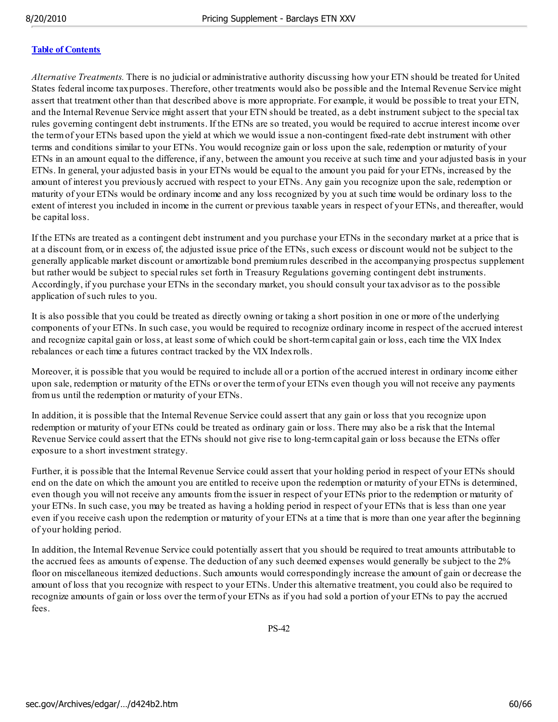*Alternative Treatments.* There is no judicial or administrative authority discussing how your ETN should be treated for United States federal income tax purposes. Therefore, other treatments would also be possible and the Internal Revenue Service might assert that treatment other than that described above is more appropriate. For example, it would be possible to treat your ETN, and the Internal Revenue Service might assert that your ETN should be treated, as a debt instrument subject to the special tax rules governing contingent debt instruments. If the ETNs are so treated, you would be required to accrue interest income over the term of your ETNs based upon the yield at which we would issue a non-contingent fixed-rate debt instrument with other terms and conditions similar to your ETNs. You would recognize gain or loss upon the sale, redemption or maturity of your ETNs in an amount equal to the difference, if any, between the amount you receive at such time and your adjusted basis in your ETNs. In general, your adjusted basis in your ETNs would be equal to the amount you paid for your ETNs, increased by the amount of interest you previously accrued with respect to your ETNs. Any gain you recognize upon the sale, redemption or maturity of your ETNs would be ordinary income and any loss recognized by you at such time would be ordinary loss to the extent of interest you included in income in the current or previous taxable years in respect of your ETNs, and thereafter, would be capital loss.

If the ETNs are treated as a contingent debt instrument and you purchase your ETNs in the secondary market at a price that is at a discount from, or in excess of, the adjusted issue price of the ETNs, such excess or discount would not be subject to the generally applicable market discount or amortizable bond premium rules described in the accompanying prospectus supplement but rather would be subject to special rules set forth in Treasury Regulations governing contingent debt instruments. Accordingly, if you purchase your ETNs in the secondary market, you should consult your tax advisor as to the possible application of such rules to you.

It is also possible that you could be treated as directly owning or taking a short position in one or more of the underlying components of your ETNs. In such case, you would be required to recognize ordinary income in respect of the accrued interest and recognize capital gain or loss, at least some of which could be short-term capital gain or loss, each time the VIX Index rebalances or each time a futures contract tracked by the VIX Index rolls.

Moreover, it is possible that you would be required to include all or a portion of the accrued interest in ordinary income either upon sale, redemption or maturity of the ETNs or over the term of your ETNs even though you will not receive any payments from us until the redemption or maturity of your ETNs.

In addition, it is possible that the Internal Revenue Service could assert that any gain or loss that you recognize upon redemption or maturity of your ETNs could be treated as ordinary gain or loss. There may also be a risk that the Internal Revenue Service could assert that the ETNs should not give rise to long-term capital gain or loss because the ETNs offer exposure to a short investment strategy.

Further, it is possible that the Internal Revenue Service could assert that your holding period in respect of your ETNs should end on the date on which the amount you are entitled to receive upon the redemption or maturity of your ETNs is determined, even though you will not receive any amounts from the issuer in respect of your ETNs prior to the redemption or maturity of your ETNs. In such case, you may be treated as having a holding period in respect of your ETNs that is less than one year even if you receive cash upon the redemption or maturity of your ETNs at a time that is more than one year after the beginning of your holding period.

In addition, the Internal Revenue Service could potentially assert that you should be required to treat amounts attributable to the accrued fees as amounts of expense. The deduction of any such deemed expenses would generally be subject to the 2% floor on miscellaneous itemized deductions. Such amounts would correspondingly increase the amount of gain or decrease the amount of loss that you recognize with respect to your ETNs. Under this alternative treatment, you could also be required to recognize amounts of gain or loss over the term of your ETNs as if you had sold a portion of your ETNs to pay the accrued fees.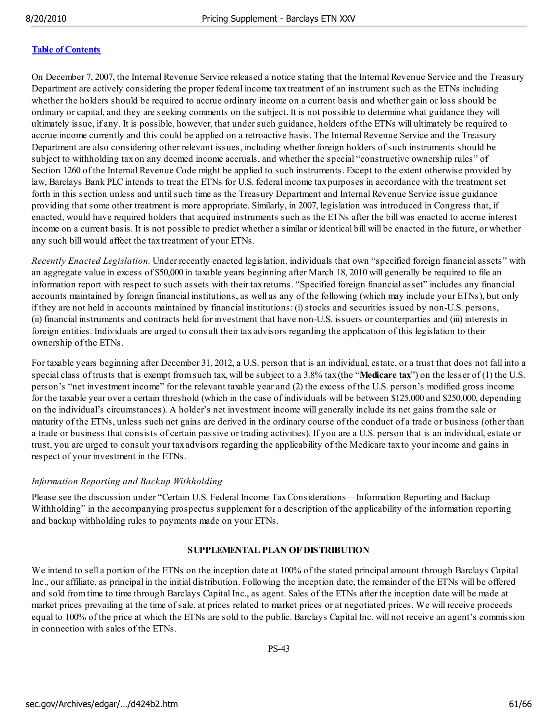On December 7, 2007, the Internal Revenue Service released a notice stating that the Internal Revenue Service and the Treasury Department are actively considering the proper federal income tax treatment of an instrument such as the ETNs including whether the holders should be required to accrue ordinary income on a current basis and whether gain or loss should be ordinary or capital, and they are seeking comments on the subject. It is not possible to determine what guidance they will ultimately issue, if any. It is possible, however, that under such guidance, holders of the ETNs will ultimately be required to accrue income currently and this could be applied on a retroactive basis. The Internal Revenue Service and the Treasury Department are also considering other relevant issues, including whether foreign holders of such instruments should be subject to withholding tax on any deemed income accruals, and whether the special "constructive ownership rules" of Section 1260 of the Internal Revenue Code might be applied to such instruments. Except to the extent otherwise provided by law, Barclays Bank PLC intends to treat the ETNs for U.S. federal income tax purposes in accordance with the treatment set forth in this section unless and until such time as the Treasury Department and Internal Revenue Service issue guidance providing that some other treatment is more appropriate. Similarly, in 2007, legislation was introduced in Congress that, if enacted, would have required holders that acquired instruments such as the ETNs after the bill was enacted to accrue interest income on a current basis. It is not possible to predict whether a similar or identical bill will be enacted in the future, or whether any such bill would affect the tax treatment of your ETNs.

*Recently Enacted Legislation.* Under recently enacted legislation, individuals that own "specified foreign financial assets" with an aggregate value in excess of \$50,000 in taxable years beginning after March 18, 2010 will generally be required to file an information report with respect to such assets with their tax returns. "Specified foreign financial asset" includes any financial accounts maintained by foreign financial institutions, as well as any of the following (which may include your ETNs), but only if they are not held in accounts maintained by financial institutions: (i) stocks and securities issued by non-U.S. persons, (ii) financial instruments and contracts held for investment that have non-U.S. issuers or counterparties and (iii) interests in foreign entities. Individuals are urged to consult their tax advisors regarding the application of this legislation to their ownership of the ETNs.

For taxable years beginning after December 31, 2012, a U.S. person that is an individual, estate, or a trust that does not fall into a special class of trusts that is exempt from such tax, will be subject to a 3.8% tax (the "**Medicare tax**") on the lesser of (1) the U.S. person's "net investment income" for the relevant taxable year and (2) the excess of the U.S. person's modified gross income for the taxable year over a certain threshold (which in the case of individuals will be between \$125,000 and \$250,000, depending on the individual's circumstances). A holder's net investment income will generally include its net gains from the sale or maturity of the ETNs, unless such net gains are derived in the ordinary course of the conduct of a trade or business (other than a trade or business that consists of certain passive or trading activities). If you are a U.S. person that is an individual, estate or trust, you are urged to consult your tax advisors regarding the applicability of the Medicare tax to your income and gains in respect of your investment in the ETNs.

## *Information Reporting and Backup Withholding*

Please see the discussion under "Certain U.S. Federal Income Tax Considerations—Information Reporting and Backup Withholding" in the accompanying prospectus supplement for a description of the applicability of the information reporting and backup withholding rules to payments made on your ETNs.

#### **SUPPLEMENTAL PLAN OF DISTRIBUTION**

We intend to sell a portion of the ETNs on the inception date at 100% of the stated principal amount through Barclays Capital Inc., our affiliate, as principal in the initial distribution. Following the inception date, the remainder of the ETNs will be offered and sold from time to time through Barclays Capital Inc., as agent. Sales of the ETNs after the inception date will be made at market prices prevailing at the time of sale, at prices related to market prices or at negotiated prices. We will receive proceeds equal to 100% of the price at which the ETNs are sold to the public. Barclays Capital Inc. will not receive an agent's commission in connection with sales of the ETNs.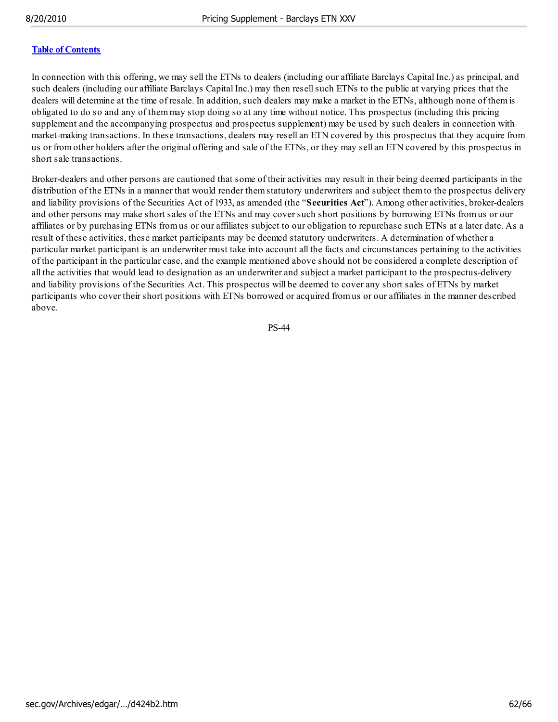In connection with this offering, we may sell the ETNs to dealers (including our affiliate Barclays Capital Inc.) as principal, and such dealers (including our affiliate Barclays Capital Inc.) may then resell such ETNs to the public at varying prices that the dealers will determine at the time of resale. In addition, such dealers may make a market in the ETNs, although none of them is obligated to do so and any of them may stop doing so at any time without notice. This prospectus (including this pricing supplement and the accompanying prospectus and prospectus supplement) may be used by such dealers in connection with market-making transactions. In these transactions, dealers may resell an ETN covered by this prospectus that they acquire from us or from other holders after the original offering and sale of the ETNs, or they may sell an ETN covered by this prospectus in short sale transactions.

Broker-dealers and other persons are cautioned that some of their activities may result in their being deemed participants in the distribution of the ETNs in a manner that would render them statutory underwriters and subject them to the prospectus delivery and liability provisions of the Securities Act of 1933, as amended (the "**Securities Act**"). Among other activities, broker-dealers and other persons may make short sales of the ETNs and may cover such short positions by borrowing ETNs from us or our affiliates or by purchasing ETNs from us or our affiliates subject to our obligation to repurchase such ETNs at a later date. As a result of these activities, these market participants may be deemed statutory underwriters. A determination of whether a particular market participant is an underwriter must take into account all the facts and circumstances pertaining to the activities of the participant in the particular case, and the example mentioned above should not be considered a complete description of all the activities that would lead to designation as an underwriter and subject a market participant to the prospectus-delivery and liability provisions of the Securities Act. This prospectus will be deemed to cover any short sales of ETNs by market participants who cover their short positions with ETNs borrowed or acquired from us or our affiliates in the manner described above.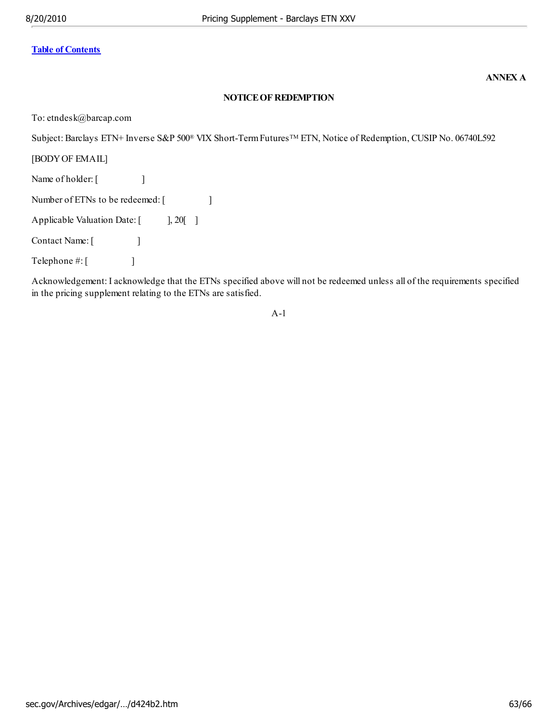## **ANNEX A**

#### **NOTICE OF REDEMPTION**

To: etndesk@barcap.com

Subject: Barclays ETN+ Inverse S&P 500® VIX Short-Term Futures™ ETN, Notice of Redemption, CUSIP No. 06740L592

[BODY OF EMAIL]

Name of holder: [ ]

Number of ETNs to be redeemed: [

Applicable Valuation Date: [ ], 20[]

Contact Name: [ ]

Telephone #: [ ]

Acknowledgement: I acknowledge that the ETNs specified above will not be redeemed unless all of the requirements specified in the pricing supplement relating to the ETNs are satisfied.

A-1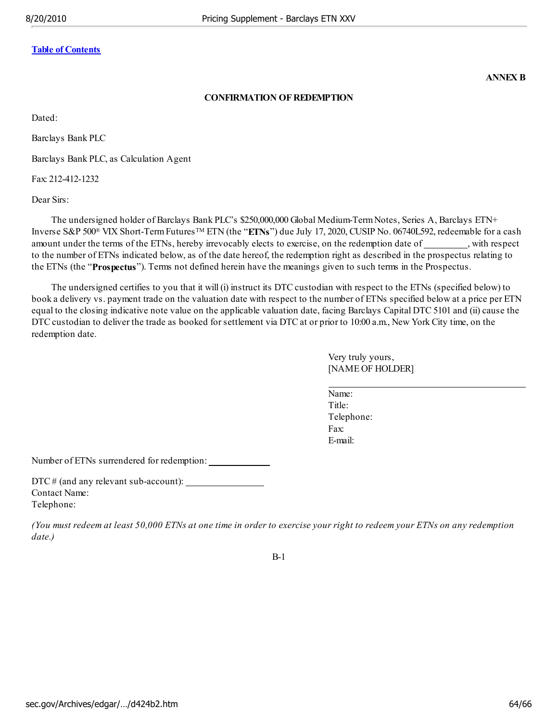## **ANNEX B**

#### **CONFIRMATION OF REDEMPTION**

Dated:

Barclays Bank PLC

Barclays Bank PLC, as Calculation Agent

Fax: 212-412-1232

Dear Sirs:

The undersigned holder of Barclays Bank PLC's \$250,000,000 Global Medium-Term Notes, Series A, Barclays ETN+ Inverse S&P 500® VIX Short-Term Futures™ ETN (the "**ETNs**") due July 17, 2020, CUSIP No. 06740L592, redeemable for a cash amount under the terms of the ETNs, hereby irrevocably elects to exercise, on the redemption date of  $\_\_\_\_\$ , with respect to the number of ETNs indicated below, as of the date hereof, the redemption right as described in the prospectus relating to the ETNs (the "**Prospectus**"). Terms not defined herein have the meanings given to such terms in the Prospectus.

The undersigned certifies to you that it will (i) instruct its DTC custodian with respect to the ETNs (specified below) to book a delivery vs. payment trade on the valuation date with respect to the number of ETNs specified below at a price per ETN equal to the closing indicative note value on the applicable valuation date, facing Barclays Capital DTC 5101 and (ii) cause the DTC custodian to deliver the trade as booked for settlement via DTC at or prior to 10:00 a.m., New York City time, on the redemption date.

> Very truly yours, [NAME OF HOLDER]

Name: Title: Telephone: Fax: E-mail:

Number of ETNs surrendered for redemption:

DTC # (and any relevant sub-account): Contact Name: Telephone:

*(You must redeem at least 50,000 ETNs at one time in order to exercise your right to redeem your ETNs on any redemption date.)*

B-1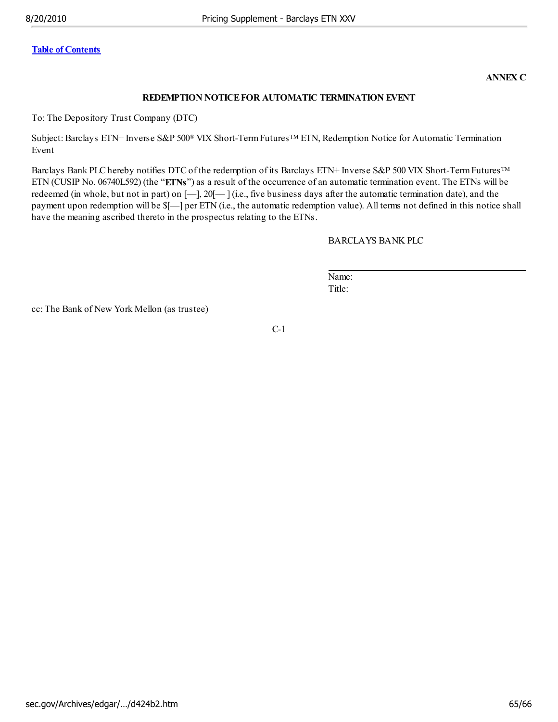## **ANNEX C**

## **REDEMPTION NOTICE FOR AUTOMATIC TERMINATION EVENT**

To: The Depository Trust Company (DTC)

Subject: Barclays ETN+ Inverse S&P 500<sup>®</sup> VIX Short-Term Futures<sup>™</sup> ETN, Redemption Notice for Automatic Termination Event

Barclays Bank PLC hereby notifies DTC of the redemption of its Barclays ETN+ Inverse S&P 500 VIX Short-Term Futures™ ETN (CUSIP No. 06740L592) (the "**ETNs**") as a result of the occurrence of an automatic termination event. The ETNs will be redeemed (in whole, but not in part) on  $[-]$ ,  $20[-]$  (i.e., five business days after the automatic termination date), and the payment upon redemption will be \$[—] per ETN (i.e., the automatic redemption value). All terms not defined in this notice shall have the meaning ascribed thereto in the prospectus relating to the ETNs.

BARCLAYS BANK PLC

Name: Title:

cc: The Bank of New York Mellon (as trustee)

 $C-1$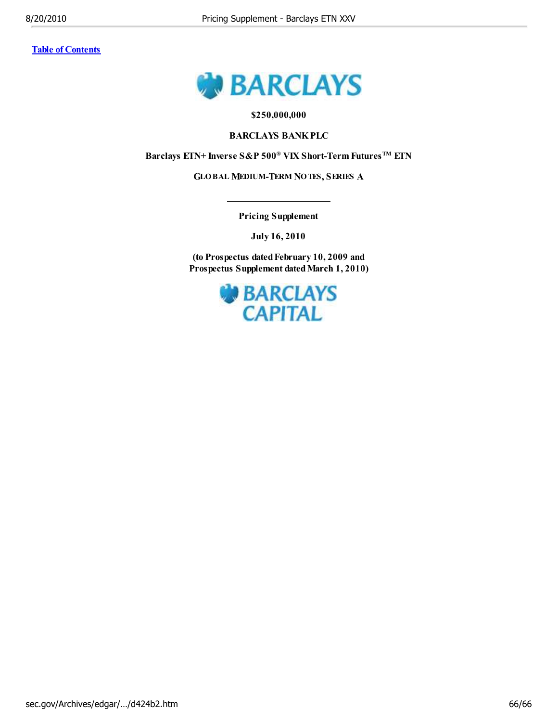

#### **\$250,000,000**

## **BARCLAYS BANK PLC**

 $\mathbf{B}$ arclays  $\mathbf{ETN}+ \mathbf{Inverse}\ \mathbf{S\&P}\ \mathbf{500}^{\circledast}\ \mathbf{VIX}\ \mathbf{Short-Term}\ \mathbf{Futures}^{\mathbf{TM}}\ \mathbf{ETN}$ 

**GLOBAL MEDIUM-TERM NO TES, SERIES A**

**Pricing Supplement**

**July 16, 2010**

**(to Prospectus dated February 10, 2009 and Prospectus Supplement dated March 1, 2010)**

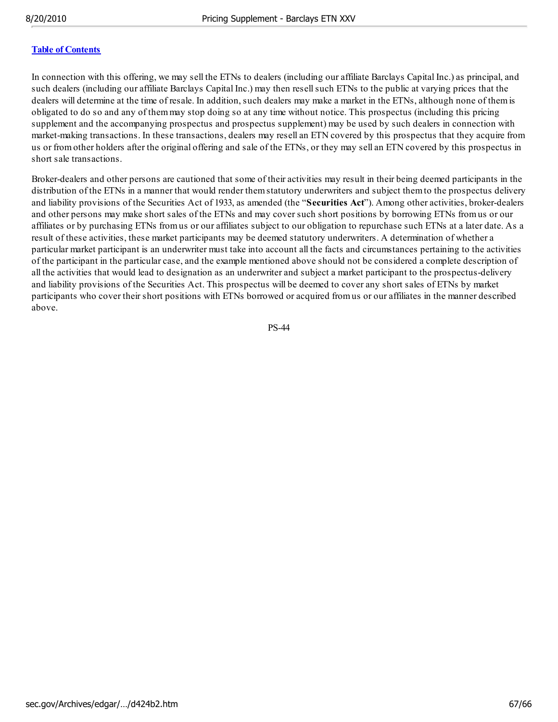In connection with this offering, we may sell the ETNs to dealers (including our affiliate Barclays Capital Inc.) as principal, and such dealers (including our affiliate Barclays Capital Inc.) may then resell such ETNs to the public at varying prices that the dealers will determine at the time of resale. In addition, such dealers may make a market in the ETNs, although none of them is obligated to do so and any of them may stop doing so at any time without notice. This prospectus (including this pricing supplement and the accompanying prospectus and prospectus supplement) may be used by such dealers in connection with market-making transactions. In these transactions, dealers may resell an ETN covered by this prospectus that they acquire from us or from other holders after the original offering and sale of the ETNs, or they may sell an ETN covered by this prospectus in short sale transactions.

Broker-dealers and other persons are cautioned that some of their activities may result in their being deemed participants in the distribution of the ETNs in a manner that would render them statutory underwriters and subject them to the prospectus delivery and liability provisions of the Securities Act of 1933, as amended (the "**Securities Act**"). Among other activities, broker-dealers and other persons may make short sales of the ETNs and may cover such short positions by borrowing ETNs from us or our affiliates or by purchasing ETNs from us or our affiliates subject to our obligation to repurchase such ETNs at a later date. As a result of these activities, these market participants may be deemed statutory underwriters. A determination of whether a particular market participant is an underwriter must take into account all the facts and circumstances pertaining to the activities of the participant in the particular case, and the example mentioned above should not be considered a complete description of all the activities that would lead to designation as an underwriter and subject a market participant to the prospectus-delivery and liability provisions of the Securities Act. This prospectus will be deemed to cover any short sales of ETNs by market participants who cover their short positions with ETNs borrowed or acquired from us or our affiliates in the manner described above.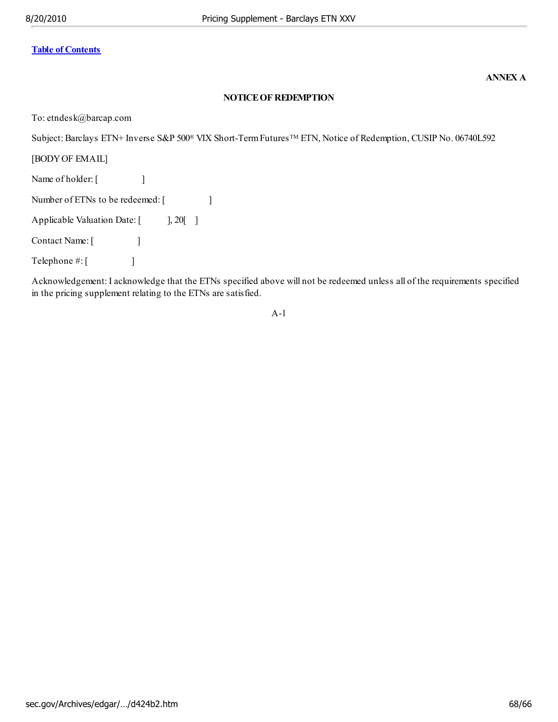## **ANNEX A**

#### **NOTICE OF REDEMPTION**

To: etndesk@barcap.com

Subject: Barclays ETN+ Inverse S&P 500® VIX Short-Term Futures™ ETN, Notice of Redemption, CUSIP No. 06740L592

[BODY OF EMAIL]

Name of holder: [ ]

Number of ETNs to be redeemed: [

Applicable Valuation Date: [ ], 20[]

Contact Name: [ ]

Telephone #: [ ]

Acknowledgement: I acknowledge that the ETNs specified above will not be redeemed unless all of the requirements specified in the pricing supplement relating to the ETNs are satisfied.

A-1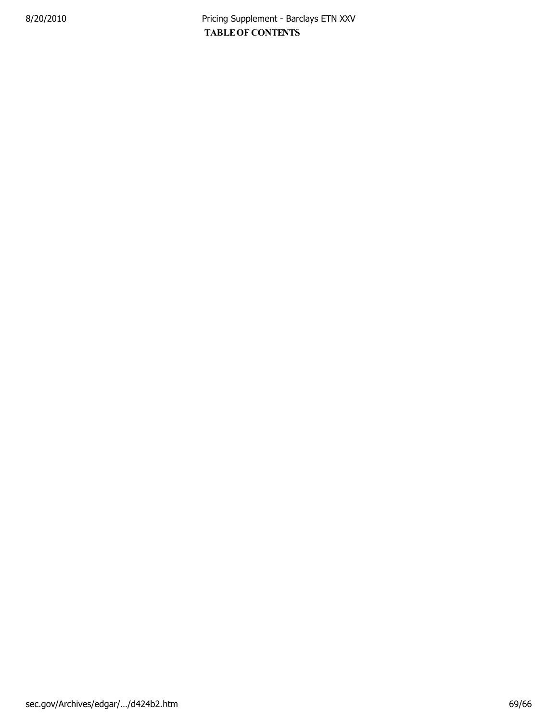**TABLE OF CONTENTS** 8/20/2010 Pricing Supplement - Barclays ETN XXV